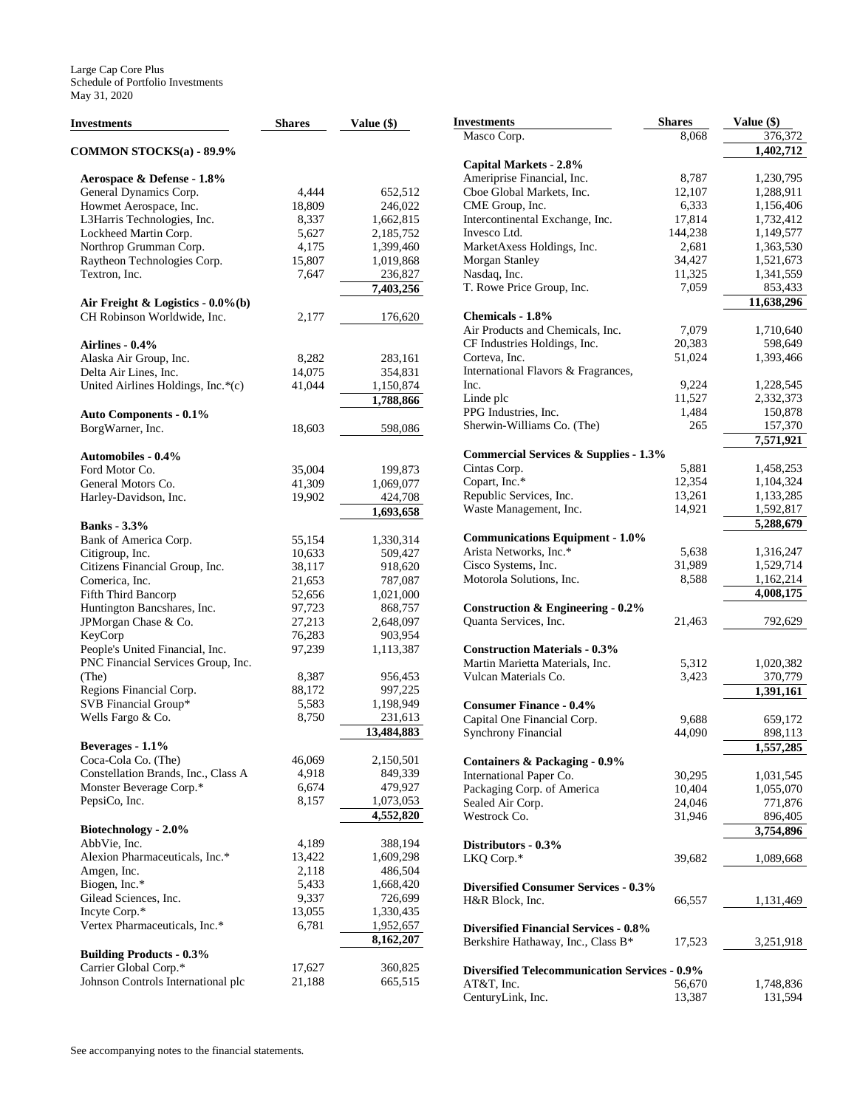| Investments                                    | <b>Shares</b>                                                                                                                                                                                                                                                                                                                                                                                                                | Value (\$) | <b>Investments</b>         |
|------------------------------------------------|------------------------------------------------------------------------------------------------------------------------------------------------------------------------------------------------------------------------------------------------------------------------------------------------------------------------------------------------------------------------------------------------------------------------------|------------|----------------------------|
|                                                |                                                                                                                                                                                                                                                                                                                                                                                                                              |            | Masco Corp.                |
| <b>COMMON STOCKS(a) - 89.9%</b>                |                                                                                                                                                                                                                                                                                                                                                                                                                              |            | <b>Capital Markets</b>     |
| Aerospace & Defense - 1.8%                     |                                                                                                                                                                                                                                                                                                                                                                                                                              |            | Ameriprise Finan           |
| General Dynamics Corp.                         | 4,444                                                                                                                                                                                                                                                                                                                                                                                                                        | 652,512    | Cboe Global Mar            |
| Howmet Aerospace, Inc.                         | 18,809                                                                                                                                                                                                                                                                                                                                                                                                                       | 246,022    | CME Group, Inc.            |
| L3Harris Technologies, Inc.                    | 8,337                                                                                                                                                                                                                                                                                                                                                                                                                        | 1,662,815  | Intercontinental E         |
| Lockheed Martin Corp.                          | 5,627                                                                                                                                                                                                                                                                                                                                                                                                                        | 2,185,752  | Invesco Ltd.               |
| Northrop Grumman Corp.                         | 4,175                                                                                                                                                                                                                                                                                                                                                                                                                        | 1,399,460  | MarketAxess Hol            |
| Raytheon Technologies Corp.                    | 15,807                                                                                                                                                                                                                                                                                                                                                                                                                       | 1,019,868  | Morgan Stanley             |
| Textron, Inc.                                  | 7,647                                                                                                                                                                                                                                                                                                                                                                                                                        | 236,827    | Nasdaq, Inc.               |
|                                                |                                                                                                                                                                                                                                                                                                                                                                                                                              | 7,403,256  | T. Rowe Price Gr           |
| Air Freight & Logistics - $0.0\%$ (b)          |                                                                                                                                                                                                                                                                                                                                                                                                                              |            |                            |
| CH Robinson Worldwide, Inc.                    | 2,177                                                                                                                                                                                                                                                                                                                                                                                                                        | 176,620    | <b>Chemicals - 1.8%</b>    |
|                                                |                                                                                                                                                                                                                                                                                                                                                                                                                              |            | Air Products and           |
|                                                |                                                                                                                                                                                                                                                                                                                                                                                                                              |            | CF Industries Ho           |
|                                                | Airlines - 0.4%<br>Alaska Air Group, Inc.<br>8,282<br>283,161<br>Delta Air Lines, Inc.<br>14,075<br>354,831<br>United Airlines Holdings, Inc.*(c)<br>41,044<br>1,150,874<br>1,788,866<br><b>Auto Components - 0.1%</b><br>18,603<br>598,086<br><b>Automobiles - 0.4%</b><br>35,004<br>199,873<br>General Motors Co.<br>41,309<br>1,069,077<br>Harley-Davidson, Inc.<br>19,902<br>424,708<br>1,693,658<br>55,154<br>1,330,314 |            | Corteva, Inc.              |
|                                                |                                                                                                                                                                                                                                                                                                                                                                                                                              |            | International Flay         |
|                                                |                                                                                                                                                                                                                                                                                                                                                                                                                              |            | Inc.                       |
|                                                |                                                                                                                                                                                                                                                                                                                                                                                                                              |            | Linde plc                  |
|                                                |                                                                                                                                                                                                                                                                                                                                                                                                                              |            | PPG Industries, I          |
| BorgWarner, Inc.                               |                                                                                                                                                                                                                                                                                                                                                                                                                              |            | Sherwin-William            |
|                                                |                                                                                                                                                                                                                                                                                                                                                                                                                              |            | <b>Commercial Ser</b>      |
| Ford Motor Co.                                 |                                                                                                                                                                                                                                                                                                                                                                                                                              |            | Cintas Corp.               |
|                                                |                                                                                                                                                                                                                                                                                                                                                                                                                              |            | Copart, Inc.*              |
|                                                |                                                                                                                                                                                                                                                                                                                                                                                                                              |            | Republic Service           |
|                                                |                                                                                                                                                                                                                                                                                                                                                                                                                              |            | Waste Manageme             |
| <b>Banks</b> - 3.3%                            |                                                                                                                                                                                                                                                                                                                                                                                                                              |            |                            |
| Bank of America Corp.                          |                                                                                                                                                                                                                                                                                                                                                                                                                              |            | Communication              |
| Citigroup, Inc.                                | 10,633                                                                                                                                                                                                                                                                                                                                                                                                                       | 509,427    | Arista Networks,           |
| Citizens Financial Group, Inc.                 | 38,117                                                                                                                                                                                                                                                                                                                                                                                                                       | 918,620    | Cisco Systems, In          |
| Comerica, Inc.                                 | 21,653                                                                                                                                                                                                                                                                                                                                                                                                                       | 787,087    | Motorola Solutio           |
| Fifth Third Bancorp                            | 52,656                                                                                                                                                                                                                                                                                                                                                                                                                       | 1,021,000  |                            |
| Huntington Bancshares, Inc.                    | 97,723                                                                                                                                                                                                                                                                                                                                                                                                                       | 868,757    | Construction &             |
| JPMorgan Chase & Co.                           | 27,213                                                                                                                                                                                                                                                                                                                                                                                                                       | 2,648,097  | Quanta Services,           |
| KeyCorp                                        | 76,283                                                                                                                                                                                                                                                                                                                                                                                                                       | 903,954    |                            |
| People's United Financial, Inc.                | 97,239                                                                                                                                                                                                                                                                                                                                                                                                                       | 1,113,387  | <b>Construction Ma</b>     |
| PNC Financial Services Group, Inc.             |                                                                                                                                                                                                                                                                                                                                                                                                                              |            | Martin Marietta N          |
| (The)                                          | 8,387                                                                                                                                                                                                                                                                                                                                                                                                                        | 956,453    | Vulcan Materials           |
| Regions Financial Corp.                        | 88,172                                                                                                                                                                                                                                                                                                                                                                                                                       | 997,225    |                            |
| SVB Financial Group*                           | 5,583                                                                                                                                                                                                                                                                                                                                                                                                                        | 1,198,949  | <b>Consumer Finar</b>      |
| Wells Fargo & Co.                              | 8,750                                                                                                                                                                                                                                                                                                                                                                                                                        | 231,613    | Capital One Finar          |
|                                                |                                                                                                                                                                                                                                                                                                                                                                                                                              | 13,484,883 | Synchrony Finano           |
| Beverages - 1.1%                               |                                                                                                                                                                                                                                                                                                                                                                                                                              |            |                            |
| Coca-Cola Co. (The)                            | 46,069                                                                                                                                                                                                                                                                                                                                                                                                                       | 2,150,501  | <b>Containers &amp; Pa</b> |
| Constellation Brands, Inc., Class A            | 4,918                                                                                                                                                                                                                                                                                                                                                                                                                        | 849,339    | International Pap          |
| Monster Beverage Corp.*                        | 6,674                                                                                                                                                                                                                                                                                                                                                                                                                        | 479,927    | Packaging Corp.            |
| PepsiCo, Inc.                                  | 8,157                                                                                                                                                                                                                                                                                                                                                                                                                        | 1,073,053  | Sealed Air Corp.           |
|                                                |                                                                                                                                                                                                                                                                                                                                                                                                                              | 4,552,820  | Westrock Co.               |
| Biotechnology - 2.0%                           |                                                                                                                                                                                                                                                                                                                                                                                                                              | 388,194    |                            |
| AbbVie, Inc.<br>Alexion Pharmaceuticals, Inc.* | 4,189                                                                                                                                                                                                                                                                                                                                                                                                                        |            | Distributors - 0.          |
|                                                | 13,422                                                                                                                                                                                                                                                                                                                                                                                                                       | 1,609,298  | LKQ Corp.*                 |
| Amgen, Inc.                                    | 2,118                                                                                                                                                                                                                                                                                                                                                                                                                        | 486,504    |                            |
| Biogen, Inc.*                                  | 5,433                                                                                                                                                                                                                                                                                                                                                                                                                        | 1,668,420  | <b>Diversified Cons</b>    |
| Gilead Sciences, Inc.                          | 9,337                                                                                                                                                                                                                                                                                                                                                                                                                        | 726,699    | H&R Block, Inc.            |
| Incyte Corp.*                                  | 13,055                                                                                                                                                                                                                                                                                                                                                                                                                       | 1,330,435  |                            |
| Vertex Pharmaceuticals, Inc.*                  | 6,781                                                                                                                                                                                                                                                                                                                                                                                                                        | 1,952,657  | <b>Diversified Fina</b>    |
| <b>Building Products - 0.3%</b>                |                                                                                                                                                                                                                                                                                                                                                                                                                              | 8,162,207  | Berkshire Hathav           |
| Carrier Global Corp.*                          | 17,627                                                                                                                                                                                                                                                                                                                                                                                                                       | 360,825    | <b>Diversified Teleo</b>   |
| Johnson Controls International plc             | 21,188                                                                                                                                                                                                                                                                                                                                                                                                                       | 665,515    | AT&T. Inc.                 |
|                                                |                                                                                                                                                                                                                                                                                                                                                                                                                              |            |                            |

| Investments                                          | <b>Shares</b> | Value (\$) |
|------------------------------------------------------|---------------|------------|
| Masco Corp.                                          | 8,068         | 376,372    |
|                                                      |               | 1,402,712  |
| Capital Markets - 2.8%                               |               |            |
| Ameriprise Financial, Inc.                           | 8,787         | 1,230,795  |
| Cboe Global Markets, Inc.                            | 12,107        | 1,288,911  |
| CME Group, Inc.                                      | 6,333         | 1,156,406  |
| Intercontinental Exchange, Inc.                      | 17,814        | 1,732,412  |
| Invesco Ltd.                                         | 144,238       | 1,149,577  |
| MarketAxess Holdings, Inc.                           | 2,681         | 1,363,530  |
| Morgan Stanley                                       | 34,427        | 1,521,673  |
| Nasdaq, Inc.                                         | 11,325        | 1,341,559  |
| T. Rowe Price Group, Inc.                            | 7,059         | 853,433    |
|                                                      |               | 11,638,296 |
|                                                      |               |            |
| Chemicals - 1.8%                                     |               |            |
| Air Products and Chemicals, Inc.                     | 7,079         | 1,710,640  |
| CF Industries Holdings, Inc.                         | 20,383        | 598,649    |
| Corteva, Inc.                                        | 51,024        | 1,393,466  |
| International Flavors & Fragrances,                  |               |            |
| Inc.                                                 | 9,224         | 1,228,545  |
| Linde plc                                            | 11,527        | 2,332,373  |
| PPG Industries, Inc.                                 | 1,484         | 150,878    |
| Sherwin-Williams Co. (The)                           | 265           | 157,370    |
|                                                      |               | 7,571,921  |
| <b>Commercial Services &amp; Supplies - 1.3%</b>     |               |            |
| Cintas Corp.                                         | 5,881         | 1,458,253  |
| Copart, Inc.*                                        | 12,354        | 1,104,324  |
| Republic Services, Inc.                              | 13,261        | 1,133,285  |
| Waste Management, Inc.                               | 14,921        | 1,592,817  |
|                                                      |               | 5,288,679  |
|                                                      |               |            |
| <b>Communications Equipment - 1.0%</b>               |               |            |
| Arista Networks, Inc.*                               | 5,638         | 1,316,247  |
| Cisco Systems, Inc.                                  | 31,989        | 1,529,714  |
| Motorola Solutions, Inc.                             | 8,588         | 1,162,214  |
|                                                      |               | 4,008,175  |
| Construction $\&$ Engineering - 0.2%                 |               |            |
| Quanta Services, Inc.                                | 21,463        | 792,629    |
|                                                      |               |            |
| <b>Construction Materials - 0.3%</b>                 |               |            |
| Martin Marietta Materials, Inc.                      | 5,312         | 1,020,382  |
| Vulcan Materials Co.                                 | 3,423         | 370,779    |
|                                                      |               | 1,391,161  |
| <b>Consumer Finance - 0.4%</b>                       |               |            |
| Capital One Financial Corp.                          | 9,688         | 659,172    |
| <b>Synchrony Financial</b>                           | 44,090        | 898,113    |
|                                                      |               | 1,557,285  |
|                                                      |               |            |
| <b>Containers &amp; Packaging - 0.9%</b>             |               |            |
| International Paper Co.                              | 30,295        | 1,031,545  |
| Packaging Corp. of America                           | 10,404        | 1,055,070  |
| Sealed Air Corp.                                     | 24,046        | 771,876    |
| Westrock Co.                                         | 31,946        | 896,405    |
|                                                      |               | 3,754,896  |
| Distributors - 0.3%                                  |               |            |
| LKQ Corp.*                                           | 39,682        | 1,089,668  |
|                                                      |               |            |
| <b>Diversified Consumer Services - 0.3%</b>          |               |            |
| H&R Block, Inc.                                      | 66,557        | 1,131,469  |
|                                                      |               |            |
| <b>Diversified Financial Services - 0.8%</b>         |               |            |
| Berkshire Hathaway, Inc., Class B*                   | 17,523        |            |
|                                                      |               | 3,251,918  |
| <b>Diversified Telecommunication Services - 0.9%</b> |               |            |
|                                                      |               |            |
| AT&T, Inc.                                           | 56,670        | 1,748,836  |
| CenturyLink, Inc.                                    | 13,387        | 131,594    |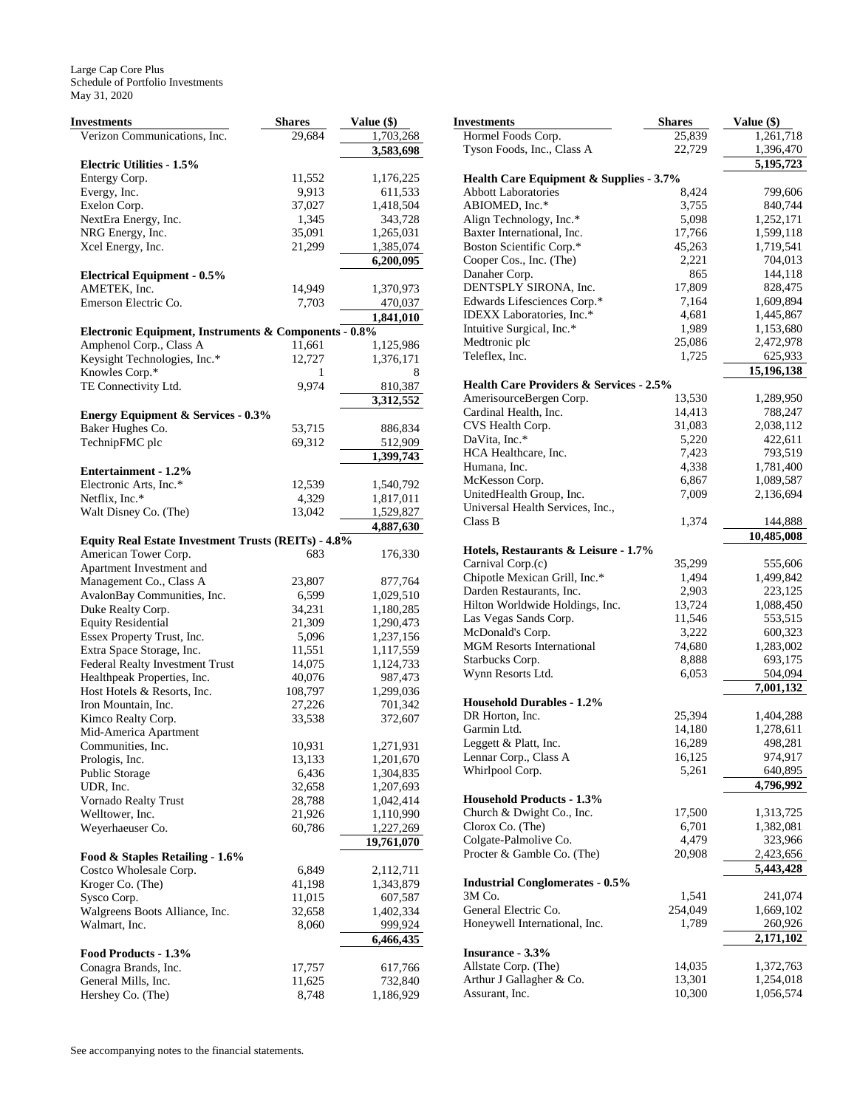| Investments                                                | <b>Shares</b>   | Value (\$)             |
|------------------------------------------------------------|-----------------|------------------------|
| Verizon Communications, Inc.                               | 29,684          | 1,703,268              |
|                                                            |                 | 3,583,698              |
| <b>Electric Utilities - 1.5%</b>                           |                 |                        |
| Entergy Corp.                                              | 11,552          | 1,176,225              |
| Evergy, Inc.                                               | 9,913           | 611,533                |
| Exelon Corp.                                               | 37,027          | 1,418,504              |
| NextEra Energy, Inc.                                       | 1,345           | 343,728                |
| NRG Energy, Inc.                                           | 35,091          | 1,265,031              |
| Xcel Energy, Inc.                                          | 21,299          | 1,385,074              |
|                                                            |                 | 6,200,095              |
| <b>Electrical Equipment - 0.5%</b>                         |                 |                        |
| AMETEK, Inc.<br>Emerson Electric Co.                       | 14,949          | 1,370,973              |
|                                                            | 7,703           | 470,037<br>1,841,010   |
| Electronic Equipment, Instruments & Components - 0.8%      |                 |                        |
| Amphenol Corp., Class A                                    | 11,661          | 1,125,986              |
| Keysight Technologies, Inc.*                               | 12,727          | 1,376,171              |
| Knowles Corp.*                                             | 1               | 8                      |
| TE Connectivity Ltd.                                       | 9,974           | 810,387                |
|                                                            |                 | 3,312,552              |
| <b>Energy Equipment &amp; Services - 0.3%</b>              |                 |                        |
| Baker Hughes Co.                                           | 53,715          | 886,834                |
| TechnipFMC plc                                             | 69,312          | 512,909                |
|                                                            |                 | 1,399,743              |
| <b>Entertainment - 1.2%</b>                                |                 |                        |
| Electronic Arts, Inc.*                                     | 12,539          | 1,540,792              |
| Netflix, Inc.*                                             | 4,329           | 1,817,011              |
| Walt Disney Co. (The)                                      | 13,042          | 1,529,827              |
|                                                            |                 | 4,887,630              |
| <b>Equity Real Estate Investment Trusts (REITs) - 4.8%</b> |                 |                        |
| American Tower Corp.                                       | 683             | 176,330                |
| Apartment Investment and                                   |                 |                        |
| Management Co., Class A                                    | 23,807          | 877,764                |
| AvalonBay Communities, Inc.                                | 6,599           | 1,029,510              |
| Duke Realty Corp.                                          | 34,231          | 1,180,285              |
| <b>Equity Residential</b>                                  | 21,309          | 1,290,473              |
| Essex Property Trust, Inc.<br>Extra Space Storage, Inc.    | 5,096<br>11,551 | 1,237,156<br>1,117,559 |
| Federal Realty Investment Trust                            | 14,075          | 1,124,733              |
| Healthpeak Properties, Inc.                                | 40,076          | 987,473                |
| Host Hotels & Resorts, Inc.                                | 108,797         | 1,299,036              |
| Iron Mountain, Inc.                                        | 27,226          | 701,342                |
| Kimco Realty Corp.                                         | 33,538          | 372,607                |
| Mid-America Apartment                                      |                 |                        |
| Communities, Inc.                                          | 10,931          | 1,271,931              |
| Prologis, Inc.                                             | 13,133          | 1,201,670              |
| <b>Public Storage</b>                                      | 6,436           | 1,304,835              |
| UDR, Inc.                                                  | 32,658          | 1,207,693              |
| Vornado Realty Trust                                       | 28,788          | 1,042,414              |
| Welltower, Inc.                                            | 21,926          | 1,110,990              |
| Weyerhaeuser Co.                                           | 60,786          | 1,227,269              |
|                                                            |                 | 19,761,070             |
| Food & Staples Retailing - 1.6%                            |                 |                        |
| Costco Wholesale Corp.                                     | 6,849           | 2,112,711              |
| Kroger Co. (The)                                           | 41,198          | 1,343,879              |
| Sysco Corp.                                                | 11,015          | 607,587                |
| Walgreens Boots Alliance, Inc.                             | 32,658          | 1,402,334              |
| Walmart, Inc.                                              | 8,060           | 999,924                |
|                                                            |                 | 6,466,435              |
| Food Products - 1.3%                                       |                 |                        |
| Conagra Brands, Inc.                                       | 17,757          | 617,766                |
| General Mills, Inc.                                        | 11,625          | 732,840                |
| Hershey Co. (The)                                          | 8,748           | 1,186,929              |

| Investments                                           | <b>Shares</b>   | Value (\$)             |
|-------------------------------------------------------|-----------------|------------------------|
| Hormel Foods Corp.                                    | 25,839          | 1,261,718              |
| Tyson Foods, Inc., Class A                            | 22,729          | 1,396,470              |
|                                                       |                 | 5,195,723              |
| Health Care Equipment & Supplies - 3.7%               |                 |                        |
| <b>Abbott Laboratories</b>                            | 8,424           | 799,606                |
| ABIOMED, Inc.*                                        | 3,755           | 840,744<br>1,252,171   |
| Align Technology, Inc.*<br>Baxter International, Inc. | 5,098<br>17,766 | 1,599,118              |
| Boston Scientific Corp.*                              | 45,263          | 1,719,541              |
| Cooper Cos., Inc. (The)                               | 2,221           | 704,013                |
| Danaher Corp.                                         | 865             | 144,118                |
| DENTSPLY SIRONA, Inc.                                 | 17,809          | 828,475                |
| Edwards Lifesciences Corp.*                           | 7,164           | 1,609,894              |
| IDEXX Laboratories, Inc.*                             | 4,681           | 1,445,867              |
| Intuitive Surgical, Inc.*                             | 1,989           | 1,153,680              |
| Medtronic plc                                         | 25,086          | 2,472,978              |
| Teleflex, Inc.                                        | 1,725           | 625,933                |
|                                                       |                 | 15,196,138             |
| <b>Health Care Providers &amp; Services - 2.5%</b>    |                 |                        |
| AmerisourceBergen Corp.                               | 13,530          | 1,289,950              |
| Cardinal Health, Inc.                                 | 14,413          | 788,247                |
| CVS Health Corp.<br>DaVita, Inc.*                     | 31,083          | 2,038,112              |
| HCA Healthcare, Inc.                                  | 5,220<br>7,423  | 422,611<br>793,519     |
| Humana, Inc.                                          | 4,338           | 1,781,400              |
| McKesson Corp.                                        | 6,867           | 1,089,587              |
| UnitedHealth Group, Inc.                              | 7,009           | 2,136,694              |
| Universal Health Services, Inc.,                      |                 |                        |
| Class B                                               | 1,374           | 144,888                |
|                                                       |                 | 10,485,008             |
| Hotels, Restaurants & Leisure - 1.7%                  |                 |                        |
| Carnival Corp.(c)                                     | 35,299          | 555,606                |
| Chipotle Mexican Grill, Inc.*                         | 1,494           | 1,499,842              |
| Darden Restaurants, Inc.                              | 2,903           | 223,125                |
| Hilton Worldwide Holdings, Inc.                       | 13,724          | 1,088,450              |
| Las Vegas Sands Corp.                                 | 11,546          | 553,515                |
| McDonald's Corp.                                      | 3,222           | 600,323                |
| <b>MGM Resorts International</b>                      | 74,680          | 1,283,002<br>693,175   |
| Starbucks Corp.<br>Wynn Resorts Ltd.                  | 8,888<br>6,053  | 504,094                |
|                                                       |                 | 7,001,132              |
| <b>Household Durables - 1.2%</b>                      |                 |                        |
| DR Horton, Inc.                                       | 25,394          | 1,404,288              |
| Garmin Ltd.                                           | 14,180          | 1,278,611              |
| Leggett & Platt, Inc.                                 | 16,289          | 498,281                |
| Lennar Corp., Class A                                 | 16,125          | 974,917                |
| Whirlpool Corp.                                       | 5,261           | 640,895                |
|                                                       |                 | 4,796,992              |
| <b>Household Products - 1.3%</b>                      |                 |                        |
| Church & Dwight Co., Inc.                             | 17,500          | 1,313,725              |
| Clorox Co. (The)                                      | 6,701           | 1,382,081              |
| Colgate-Palmolive Co.                                 | 4,479           | 323,966                |
| Procter & Gamble Co. (The)                            | 20,908          | 2,423,656<br>5,443,428 |
| <b>Industrial Conglomerates - 0.5%</b>                |                 |                        |
| 3M Co.                                                | 1,541           | 241,074                |
| General Electric Co.                                  | 254,049         | 1,669,102              |
| Honeywell International, Inc.                         | 1,789           | 260,926                |
|                                                       |                 | 2,171,102              |
| <b>Insurance - 3.3%</b>                               |                 |                        |
| Allstate Corp. (The)                                  | 14,035          | 1,372,763              |
| Arthur J Gallagher & Co.                              | 13,301          | 1,254,018              |
| Assurant, Inc.                                        | 10,300          | 1,056,574              |
|                                                       |                 |                        |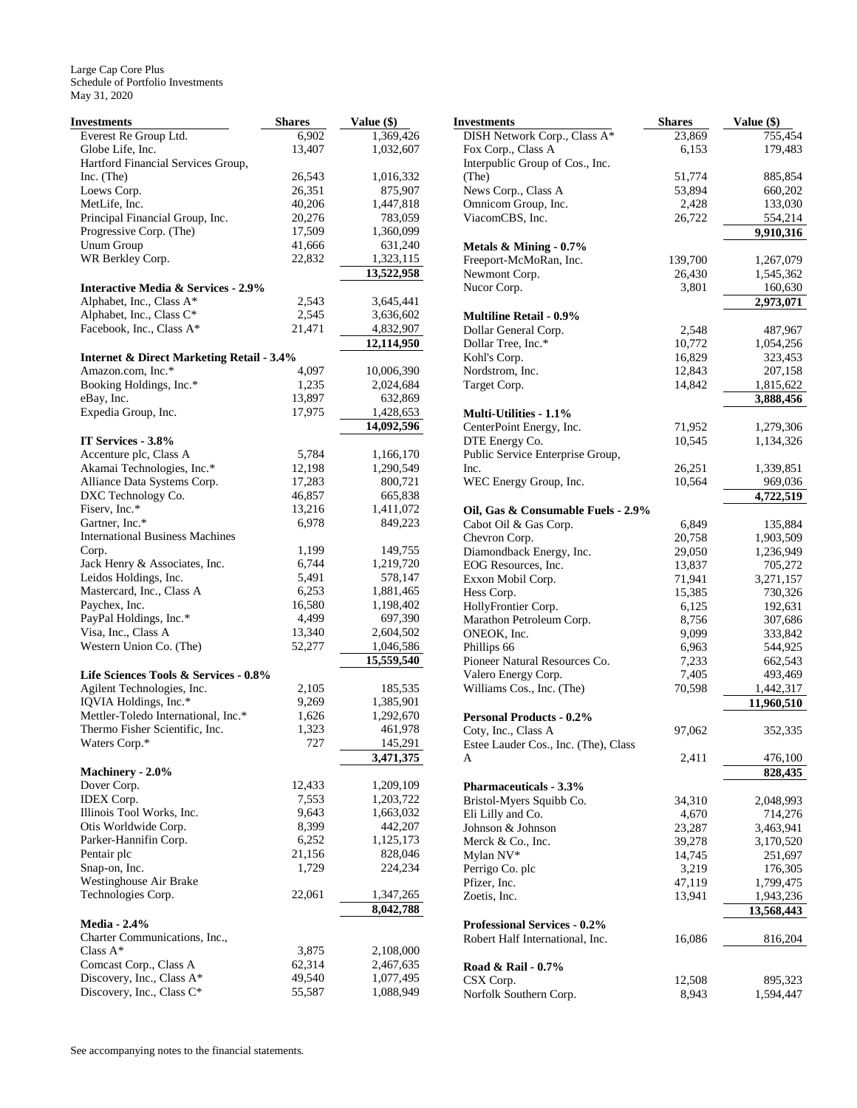| <b>Investments</b>                                   | <b>Shares</b> | Value (\$) |
|------------------------------------------------------|---------------|------------|
| Everest Re Group Ltd.                                | 6,902         | 1,369,426  |
| Globe Life, Inc.                                     | 13,407        | 1,032,607  |
| Hartford Financial Services Group,                   |               |            |
| Inc. $(The)$                                         | 26,543        | 1,016,332  |
| Loews Corp.                                          | 26,351        | 875,907    |
| MetLife, Inc.                                        | 40,206        | 1,447,818  |
| Principal Financial Group, Inc.                      | 20,276        | 783,059    |
| Progressive Corp. (The)                              | 17,509        | 1,360,099  |
| Unum Group                                           | 41,666        | 631,240    |
| WR Berkley Corp.                                     | 22,832        | 1,323,115  |
|                                                      |               | 13,522,958 |
| <b>Interactive Media &amp; Services - 2.9%</b>       |               |            |
| Alphabet, Inc., Class A*                             | 2,543         | 3,645,441  |
| Alphabet, Inc., Class C*                             | 2,545         | 3,636,602  |
| Facebook, Inc., Class A*                             | 21,471        | 4,832,907  |
|                                                      |               |            |
|                                                      |               | 12,114,950 |
| <b>Internet &amp; Direct Marketing Retail - 3.4%</b> |               |            |
| Amazon.com, Inc.*                                    | 4,097         | 10,006,390 |
| Booking Holdings, Inc.*                              | 1,235         | 2,024,684  |
| eBay, Inc.                                           | 13,897        | 632,869    |
| Expedia Group, Inc.                                  | 17,975        | 1,428,653  |
|                                                      |               | 14,092,596 |
| IT Services - 3.8%                                   |               |            |
| Accenture plc, Class A                               | 5,784         | 1,166,170  |
| Akamai Technologies, Inc.*                           | 12,198        | 1,290,549  |
| Alliance Data Systems Corp.                          | 17,283        | 800,721    |
| DXC Technology Co.                                   | 46,857        | 665,838    |
| Fiserv, Inc.*                                        | 13,216        | 1,411,072  |
| Gartner, Inc.*                                       | 6,978         | 849,223    |
| <b>International Business Machines</b>               |               |            |
| Corp.                                                | 1,199         | 149,755    |
| Jack Henry & Associates, Inc.                        | 6,744         | 1,219,720  |
| Leidos Holdings, Inc.                                | 5,491         | 578,147    |
| Mastercard, Inc., Class A                            | 6,253         | 1,881,465  |
| Paychex, Inc.                                        | 16,580        | 1,198,402  |
| PayPal Holdings, Inc.*                               | 4,499         | 697,390    |
| Visa, Inc., Class A                                  | 13,340        | 2,604,502  |
| Western Union Co. (The)                              | 52,277        | 1,046,586  |
|                                                      |               | 15,559,540 |
| Life Sciences Tools & Services - 0.8%                |               |            |
| Agilent Technologies, Inc.                           | 2,105         | 185,535    |
| IQVIA Holdings, Inc.*                                | 9,269         | 1,385,901  |
| Mettler-Toledo International, Inc.*                  | 1,626         | 1,292,670  |
|                                                      |               |            |
| Thermo Fisher Scientific, Inc.                       | 1,323         | 461,978    |
| Waters Corp.*                                        | 727           | 145,291    |
|                                                      |               | 3,471,375  |
| Machinery - 2.0%                                     |               |            |
| Dover Corp.                                          | 12,433        | 1,209,109  |
| <b>IDEX Corp.</b>                                    | 7,553         | 1,203,722  |
| Illinois Tool Works, Inc.                            | 9,643         | 1,663,032  |
| Otis Worldwide Corp.                                 | 8,399         | 442,207    |
| Parker-Hannifin Corp.                                | 6,252         | 1,125,173  |
| Pentair plc                                          | 21,156        | 828,046    |
| Snap-on, Inc.                                        | 1,729         | 224,234    |
| Westinghouse Air Brake                               |               |            |
| Technologies Corp.                                   | 22,061        | 1,347,265  |
|                                                      |               | 8,042,788  |
| <b>Media - 2.4%</b>                                  |               |            |
| Charter Communications, Inc.,                        |               |            |
| Class A*                                             | 3,875         | 2,108,000  |
| Comcast Corp., Class A                               | 62,314        | 2,467,635  |
| Discovery, Inc., Class A*                            | 49,540        | 1,077,495  |
| Discovery, Inc., Class C*                            | 55,587        | 1,088,949  |

| <b>Investments</b>                   | <b>Shares</b> | Value (\$) |
|--------------------------------------|---------------|------------|
| DISH Network Corp., Class A*         | 23,869        | 755,454    |
| Fox Corp., Class A                   | 6,153         | 179,483    |
| Interpublic Group of Cos., Inc.      |               |            |
| (The)                                | 51,774        | 885,854    |
| News Corp., Class A                  | 53,894        | 660,202    |
| Omnicom Group, Inc.                  | 2,428         | 133,030    |
| ViacomCBS, Inc.                      | 26,722        | 554,214    |
|                                      |               | 9,910,316  |
| Metals $\&$ Mining - 0.7%            |               |            |
| Freeport-McMoRan, Inc.               | 139,700       | 1,267,079  |
| Newmont Corp.                        | 26,430        | 1,545,362  |
| Nucor Corp.                          | 3,801         | 160,630    |
|                                      |               | 2,973,071  |
| <b>Multiline Retail - 0.9%</b>       |               |            |
| Dollar General Corp.                 | 2,548         | 487,967    |
| Dollar Tree, Inc.*                   | 10,772        | 1,054,256  |
| Kohl's Corp.                         | 16,829        | 323,453    |
| Nordstrom, Inc.                      | 12,843        | 207,158    |
| Target Corp.                         | 14,842        | 1,815,622  |
|                                      |               | 3,888,456  |
| Multi-Utilities - 1.1%               |               |            |
| CenterPoint Energy, Inc.             | 71,952        | 1,279,306  |
| DTE Energy Co.                       | 10,545        | 1,134,326  |
| Public Service Enterprise Group,     |               |            |
| Inc.                                 | 26,251        | 1,339,851  |
| WEC Energy Group, Inc.               | 10,564        | 969,036    |
|                                      |               | 4,722,519  |
| Oil, Gas & Consumable Fuels - 2.9%   |               |            |
| Cabot Oil & Gas Corp.                | 6,849         | 135,884    |
| Chevron Corp.                        | 20,758        | 1,903,509  |
| Diamondback Energy, Inc.             | 29,050        | 1,236,949  |
| EOG Resources, Inc.                  | 13,837        | 705,272    |
| Exxon Mobil Corp.                    | 71,941        | 3,271,157  |
| Hess Corp.                           | 15,385        | 730,326    |
| HollyFrontier Corp.                  | 6,125         | 192,631    |
| Marathon Petroleum Corp.             | 8,756         | 307,686    |
| ONEOK, Inc.                          | 9,099         | 333,842    |
| Phillips 66                          | 6,963         | 544,925    |
| Pioneer Natural Resources Co.        | 7,233         | 662,543    |
| Valero Energy Corp.                  | 7,405         | 493,469    |
| Williams Cos., Inc. (The)            | 70,598        | 1,442,317  |
|                                      |               | 11,960,510 |
| <b>Personal Products - 0.2%</b>      |               |            |
| Coty, Inc., Class A                  | 97,062        | 352,335    |
| Estee Lauder Cos., Inc. (The), Class |               |            |
| A                                    | 2,411         | 476,100    |
|                                      |               | 828,435    |
| <b>Pharmaceuticals - 3.3%</b>        |               |            |
| Bristol-Myers Squibb Co.             | 34,310        | 2,048,993  |
| Eli Lilly and Co.                    | 4,670         | 714,276    |
| Johnson & Johnson                    | 23,287        | 3,463,941  |
| Merck & Co., Inc.                    | 39,278        | 3,170,520  |
| Mylan NV*                            | 14,745        | 251,697    |
| Perrigo Co. plc                      | 3,219         | 176,305    |
| Pfizer, Inc.                         | 47,119        | 1,799,475  |
| Zoetis, Inc.                         | 13,941        | 1,943,236  |
|                                      |               | 13,568,443 |
| <b>Professional Services - 0.2%</b>  |               |            |
| Robert Half International, Inc.      | 16,086        | 816,204    |
|                                      |               |            |
| Road & Rail - 0.7%<br>CSX Corp.      | 12,508        | 895,323    |
| Norfolk Southern Corp.               | 8,943         | 1,594,447  |
|                                      |               |            |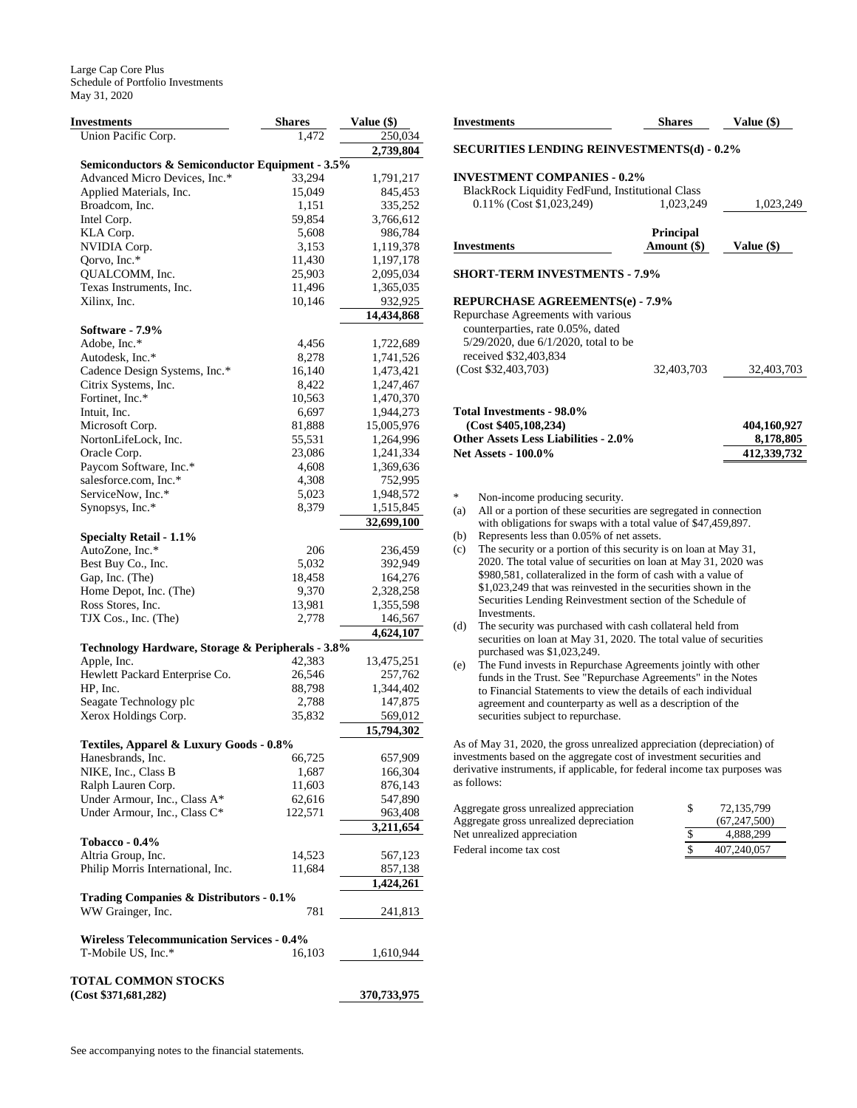| Investments                                       | <b>Shares</b> | Value (\$)  |
|---------------------------------------------------|---------------|-------------|
| Union Pacific Corp.                               | 1.472         | 250,034     |
|                                                   |               | 2,739,804   |
| Semiconductors & Semiconductor Equipment - 3.5%   |               |             |
| Advanced Micro Devices, Inc.*                     | 33,294        | 1,791,217   |
| Applied Materials, Inc.                           | 15,049        | 845,453     |
| Broadcom, Inc.                                    | 1,151         | 335,252     |
| Intel Corp.                                       | 59,854        | 3,766,612   |
| KLA Corp.                                         | 5,608         | 986,784     |
| NVIDIA Corp.                                      | 3,153         | 1,119,378   |
| Qorvo, Inc.*                                      | 11,430        | 1,197,178   |
| QUALCOMM, Inc.                                    | 25,903        | 2,095,034   |
| Texas Instruments, Inc.                           | 11,496        | 1,365,035   |
| Xilinx, Inc.                                      | 10,146        | 932,925     |
|                                                   |               | 14,434,868  |
| Software - 7.9%                                   |               |             |
| Adobe, Inc.*                                      | 4,456         | 1,722,689   |
| Autodesk, Inc.*                                   | 8,278         | 1,741,526   |
| Cadence Design Systems, Inc.*                     | 16,140        | 1,473,421   |
| Citrix Systems, Inc.                              | 8,422         | 1,247,467   |
| Fortinet, Inc.*                                   | 10,563        | 1,470,370   |
| Intuit, Inc.                                      | 6,697         | 1,944,273   |
| Microsoft Corp.                                   | 81,888        | 15,005,976  |
| NortonLifeLock, Inc.                              | 55,531        | 1,264,996   |
| Oracle Corp.                                      | 23,086        | 1,241,334   |
| Paycom Software, Inc.*                            | 4,608         | 1,369,636   |
| salesforce.com, Inc.*                             | 4,308         | 752,995     |
| ServiceNow, Inc.*                                 | 5,023         | 1,948,572   |
| Synopsys, Inc.*                                   | 8,379         | 1,515,845   |
|                                                   |               | 32,699,100  |
| <b>Specialty Retail - 1.1%</b>                    |               |             |
| AutoZone, Inc.*                                   | 206           | 236,459     |
| Best Buy Co., Inc.                                | 5,032         | 392,949     |
| Gap, Inc. (The)                                   | 18,458        | 164,276     |
| Home Depot, Inc. (The)                            | 9,370         | 2,328,258   |
| Ross Stores, Inc.                                 | 13,981        | 1,355,598   |
| TJX Cos., Inc. (The)                              | 2,778         | 146,567     |
|                                                   |               | 4,624,107   |
| Technology Hardware, Storage & Peripherals - 3.8% |               |             |
| Apple, Inc.                                       | 42,383        | 13,475,251  |
| Hewlett Packard Enterprise Co.                    | 26,546        | 257,762     |
| HP, Inc.                                          | 88,798        | 1,344,402   |
| Seagate Technology plc                            | 2,788         | 147,875     |
| Xerox Holdings Corp.                              | 35,832        | 569,012     |
|                                                   |               | 15,794,302  |
| Textiles, Apparel & Luxury Goods - 0.8%           |               |             |
| Hanesbrands, Inc.                                 | 66,725        | 657,909     |
| NIKE, Inc., Class B                               | 1,687         | 166,304     |
| Ralph Lauren Corp.                                | 11,603        | 876,143     |
| Under Armour, Inc., Class A*                      | 62,616        | 547,890     |
| Under Armour, Inc., Class C*                      | 122,571       | 963,408     |
|                                                   |               | 3,211,654   |
| <b>Tobacco - 0.4%</b>                             |               |             |
| Altria Group, Inc.                                | 14,523        | 567,123     |
| Philip Morris International, Inc.                 | 11,684        | 857,138     |
|                                                   |               | 1,424,261   |
| Trading Companies & Distributors - 0.1%           |               |             |
| WW Grainger, Inc.                                 | 781           | 241,813     |
|                                                   |               |             |
| <b>Wireless Telecommunication Services - 0.4%</b> |               |             |
| T-Mobile US, Inc.*                                | 16,103        | 1,610,944   |
|                                                   |               |             |
| TOTAL COMMON STOCKS                               |               |             |
| (Cost \$371,681,282)                              |               | 370,733,975 |

| Investments                                                                                                                                | <b>Shares</b>    | Value $(\$)$ |  |  |  |
|--------------------------------------------------------------------------------------------------------------------------------------------|------------------|--------------|--|--|--|
| <b>SECURITIES LENDING REINVESTMENTS(d) - 0.2%</b>                                                                                          |                  |              |  |  |  |
| <b>INVESTMENT COMPANIES - 0.2%</b>                                                                                                         |                  |              |  |  |  |
| <b>BlackRock Liquidity FedFund, Institutional Class</b>                                                                                    |                  |              |  |  |  |
| 0.11% (Cost \$1,023,249)                                                                                                                   | 1,023,249        | 1,023,249    |  |  |  |
|                                                                                                                                            | <b>Principal</b> |              |  |  |  |
| Investments                                                                                                                                | Amount $(\$)$    | Value $(\$)$ |  |  |  |
| <b>SHORT-TERM INVESTMENTS - 7.9%</b>                                                                                                       |                  |              |  |  |  |
| <b>REPURCHASE AGREEMENTS(e) - 7.9%</b>                                                                                                     |                  |              |  |  |  |
| Repurchase Agreements with various                                                                                                         |                  |              |  |  |  |
| counterparties, rate 0.05%, dated                                                                                                          |                  |              |  |  |  |
| 5/29/2020, due 6/1/2020, total to be                                                                                                       |                  |              |  |  |  |
| received \$32,403,834                                                                                                                      |                  |              |  |  |  |
| (Cost \$32,403,703)                                                                                                                        | 32,403,703       | 32,403,703   |  |  |  |
| Total Investments - 98.0%                                                                                                                  |                  |              |  |  |  |
| (Cost \$405,108,234)                                                                                                                       |                  | 404,160,927  |  |  |  |
| <b>Other Assets Less Liabilities - 2.0%</b>                                                                                                |                  | 8,178,805    |  |  |  |
| <b>Net Assets - 100.0%</b>                                                                                                                 |                  | 412,339,732  |  |  |  |
|                                                                                                                                            |                  |              |  |  |  |
| *<br>Non-income producing security.                                                                                                        |                  |              |  |  |  |
| All or a portion of these securities are segregated in connection<br>(a)<br>with obligations for swaps with a total value of \$47,459,897. |                  |              |  |  |  |
| Represents less than 0.05% of net assets.<br>(b)                                                                                           |                  |              |  |  |  |
| The security or a portion of this security is on loan at May 31,<br>(c)                                                                    |                  |              |  |  |  |
| 2020. The total value of securities on loan at May 31, 2020 was                                                                            |                  |              |  |  |  |
| $0.000501$ collateratived in the form of each with a value of                                                                              |                  |              |  |  |  |

\$980,581, collateralized in the form of cash with a value of \$1,023,249 that was reinvested in the securities shown in the Securities Lending Reinvestment section of the Schedule of Investments.

- (d) The security was purchased with cash collateral held from securities on loan at May 31, 2020. The total value of securities purchased was \$1,023,249.
- (e) The Fund invests in Repurchase Agreements jointly with other funds in the Trust. See "Repurchase Agreements" in the Notes to Financial Statements to view the details of each individual agreement and counterparty as well as a description of the securities subject to repurchase.

As of May 31, 2020, the gross unrealized appreciation (depreciation) of investments based on the aggregate cost of investment securities and derivative instruments, if applicable, for federal income tax purposes was as follows:

| Aggregate gross unrealized appreciation | 72.135.799   |
|-----------------------------------------|--------------|
| Aggregate gross unrealized depreciation | (67.247.500) |
| Net unrealized appreciation             | 4.888.299    |
| Federal income tax cost                 | 407.240.057  |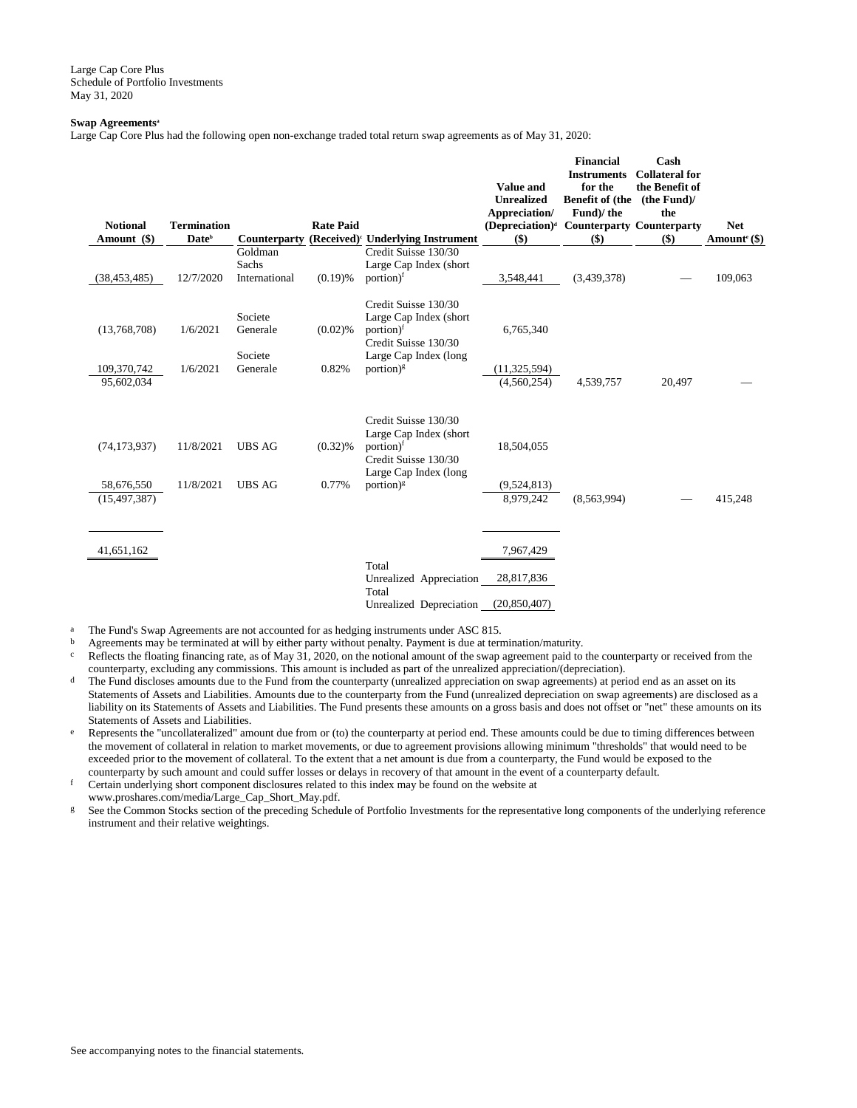## **Swap Agreements<sup>a</sup>**

Large Cap Core Plus had the following open non-exchange traded total return swap agreements as of May 31, 2020:

| <b>Notional</b><br>Amount (\$) | <b>Termination</b><br>Date <sup>b</sup> | <b>Counterparty</b>            | <b>Rate Paid</b> | (Received) <sup>c</sup> Underlying Instrument                                                                            | <b>Value and</b><br><b>Unrealized</b><br>Appreciation/<br>$(Depreciation)^d$<br>$($)$ | <b>Financial</b><br><b>Instruments</b><br>for the<br><b>Benefit of (the</b><br>Fund)/the<br><b>Counterparty Counterparty</b><br>$($)$ | Cash<br><b>Collateral for</b><br>the Benefit of<br>(the Fund)<br>the<br>$($)$ | <b>Net</b><br>Amount <sup>e</sup> $(\$)$ |
|--------------------------------|-----------------------------------------|--------------------------------|------------------|--------------------------------------------------------------------------------------------------------------------------|---------------------------------------------------------------------------------------|---------------------------------------------------------------------------------------------------------------------------------------|-------------------------------------------------------------------------------|------------------------------------------|
|                                |                                         | Goldman<br>Sachs               |                  | Credit Suisse 130/30<br>Large Cap Index (short                                                                           |                                                                                       |                                                                                                                                       |                                                                               |                                          |
| (38, 453, 485)                 | 12/7/2020                               | International                  | (0.19)%          | portion) <sup>f</sup>                                                                                                    | 3,548,441                                                                             | (3,439,378)                                                                                                                           |                                                                               | 109,063                                  |
| (13,768,708)                   | 1/6/2021                                | Societe<br>Generale<br>Societe | $(0.02)$ %       | Credit Suisse 130/30<br>Large Cap Index (short<br>portion) <sup>f</sup><br>Credit Suisse 130/30<br>Large Cap Index (long | 6,765,340                                                                             |                                                                                                                                       |                                                                               |                                          |
| 109,370,742                    | 1/6/2021                                | Generale                       | 0.82%            | portion) $\frac{1}{5}$                                                                                                   | (11, 325, 594)                                                                        |                                                                                                                                       |                                                                               |                                          |
| 95,602,034                     |                                         |                                |                  |                                                                                                                          | (4,560,254)                                                                           | 4,539,757                                                                                                                             | 20,497                                                                        |                                          |
| (74, 173, 937)                 | 11/8/2021                               | <b>UBS AG</b>                  | $(0.32)\%$       | Credit Suisse 130/30<br>Large Cap Index (short<br>portion) <sup>f</sup><br>Credit Suisse 130/30<br>Large Cap Index (long | 18,504,055                                                                            |                                                                                                                                       |                                                                               |                                          |
| 58,676,550                     | 11/8/2021                               | <b>UBS AG</b>                  | 0.77%            | portion) $\frac{1}{2}$                                                                                                   | (9,524,813)                                                                           |                                                                                                                                       |                                                                               |                                          |
| (15, 497, 387)                 |                                         |                                |                  |                                                                                                                          | 8,979,242                                                                             | (8,563,994)                                                                                                                           |                                                                               | 415,248                                  |
| 41,651,162                     |                                         |                                |                  |                                                                                                                          | 7,967,429                                                                             |                                                                                                                                       |                                                                               |                                          |
|                                |                                         |                                |                  | Total<br>Unrealized Appreciation<br>Total                                                                                | 28,817,836                                                                            |                                                                                                                                       |                                                                               |                                          |
|                                |                                         |                                |                  | Unrealized Depreciation                                                                                                  | (20, 850, 407)                                                                        |                                                                                                                                       |                                                                               |                                          |

<sup>a</sup> The Fund's Swap Agreements are not accounted for as hedging instruments under ASC 815.

<sup>b</sup> Agreements may be terminated at will by either party without penalty. Payment is due at termination/maturity.

 $c$  Reflects the floating financing rate, as of May 31, 2020, on the notional amount of the swap agreement paid to the counterparty or received from the counterparty, excluding any commissions. This amount is included as part of the unrealized appreciation/(depreciation).

- <sup>d</sup> The Fund discloses amounts due to the Fund from the counterparty (unrealized appreciation on swap agreements) at period end as an asset on its Statements of Assets and Liabilities. Amounts due to the counterparty from the Fund (unrealized depreciation on swap agreements) are disclosed as a liability on its Statements of Assets and Liabilities. The Fund presents these amounts on a gross basis and does not offset or "net" these amounts on its Statements of Assets and Liabilities.
- e Represents the "uncollateralized" amount due from or (to) the counterparty at period end. These amounts could be due to timing differences between the movement of collateral in relation to market movements, or due to agreement provisions allowing minimum "thresholds" that would need to be exceeded prior to the movement of collateral. To the extent that a net amount is due from a counterparty, the Fund would be exposed to the counterparty by such amount and could suffer losses or delays in recovery of that amount in the event of a counterparty default.

f Certain underlying short component disclosures related to this index may be found on the website at www.proshares.com/media/Large\_Cap\_Short\_May.pdf.

g See the Common Stocks section of the preceding Schedule of Portfolio Investments for the representative long components of the underlying reference instrument and their relative weightings.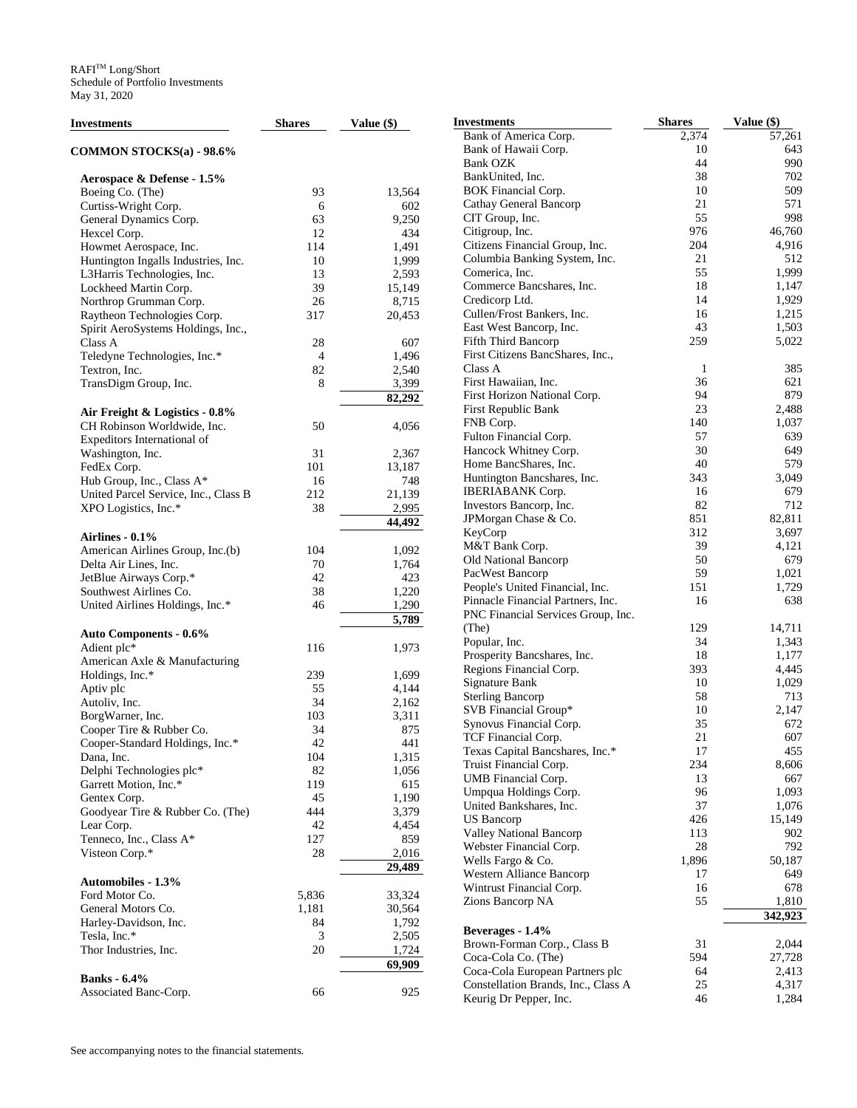| Investments                          | <b>Shares</b>  | Value $(\$)$ | <b>Investments</b>                  | <b>Shares</b> | Value (\$) |
|--------------------------------------|----------------|--------------|-------------------------------------|---------------|------------|
|                                      |                |              | Bank of America Corp.               | 2,374         | 57,261     |
| COMMON STOCKS(a) - 98.6%             |                |              | Bank of Hawaii Corp.                | 10            | 643        |
|                                      |                |              | <b>Bank OZK</b>                     | 44            | 990        |
| Aerospace & Defense - 1.5%           |                |              | BankUnited, Inc.                    | 38            | 702        |
| Boeing Co. (The)                     | 93             | 13,564       | <b>BOK</b> Financial Corp.          | 10            | 509        |
| Curtiss-Wright Corp.                 | 6              | 602          | Cathay General Bancorp              | 21            | 571        |
| General Dynamics Corp.               | 63             | 9,250        | CIT Group, Inc.                     | 55            | 998        |
|                                      | 12             | 434          | Citigroup, Inc.                     | 976           | 46,760     |
| Hexcel Corp.                         |                |              | Citizens Financial Group, Inc.      | 204           | 4,916      |
| Howmet Aerospace, Inc.               | 114            | 1,491        |                                     |               |            |
| Huntington Ingalls Industries, Inc.  | 10             | 1,999        | Columbia Banking System, Inc.       | 21            | 512        |
| L3Harris Technologies, Inc.          | 13             | 2,593        | Comerica, Inc.                      | 55            | 1,999      |
| Lockheed Martin Corp.                | 39             | 15,149       | Commerce Bancshares, Inc.           | 18            | 1,147      |
| Northrop Grumman Corp.               | 26             | 8,715        | Credicorp Ltd.                      | 14            | 1,929      |
| Raytheon Technologies Corp.          | 317            | 20,453       | Cullen/Frost Bankers, Inc.          | 16            | 1,215      |
| Spirit AeroSystems Holdings, Inc.,   |                |              | East West Bancorp, Inc.             | 43            | 1,503      |
| Class A                              | 28             | 607          | Fifth Third Bancorp                 | 259           | 5,022      |
| Teledyne Technologies, Inc.*         | $\overline{4}$ | 1,496        | First Citizens BancShares, Inc.,    |               |            |
| Textron, Inc.                        | 82             | 2,540        | Class A                             | 1             | 385        |
|                                      | 8              | 3,399        | First Hawaiian, Inc.                | 36            | 621        |
| TransDigm Group, Inc.                |                |              | First Horizon National Corp.        | 94            | 879        |
|                                      |                | 82,292       |                                     |               |            |
| Air Freight & Logistics - 0.8%       |                |              | First Republic Bank                 | 23            | 2,488      |
| CH Robinson Worldwide, Inc.          | 50             | 4,056        | FNB Corp.                           | 140           | 1,037      |
| Expeditors International of          |                |              | Fulton Financial Corp.              | 57            | 639        |
| Washington, Inc.                     | 31             | 2,367        | Hancock Whitney Corp.               | 30            | 649        |
| FedEx Corp.                          | 101            | 13,187       | Home BancShares, Inc.               | 40            | 579        |
| Hub Group, Inc., Class A*            | 16             | 748          | Huntington Bancshares, Inc.         | 343           | 3,049      |
| United Parcel Service, Inc., Class B | 212            | 21,139       | <b>IBERIABANK Corp.</b>             | 16            | 679        |
| XPO Logistics, Inc.*                 | 38             | 2,995        | Investors Bancorp, Inc.             | 82            | 712        |
|                                      |                |              | JPMorgan Chase & Co.                | 851           | 82,811     |
|                                      |                | 44,492       | KeyCorp                             | 312           | 3,697      |
| Airlines - $0.1\%$                   |                |              | M&T Bank Corp.                      | 39            | 4,121      |
| American Airlines Group, Inc.(b)     | 104            | 1,092        |                                     | 50            | 679        |
| Delta Air Lines, Inc.                | 70             | 1,764        | Old National Bancorp                |               |            |
| JetBlue Airways Corp.*               | 42             | 423          | PacWest Bancorp                     | 59            | 1,021      |
| Southwest Airlines Co.               | 38             | 1,220        | People's United Financial, Inc.     | 151           | 1,729      |
| United Airlines Holdings, Inc.*      | 46             | 1,290        | Pinnacle Financial Partners, Inc.   | 16            | 638        |
|                                      |                | 5,789        | PNC Financial Services Group, Inc.  |               |            |
| Auto Components - 0.6%               |                |              | (The)                               | 129           | 14,711     |
| Adient plc*                          | 116            |              | Popular, Inc.                       | 34            | 1,343      |
|                                      |                | 1,973        | Prosperity Bancshares, Inc.         | 18            | 1,177      |
| American Axle & Manufacturing        |                |              | Regions Financial Corp.             | 393           | 4,445      |
| Holdings, Inc.*                      | 239            | 1,699        | Signature Bank                      | 10            | 1,029      |
| Aptiv plc                            | 55             | 4,144        | <b>Sterling Bancorp</b>             | 58            | 713        |
| Autoliv, Inc.                        | 34             | 2,162        | SVB Financial Group*                | 10            | 2,147      |
| BorgWarner, Inc.                     | 103            | 3,311        |                                     | 35            | 672        |
| Cooper Tire & Rubber Co.             | 34             | 875          | Synovus Financial Corp.             |               |            |
| Cooper-Standard Holdings, Inc.*      | 42             | 441          | TCF Financial Corp.                 | 21            | 607        |
| Dana, Inc.                           | 104            | 1,315        | Texas Capital Bancshares, Inc.*     | 17            | 455        |
| Delphi Technologies plc*             | 82             | 1,056        | Truist Financial Corp.              | 234           | 8,606      |
| Garrett Motion, Inc.*                | 119            | 615          | UMB Financial Corp.                 | 13            | 667        |
| Gentex Corp.                         | 45             | 1,190        | Umpqua Holdings Corp.               | 96            | 1,093      |
| Goodyear Tire & Rubber Co. (The)     | 444            |              | United Bankshares, Inc.             | 37            | 1,076      |
|                                      |                | 3,379        | <b>US</b> Bancorp                   | 426           | 15,149     |
| Lear Corp.                           | 42             | 4,454        | Valley National Bancorp             | 113           | 902        |
| Tenneco, Inc., Class A*              | 127            | 859          | Webster Financial Corp.             | 28            | 792        |
| Visteon Corp.*                       | $28\,$         | 2,016        | Wells Fargo & Co.                   | 1,896         | 50,187     |
|                                      |                | 29,489       | Western Alliance Bancorp            | 17            | 649        |
| <b>Automobiles - 1.3%</b>            |                |              |                                     |               |            |
| Ford Motor Co.                       | 5,836          | 33,324       | Wintrust Financial Corp.            | 16            | 678        |
| General Motors Co.                   | 1,181          | 30,564       | Zions Bancorp NA                    | 55            | 1,810      |
| Harley-Davidson, Inc.                | 84             | 1,792        |                                     |               | 342,923    |
| Tesla, Inc.*                         | 3              | 2,505        | Beverages - 1.4%                    |               |            |
| Thor Industries, Inc.                | 20             | 1,724        | Brown-Forman Corp., Class B         | 31            | 2,044      |
|                                      |                |              | Coca-Cola Co. (The)                 | 594           | 27,728     |
|                                      |                | 69,909       | Coca-Cola European Partners plc     | 64            | 2,413      |
| <b>Banks</b> - 6.4%                  |                |              | Constellation Brands, Inc., Class A | 25            | 4,317      |
| Associated Banc-Corp.                | 66             | 925          | Keurig Dr Pepper, Inc.              | 46            | 1,284      |
|                                      |                |              |                                     |               |            |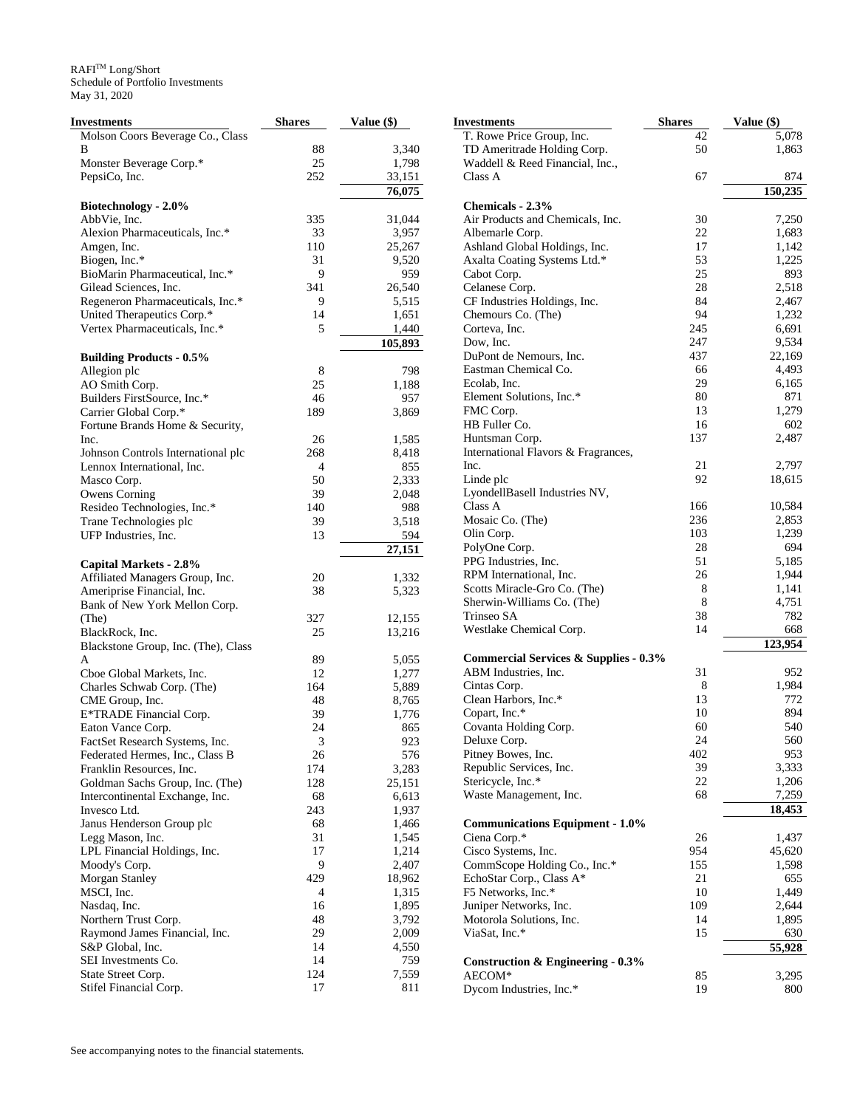| Investments                                   | <b>Shares</b> | Value (\$)     |
|-----------------------------------------------|---------------|----------------|
| Molson Coors Beverage Co., Class              |               |                |
| В                                             | 88            | 3,340          |
| Monster Beverage Corp.*                       | 25            | 1,798          |
| PepsiCo, Inc.                                 | 252           | 33,151         |
|                                               |               | 76,075         |
| Biotechnology - 2.0%                          |               |                |
| AbbVie, Inc.                                  | 335           | 31,044         |
| Alexion Pharmaceuticals, Inc.*                | 33            | 3,957          |
| Amgen, Inc.                                   | 110           | 25,267         |
| Biogen, Inc.*                                 | 31            | 9,520          |
| BioMarin Pharmaceutical, Inc.*                | 9             | 959            |
| Gilead Sciences, Inc.                         | 341           | 26,540         |
| Regeneron Pharmaceuticals, Inc.*              | 9             | 5,515          |
| United Therapeutics Corp.*                    | 14            | 1,651          |
| Vertex Pharmaceuticals, Inc.*                 | 5             | 1,440          |
|                                               |               | 105,893        |
| <b>Building Products - 0.5%</b>               | 8             | 798            |
| Allegion plc<br>AO Smith Corp.                | 25            | 1,188          |
| Builders FirstSource, Inc.*                   | 46            | 957            |
| Carrier Global Corp.*                         | 189           | 3,869          |
| Fortune Brands Home & Security,               |               |                |
| Inc.                                          | 26            | 1,585          |
| Johnson Controls International plc            | 268           | 8,418          |
| Lennox International, Inc.                    | 4             | 855            |
| Masco Corp.                                   | 50            | 2,333          |
| <b>Owens Corning</b>                          | 39            | 2,048          |
| Resideo Technologies, Inc.*                   | 140           | 988            |
| Trane Technologies plc                        | 39            | 3,518          |
| UFP Industries, Inc.                          | 13            | 594            |
|                                               |               | 27,151         |
| Capital Markets - 2.8%                        |               |                |
| Affiliated Managers Group, Inc.               | 20            | 1,332          |
| Ameriprise Financial, Inc.                    | 38            | 5,323          |
| Bank of New York Mellon Corp.                 |               |                |
| (The)                                         | 327           | 12,155         |
| BlackRock, Inc.                               | 25            | 13,216         |
| Blackstone Group, Inc. (The), Class           |               |                |
| A                                             | 89            | 5,055          |
| Cboe Global Markets, Inc.                     | 12<br>164     | 1,277          |
| Charles Schwab Corp. (The)<br>CME Group, Inc. | 48            | 5,889<br>8,765 |
| E*TRADE Financial Corp.                       | 39            | 1,776          |
| Eaton Vance Corp.                             | 24            | 865            |
| FactSet Research Systems, Inc.                | 3             | 923            |
| Federated Hermes, Inc., Class B               | 26            | 576            |
| Franklin Resources, Inc.                      | 174           | 3,283          |
| Goldman Sachs Group, Inc. (The)               | 128           | 25,151         |
| Intercontinental Exchange, Inc.               | 68            | 6,613          |
| Invesco Ltd.                                  | 243           | 1,937          |
| Janus Henderson Group plc                     | 68            | 1,466          |
| Legg Mason, Inc.                              | 31            | 1,545          |
| LPL Financial Holdings, Inc.                  | 17            | 1,214          |
| Moody's Corp.                                 | 9             | 2,407          |
| Morgan Stanley                                | 429           | 18,962         |
| MSCI, Inc.                                    | 4             | 1,315          |
| Nasdaq, Inc.                                  | 16            | 1,895          |
| Northern Trust Corp.                          | 48            | 3,792          |
| Raymond James Financial, Inc.                 | 29            | 2,009          |
| S&P Global, Inc.                              | 14            | 4,550          |
| SEI Investments Co.                           | 14            | 759            |
| State Street Corp.                            | 124           | 7,559          |
| Stifel Financial Corp.                        | 17            | 811            |

| Investments                                      | Shares | Value (\$) |
|--------------------------------------------------|--------|------------|
| T. Rowe Price Group, Inc.                        | 42     | 5,078      |
| TD Ameritrade Holding Corp.                      | 50     | 1,863      |
| Waddell & Reed Financial, Inc.,                  |        |            |
| Class A                                          | 67     | 874        |
|                                                  |        | 150,235    |
| Chemicals - 2.3%                                 |        |            |
| Air Products and Chemicals, Inc.                 | 30     | 7,250      |
| Albemarle Corp.                                  | 22     | 1,683      |
| Ashland Global Holdings, Inc.                    | 17     | 1,142      |
| Axalta Coating Systems Ltd.*                     | 53     | 1,225      |
| Cabot Corp.                                      | 25     | 893        |
| Celanese Corp.                                   | 28     | 2,518      |
| CF Industries Holdings, Inc.                     | 84     | 2,467      |
| Chemours Co. (The)                               | 94     | 1,232      |
| Corteva, Inc.                                    | 245    | 6,691      |
| Dow, Inc.                                        | 247    | 9,534      |
| DuPont de Nemours, Inc.                          | 437    | 22,169     |
| Eastman Chemical Co.                             | 66     | 4,493      |
| Ecolab. Inc.                                     | 29     | 6,165      |
| Element Solutions, Inc.*                         | 80     | 871        |
| FMC Corp.                                        | 13     | 1,279      |
| HB Fuller Co.                                    | 16     | 602        |
| Huntsman Corp.                                   | 137    | 2,487      |
| International Flavors & Fragrances,              |        |            |
| Inc.                                             | 21     | 2,797      |
| Linde plc                                        | 92     | 18,615     |
| LyondellBasell Industries NV,                    |        |            |
| Class A                                          | 166    | 10,584     |
| Mosaic Co. (The)                                 | 236    | 2,853      |
| Olin Corp.                                       | 103    | 1,239      |
| PolyOne Corp.                                    | 28     | 694        |
| PPG Industries, Inc.                             | 51     | 5,185      |
| RPM International, Inc.                          | 26     | 1,944      |
| Scotts Miracle-Gro Co. (The)                     | 8      | 1,141      |
| Sherwin-Williams Co. (The)                       | 8      | 4,751      |
| Trinseo SA                                       | 38     | 782        |
| Westlake Chemical Corp.                          | 14     | 668        |
|                                                  |        | 123,954    |
| <b>Commercial Services &amp; Supplies - 0.3%</b> |        |            |
| ABM Industries, Inc.                             | 31     | 952        |
| Cintas Corp.                                     | 8      | 1,984      |
| Clean Harbors, Inc.*                             | 13     | 772        |
| Copart, Inc.*                                    | 10     | 894        |
| Covanta Holding Corp.                            | 60     | 540        |
| Deluxe Corp.                                     | 24     | 560        |
| Pitney Bowes, Inc.                               | 402    | 953        |
| Republic Services, Inc.                          | 39     | 3,333      |
| Stericycle, Inc.*                                | 22     | 1,206      |
| Waste Management, Inc.                           | 68     | 7,259      |
|                                                  |        | 18,453     |
| <b>Communications Equipment - 1.0%</b>           |        |            |
| Ciena Corp.*                                     | 26     | 1,437      |
| Cisco Systems, Inc.                              | 954    | 45,620     |
| CommScope Holding Co., Inc.*                     | 155    | 1,598      |
| EchoStar Corp., Class A*                         | 21     | 655        |
| F5 Networks, Inc.*                               | 10     | 1,449      |
| Juniper Networks, Inc.                           | 109    | 2,644      |
| Motorola Solutions, Inc.                         | 14     | 1,895      |
| ViaSat, Inc.*                                    | 15     | 630        |
|                                                  |        | 55,928     |
| <b>Construction &amp; Engineering - 0.3%</b>     |        |            |
| AECOM*                                           | 85     | 3,295      |
| Dycom Industries, Inc.*                          | 19     | 800        |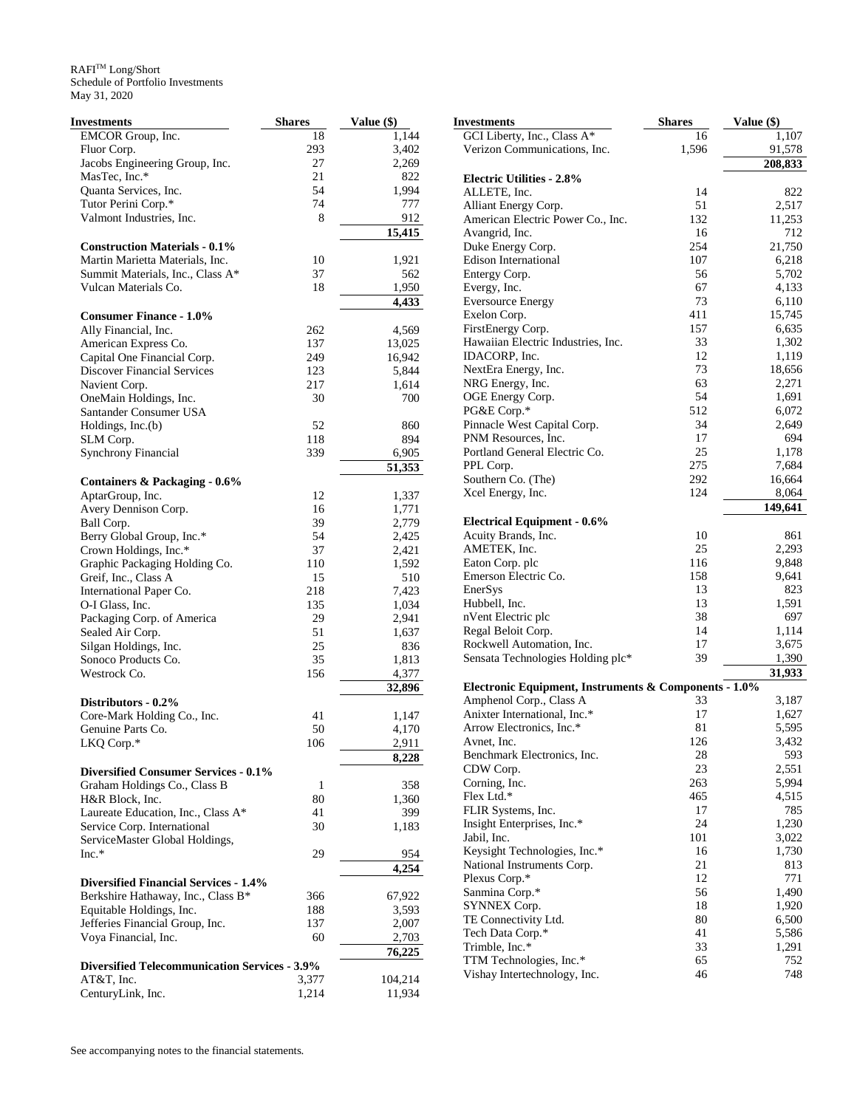| <b>Investments</b>                                   | <b>Shares</b> | Value (\$)          | <b>Investments</b>                                    | <b>Shares</b> | Value (\$)         |
|------------------------------------------------------|---------------|---------------------|-------------------------------------------------------|---------------|--------------------|
| EMCOR Group, Inc.                                    | 18            | 1,144               | GCI Liberty, Inc., Class A*                           | 16            | $\overline{1,107}$ |
| Fluor Corp.                                          | 293           | 3,402               | Verizon Communications, Inc.                          | 1,596         | 91,578             |
| Jacobs Engineering Group, Inc.                       | 27            | 2,269               |                                                       |               | 208,833            |
| MasTec, Inc.*                                        | 21            | 822                 | <b>Electric Utilities - 2.8%</b>                      |               |                    |
| Quanta Services, Inc.                                | 54            | 1,994               | ALLETE, Inc.                                          | 14            | 822                |
| Tutor Perini Corp.*                                  | 74            | 777                 | Alliant Energy Corp.                                  | 51            | 2,517              |
| Valmont Industries, Inc.                             | 8             | 912                 | American Electric Power Co., Inc.                     | 132           | 11,253             |
|                                                      |               | 15,415              | Avangrid, Inc.                                        | 16            | 712                |
| <b>Construction Materials - 0.1%</b>                 |               |                     | Duke Energy Corp.                                     | 254           | 21,750             |
| Martin Marietta Materials, Inc.                      | 10            | 1,921               | <b>Edison International</b>                           | 107           | 6,218              |
| Summit Materials, Inc., Class A*                     | 37            | 562                 | Entergy Corp.                                         | 56            | 5,702              |
| Vulcan Materials Co.                                 | 18            | 1,950               | Evergy, Inc.                                          | 67            | 4,133              |
|                                                      |               | 4,433               | <b>Eversource Energy</b>                              | 73            | 6,110              |
| <b>Consumer Finance - 1.0%</b>                       |               |                     | Exelon Corp.                                          | 411           | 15,745             |
| Ally Financial, Inc.                                 | 262           | 4,569               | FirstEnergy Corp.                                     | 157           | 6,635              |
| American Express Co.                                 | 137           | 13,025              | Hawaiian Electric Industries, Inc.                    | 33            | 1,302              |
| Capital One Financial Corp.                          | 249           | 16,942              | IDACORP, Inc.                                         | 12            | 1,119              |
| Discover Financial Services                          | 123           | 5,844               | NextEra Energy, Inc.                                  | 73            | 18,656             |
| Navient Corp.                                        | 217           | 1,614               | NRG Energy, Inc.                                      | 63            | 2,271              |
| OneMain Holdings, Inc.                               | 30            | 700                 | OGE Energy Corp.                                      | 54            | 1,691              |
| Santander Consumer USA                               |               |                     | PG&E Corp.*                                           | 512           | 6,072              |
| Holdings, Inc.(b)                                    | 52            | 860                 | Pinnacle West Capital Corp.                           | 34            | 2,649              |
| SLM Corp.                                            | 118           | 894                 | PNM Resources, Inc.                                   | 17            | 694                |
| <b>Synchrony Financial</b>                           | 339           | 6,905               | Portland General Electric Co.                         | 25            | 1,178              |
|                                                      |               | $\overline{51,353}$ | PPL Corp.                                             | 275           | 7,684              |
| Containers & Packaging - 0.6%                        |               |                     | Southern Co. (The)                                    | 292           | 16,664             |
| AptarGroup, Inc.                                     | 12            | 1,337               | Xcel Energy, Inc.                                     | 124           | 8,064              |
| Avery Dennison Corp.                                 | 16            | 1,771               |                                                       |               | 149,641            |
| Ball Corp.                                           | 39            | 2,779               | <b>Electrical Equipment - 0.6%</b>                    |               |                    |
| Berry Global Group, Inc.*                            | 54            | 2,425               | Acuity Brands, Inc.                                   | 10            | 861                |
| Crown Holdings, Inc.*                                | 37            | 2,421               | AMETEK, Inc.                                          | 25            | 2,293              |
| Graphic Packaging Holding Co.                        | 110           | 1,592               | Eaton Corp. plc                                       | 116           | 9,848              |
| Greif, Inc., Class A                                 | 15            | 510                 | Emerson Electric Co.                                  | 158           | 9,641              |
| International Paper Co.                              | 218           | 7,423               | EnerSys                                               | 13            | 823                |
| O-I Glass, Inc.                                      | 135           | 1,034               | Hubbell, Inc.                                         | 13            | 1,591              |
| Packaging Corp. of America                           | 29            | 2,941               | nVent Electric plc                                    | 38            | 697                |
| Sealed Air Corp.                                     | 51            | 1,637               | Regal Beloit Corp.                                    | 14            | 1,114              |
| Silgan Holdings, Inc.                                | 25            | 836                 | Rockwell Automation, Inc.                             | 17            | 3,675              |
| Sonoco Products Co.                                  | 35            | 1,813               | Sensata Technologies Holding plc*                     | 39            | 1,390              |
| Westrock Co.                                         | 156           | 4,377               |                                                       |               | 31,933             |
|                                                      |               | 32,896              | Electronic Equipment, Instruments & Components - 1.0% |               |                    |
| Distributors - 0.2%                                  |               |                     | Amphenol Corp., Class A                               | 33            | 3,187              |
| Core-Mark Holding Co., Inc.                          | 41            | 1,147               | Anixter International, Inc.*                          | 17            | 1,627              |
| Genuine Parts Co.                                    | 50            | 4,170               | Arrow Electronics, Inc.*                              | 81            | 5,595              |
| LKQ Corp.*                                           | 106           | 2,911               | Avnet, Inc.                                           | 126           | 3,432              |
|                                                      |               | 8,228               | Benchmark Electronics, Inc.                           | 28            | 593                |
| <b>Diversified Consumer Services - 0.1%</b>          |               |                     | CDW Corp.                                             | 23            | 2,551              |
| Graham Holdings Co., Class B                         | 1             | 358                 | Corning, Inc.                                         | 263           | 5,994              |
| H&R Block, Inc.                                      | 80            | 1,360               | Flex Ltd.*                                            | 465           | 4,515              |
| Laureate Education, Inc., Class A*                   | 41            | 399                 | FLIR Systems, Inc.                                    | 17            | 785                |
| Service Corp. International                          | 30            | 1,183               | Insight Enterprises, Inc.*                            | 24            | 1,230              |
| ServiceMaster Global Holdings,                       |               |                     | Jabil, Inc.                                           | 101           | 3,022              |
| $Inc.*$                                              | 29            | 954                 | Keysight Technologies, Inc.*                          | 16            | 1,730              |
|                                                      |               | 4,254               | National Instruments Corp.                            | 21            | 813                |
| <b>Diversified Financial Services - 1.4%</b>         |               |                     | Plexus Corp.*                                         | 12            | 771                |
|                                                      |               |                     | Sanmina Corp.*                                        | 56            | 1,490              |
| Berkshire Hathaway, Inc., Class B*                   | 366           | 67,922              | SYNNEX Corp.                                          | 18            | 1,920              |
| Equitable Holdings, Inc.                             | 188           | 3,593               | TE Connectivity Ltd.                                  | 80            | 6,500              |
| Jefferies Financial Group, Inc.                      | 137<br>60     | 2,007               | Tech Data Corp.*                                      | 41            | 5,586              |
| Voya Financial, Inc.                                 |               | 2,703               | Trimble, Inc.*                                        | 33            | 1,291              |
|                                                      |               | 76,225              | TTM Technologies, Inc.*                               | 65            | 752                |
| <b>Diversified Telecommunication Services - 3.9%</b> |               |                     | Vishay Intertechnology, Inc.                          | 46            | 748                |
| AT&T, Inc.                                           | 3,377         | 104,214             |                                                       |               |                    |
| CenturyLink, Inc.                                    | 1,214         | 11,934              |                                                       |               |                    |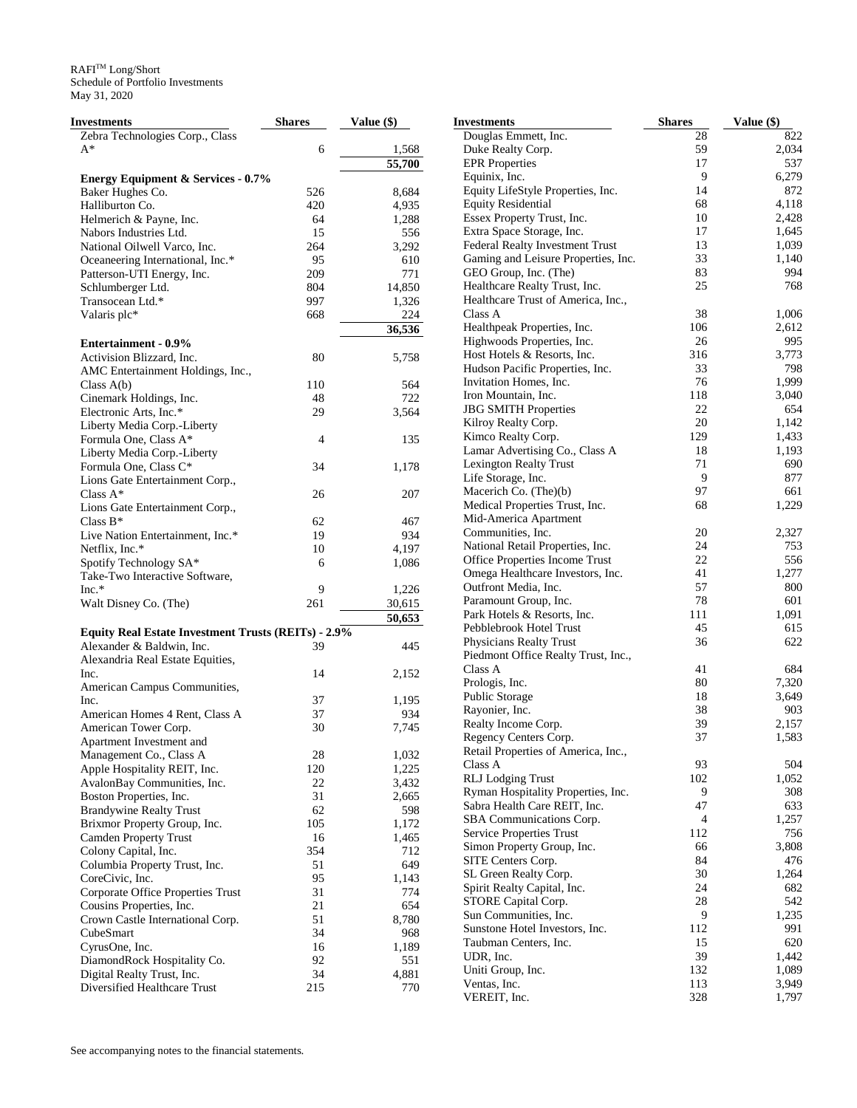$\mathbb{R}\mathsf{A}\mathsf{F}\mathsf{I}^{\mathsf{TM}}$  Long/Short Schedule of Portfolio Investments May 31, 2020

| <b>Investments</b>                                         | <b>Shares</b>  | Value (\$) | <b>Investments</b>                                   | <b>Shares</b> | Value (\$) |
|------------------------------------------------------------|----------------|------------|------------------------------------------------------|---------------|------------|
| Zebra Technologies Corp., Class                            |                |            | Douglas Emmett, Inc.                                 | 28            | 822        |
| $A^*$                                                      | 6              | 1,568      | Duke Realty Corp.                                    | 59            | 2,034      |
|                                                            |                | 55,700     | <b>EPR</b> Properties                                | 17            | 537        |
| <b>Energy Equipment &amp; Services - 0.7%</b>              |                |            | Equinix, Inc.                                        | 9             | 6,279      |
| Baker Hughes Co.                                           | 526            | 8,684      | Equity LifeStyle Properties, Inc.                    | 14            | 872        |
| Halliburton Co.                                            | 420            | 4,935      | <b>Equity Residential</b>                            | 68            | 4,118      |
| Helmerich & Payne, Inc.                                    | 64             | 1,288      | Essex Property Trust, Inc.                           | 10            | 2,428      |
| Nabors Industries Ltd.                                     | 15             | 556        | Extra Space Storage, Inc.                            | 17            | 1,645      |
| National Oilwell Varco, Inc.                               | 264            | 3,292      | Federal Realty Investment Trust                      | 13            | 1,039      |
| Oceaneering International, Inc.*                           | 95             | 610        | Gaming and Leisure Properties, Inc.                  | 33            | 1,140      |
| Patterson-UTI Energy, Inc.                                 | 209            | 771        | GEO Group, Inc. (The)                                | 83            | 994        |
| Schlumberger Ltd.                                          | 804            | 14,850     | Healthcare Realty Trust, Inc.                        | 25            | 768        |
| Transocean Ltd.*                                           | 997            | 1,326      | Healthcare Trust of America, Inc.,                   |               |            |
| Valaris plc*                                               | 668            | 224        | Class A                                              | 38            | 1,006      |
|                                                            |                | 36,536     | Healthpeak Properties, Inc.                          | 106           | 2,612      |
| <b>Entertainment - 0.9%</b>                                |                |            | Highwoods Properties, Inc.                           | 26            | 995        |
| Activision Blizzard, Inc.                                  | 80             | 5,758      | Host Hotels & Resorts, Inc.                          | 316           | 3,773      |
| AMC Entertainment Holdings, Inc.,                          |                |            | Hudson Pacific Properties, Inc.                      | 33            | 798        |
| Class $A(b)$                                               | 110            | 564        | Invitation Homes, Inc.                               | 76            | 1,999      |
| Cinemark Holdings, Inc.                                    | 48             | 722        | Iron Mountain, Inc.                                  | 118           | 3,040      |
| Electronic Arts, Inc.*                                     | 29             | 3,564      | <b>JBG SMITH Properties</b>                          | 22            | 654        |
| Liberty Media Corp.-Liberty                                |                |            | Kilroy Realty Corp.                                  | 20            | 1,142      |
| Formula One, Class A*                                      | $\overline{4}$ | 135        | Kimco Realty Corp.                                   | 129           | 1,433      |
|                                                            |                |            | Lamar Advertising Co., Class A                       | 18            | 1,193      |
| Liberty Media Corp.-Liberty                                | 34             | 1,178      | Lexington Realty Trust                               | 71            | 690        |
| Formula One, Class C*                                      |                |            | Life Storage, Inc.                                   | 9             | 877        |
| Lions Gate Entertainment Corp.,                            |                | 207        | Macerich Co. (The)(b)                                | 97            | 661        |
| Class $A^*$                                                | 26             |            | Medical Properties Trust, Inc.                       | 68            | 1,229      |
| Lions Gate Entertainment Corp.,                            |                |            | Mid-America Apartment                                |               |            |
| Class $B^*$                                                | 62             | 467        | Communities, Inc.                                    | 20            | 2,327      |
| Live Nation Entertainment, Inc.*                           | 19             | 934        | National Retail Properties, Inc.                     | 24            | 753        |
| Netflix, Inc.*                                             | 10             | 4,197      | Office Properties Income Trust                       | 22            | 556        |
| Spotify Technology SA*                                     | 6              | 1,086      | Omega Healthcare Investors, Inc.                     | 41            | 1,277      |
| Take-Two Interactive Software,                             |                |            | Outfront Media, Inc.                                 | 57            | 800        |
| $Inc.*$                                                    | 9              | 1,226      |                                                      | 78            | 601        |
| Walt Disney Co. (The)                                      | 261            | 30,615     | Paramount Group, Inc.<br>Park Hotels & Resorts, Inc. | 111           | 1,091      |
|                                                            |                | 50,653     |                                                      | 45            |            |
| <b>Equity Real Estate Investment Trusts (REITs) - 2.9%</b> |                |            | Pebblebrook Hotel Trust                              |               | 615        |
| Alexander & Baldwin, Inc.                                  | 39             | 445        | Physicians Realty Trust                              | 36            | 622        |
| Alexandria Real Estate Equities,                           |                |            | Piedmont Office Realty Trust, Inc.,                  |               | 684        |
| Inc.                                                       | 14             | 2,152      | Class A                                              | 41<br>80      |            |
| American Campus Communities,                               |                |            | Prologis, Inc.                                       |               | 7,320      |
| Inc.                                                       | 37             | 1,195      | Public Storage                                       | 18            | 3,649      |
| American Homes 4 Rent, Class A                             | 37             | 934        | Rayonier, Inc.                                       | 38            | 903        |
| American Tower Corp.                                       | 30             | 7,745      | Realty Income Corp.                                  | 39            | 2,157      |
| Apartment Investment and                                   |                |            | Regency Centers Corp.                                | 37            | 1,583      |
| Management Co., Class A                                    | 28             | 1,032      | Retail Properties of America, Inc.,                  |               |            |
| Apple Hospitality REIT, Inc.                               | 120            | 1,225      | Class A                                              | 93            | 504        |
| AvalonBay Communities, Inc.                                | 22             | 3,432      | <b>RLJ</b> Lodging Trust                             | 102           | 1,052      |
| Boston Properties, Inc.                                    | 31             | 2,665      | Ryman Hospitality Properties, Inc.                   | 9             | 308        |
| <b>Brandywine Realty Trust</b>                             | 62             | 598        | Sabra Health Care REIT, Inc.                         | 47            | 633        |
| Brixmor Property Group, Inc.                               | 105            | 1,172      | SBA Communications Corp.                             | 4             | 1,257      |
| <b>Camden Property Trust</b>                               | 16             | 1,465      | Service Properties Trust                             | 112           | 756        |
| Colony Capital, Inc.                                       | 354            | 712        | Simon Property Group, Inc.                           | 66            | 3,808      |
| Columbia Property Trust, Inc.                              | 51             | 649        | SITE Centers Corp.                                   | 84            | 476        |
| CoreCivic, Inc.                                            | 95             | 1,143      | SL Green Realty Corp.                                | 30            | 1,264      |
| Corporate Office Properties Trust                          | 31             | 774        | Spirit Realty Capital, Inc.                          | 24            | 682        |
| Cousins Properties, Inc.                                   | 21             | 654        | STORE Capital Corp.                                  | $28\,$        | 542        |
| Crown Castle International Corp.                           | 51             | 8,780      | Sun Communities, Inc.                                | 9             | 1,235      |
| CubeSmart                                                  | 34             | 968        | Sunstone Hotel Investors, Inc.                       | 112           | 991        |
| CyrusOne, Inc.                                             | 16             | 1,189      | Taubman Centers, Inc.                                | 15            | 620        |
| DiamondRock Hospitality Co.                                | 92             | 551        | UDR, Inc.                                            | 39            | 1,442      |
| Digital Realty Trust, Inc.                                 | 34             | 4,881      | Uniti Group, Inc.                                    | 132           | 1,089      |
| Diversified Healthcare Trust                               | 215            | 770        | Ventas, Inc.                                         | 113           | 3,949      |
|                                                            |                |            | VEREIT, Inc.                                         | 328           | 1,797      |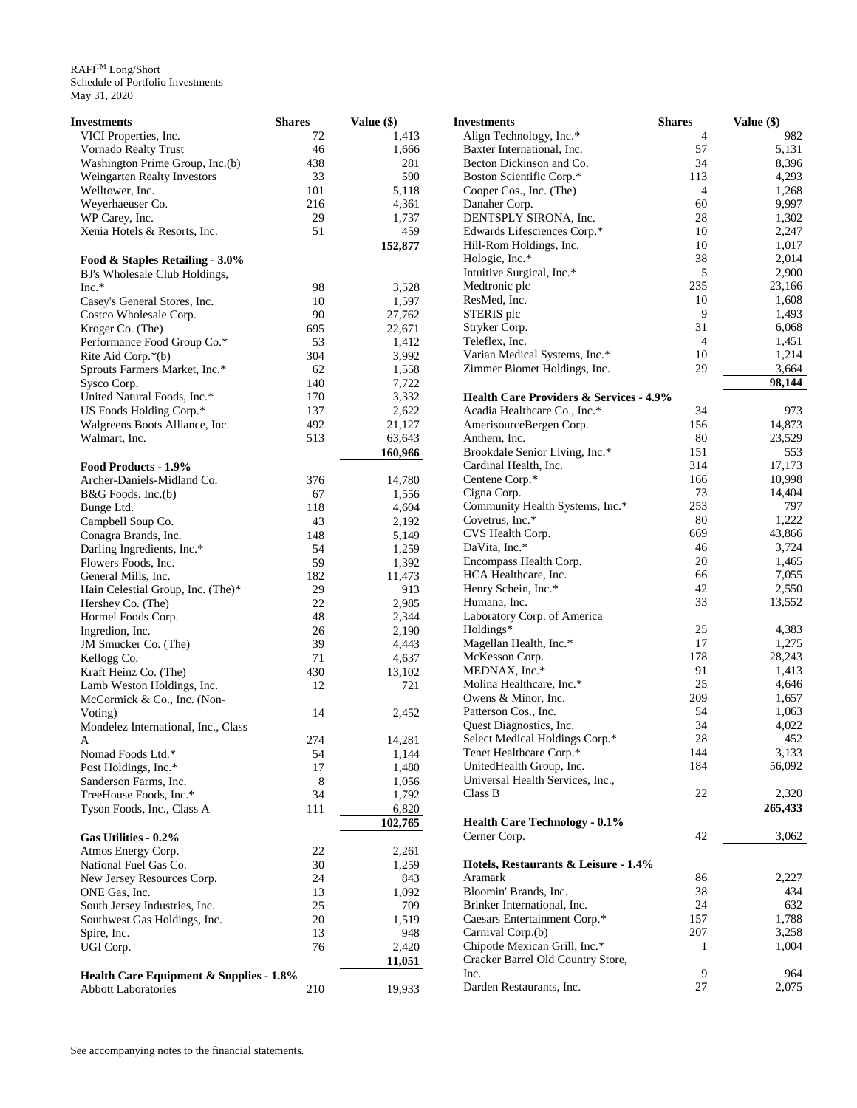| <b>Investments</b>                      | <b>Shares</b> | Value (\$) | <b>Investments</b>                                 | <b>Shares</b>  | Value (\$) |
|-----------------------------------------|---------------|------------|----------------------------------------------------|----------------|------------|
| VICI Properties, Inc.                   | 72            | 1,413      | Align Technology, Inc.*                            | 4              | 982        |
| Vornado Realty Trust                    | 46            | 1,666      | Baxter International, Inc.                         | 57             | 5,131      |
| Washington Prime Group, Inc.(b)         | 438           | 281        | Becton Dickinson and Co.                           | 34             | 8,396      |
| Weingarten Realty Investors             | 33            | 590        | Boston Scientific Corp.*                           | 113            | 4,293      |
| Welltower, Inc.                         | 101           | 5,118      | Cooper Cos., Inc. (The)                            | 4              | 1,268      |
| Weyerhaeuser Co.                        | 216           | 4,361      | Danaher Corp.                                      | 60             | 9,997      |
| WP Carey, Inc.                          | 29            | 1,737      | DENTSPLY SIRONA, Inc.                              | 28             | 1,302      |
| Xenia Hotels & Resorts, Inc.            | 51            | 459        | Edwards Lifesciences Corp.*                        | 10             | 2,247      |
|                                         |               | 152,877    | Hill-Rom Holdings, Inc.                            | 10             | 1,017      |
| Food & Staples Retailing - 3.0%         |               |            | Hologic, Inc.*                                     | 38             | 2,014      |
| BJ's Wholesale Club Holdings,           |               |            | Intuitive Surgical, Inc.*                          | 5              | 2,900      |
| $Inc.*$                                 | 98            | 3,528      | Medtronic plc                                      | 235            | 23,166     |
|                                         |               | 1,597      | ResMed, Inc.                                       | 10             | 1,608      |
| Casey's General Stores, Inc.            | 10            |            | STERIS plc                                         | 9              | 1,493      |
| Costco Wholesale Corp.                  | 90            | 27,762     |                                                    | 31             | 6,068      |
| Kroger Co. (The)                        | 695           | 22,671     | Stryker Corp.                                      |                |            |
| Performance Food Group Co.*             | 53            | 1,412      | Teleflex, Inc.                                     | $\overline{4}$ | 1,451      |
| Rite Aid Corp.*(b)                      | 304           | 3,992      | Varian Medical Systems, Inc.*                      | 10             | 1,214      |
| Sprouts Farmers Market, Inc.*           | 62            | 1,558      | Zimmer Biomet Holdings, Inc.                       | 29             | 3,664      |
| Sysco Corp.                             | 140           | 7,722      |                                                    |                | 98,144     |
| United Natural Foods, Inc.*             | 170           | 3,332      | <b>Health Care Providers &amp; Services - 4.9%</b> |                |            |
| US Foods Holding Corp.*                 | 137           | 2,622      | Acadia Healthcare Co., Inc.*                       | 34             | 973        |
| Walgreens Boots Alliance, Inc.          | 492           | 21,127     | AmerisourceBergen Corp.                            | 156            | 14,873     |
| Walmart, Inc.                           | 513           | 63,643     | Anthem, Inc.                                       | 80             | 23,529     |
|                                         |               | 160,966    | Brookdale Senior Living, Inc.*                     | 151            | 553        |
| Food Products - 1.9%                    |               |            | Cardinal Health, Inc.                              | 314            | 17,173     |
| Archer-Daniels-Midland Co.              | 376           | 14,780     | Centene Corp.*                                     | 166            | 10,998     |
| B&G Foods, Inc.(b)                      | 67            | 1,556      | Cigna Corp.                                        | 73             | 14,404     |
| Bunge Ltd.                              | 118           | 4,604      | Community Health Systems, Inc.*                    | 253            | 797        |
| Campbell Soup Co.                       | 43            | 2,192      | Covetrus, Inc.*                                    | 80             | 1,222      |
| Conagra Brands, Inc.                    | 148           | 5,149      | CVS Health Corp.                                   | 669            | 43,866     |
|                                         | 54            | 1,259      | DaVita, Inc.*                                      | 46             | 3,724      |
| Darling Ingredients, Inc.*              | 59            |            | Encompass Health Corp.                             | 20             | 1,465      |
| Flowers Foods, Inc.                     |               | 1,392      | HCA Healthcare, Inc.                               | 66             | 7,055      |
| General Mills, Inc.                     | 182           | 11,473     |                                                    | 42             | 2,550      |
| Hain Celestial Group, Inc. (The)*       | 29            | 913        | Henry Schein, Inc.*                                |                |            |
| Hershey Co. (The)                       | 22            | 2,985      | Humana, Inc.                                       | 33             | 13,552     |
| Hormel Foods Corp.                      | 48            | 2,344      | Laboratory Corp. of America                        |                |            |
| Ingredion, Inc.                         | 26            | 2,190      | Holdings*                                          | 25             | 4,383      |
| JM Smucker Co. (The)                    | 39            | 4,443      | Magellan Health, Inc.*                             | 17             | 1,275      |
| Kellogg Co.                             | 71            | 4,637      | McKesson Corp.                                     | 178            | 28,243     |
| Kraft Heinz Co. (The)                   | 430           | 13,102     | MEDNAX, Inc.*                                      | 91             | 1,413      |
| Lamb Weston Holdings, Inc.              | 12            | 721        | Molina Healthcare, Inc.*                           | 25             | 4,646      |
| McCormick & Co., Inc. (Non-             |               |            | Owens & Minor, Inc.                                | 209            | 1,657      |
| Voting)                                 | 14            | 2,452      | Patterson Cos., Inc.                               | 54             | 1,063      |
| Mondelez International, Inc., Class     |               |            | Quest Diagnostics, Inc.                            | 34             | 4,022      |
|                                         | 274           | 14,281     | Select Medical Holdings Corp.*                     | 28             | 452        |
| Nomad Foods Ltd.*                       | 54            | 1,144      | Tenet Healthcare Corp.*                            | 144            | 3,133      |
| Post Holdings, Inc.*                    | 17            | 1,480      | UnitedHealth Group, Inc.                           | 184            | 56,092     |
| Sanderson Farms, Inc.                   | 8             | 1,056      | Universal Health Services, Inc.,                   |                |            |
| TreeHouse Foods, Inc.*                  | 34            | 1,792      | Class B                                            | 22             | 2,320      |
| Tyson Foods, Inc., Class A              | 111           | 6,820      |                                                    |                | 265,433    |
|                                         |               | 102,765    | <b>Health Care Technology - 0.1%</b>               |                |            |
| Gas Utilities - 0.2%                    |               |            | Cerner Corp.                                       | 42             | 3,062      |
|                                         |               |            |                                                    |                |            |
| Atmos Energy Corp.                      | 22            | 2,261      |                                                    |                |            |
| National Fuel Gas Co.                   | 30            | 1,259      | Hotels, Restaurants & Leisure - 1.4%               |                |            |
| New Jersey Resources Corp.              | 24            | 843        | Aramark                                            | 86             | 2,227      |
| ONE Gas, Inc.                           | 13            | 1,092      | Bloomin' Brands, Inc.                              | 38             | 434        |
| South Jersey Industries, Inc.           | 25            | 709        | Brinker International, Inc.                        | 24             | 632        |
| Southwest Gas Holdings, Inc.            | 20            | 1,519      | Caesars Entertainment Corp.*                       | 157            | 1,788      |
| Spire, Inc.                             | 13            | 948        | Carnival Corp.(b)                                  | 207            | 3,258      |
| UGI Corp.                               | 76            | 2,420      | Chipotle Mexican Grill, Inc.*                      | 1              | 1,004      |
|                                         |               | 11,051     | Cracker Barrel Old Country Store,                  |                |            |
| Health Care Equipment & Supplies - 1.8% |               |            | Inc.                                               | 9              | 964        |
| <b>Abbott Laboratories</b>              | 210           | 19,933     | Darden Restaurants, Inc.                           | 27             | 2,075      |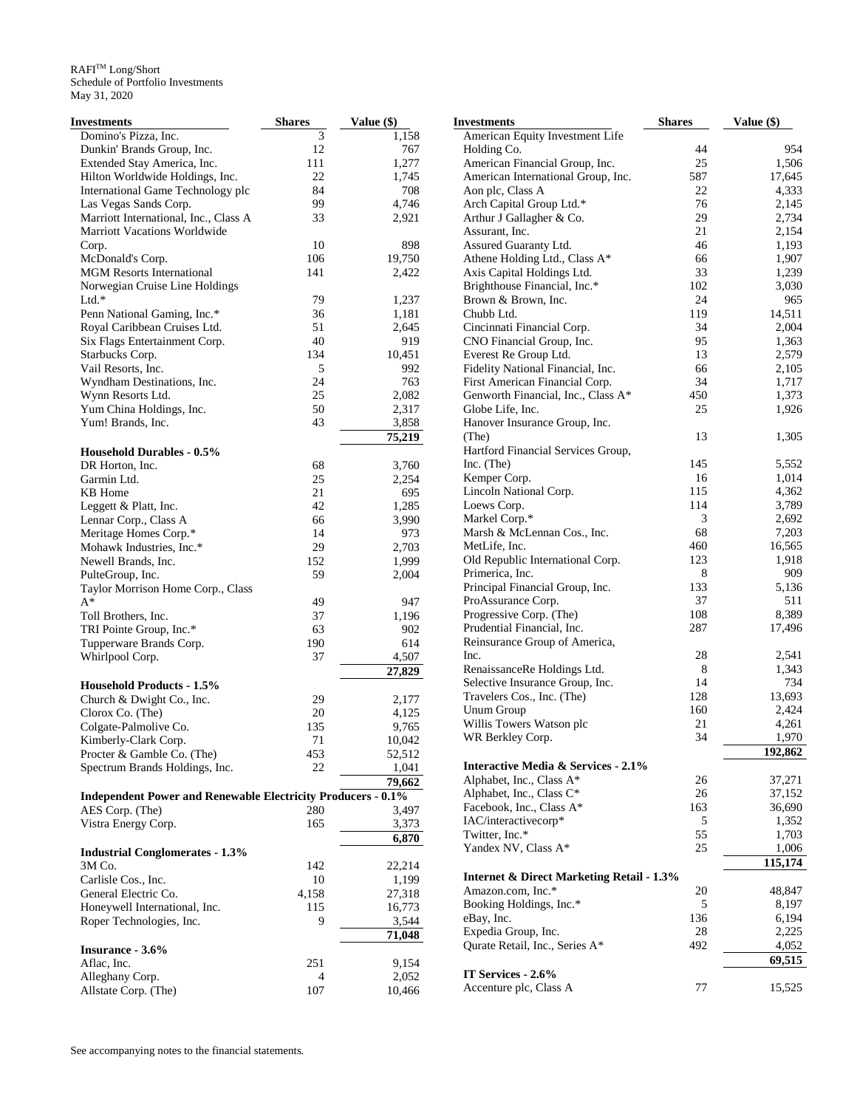| <b>Investments</b>                                                  | <b>Shares</b>  | Value (\$) | <b>Investments</b>                                   | <b>Shares</b> | Value (\$) |
|---------------------------------------------------------------------|----------------|------------|------------------------------------------------------|---------------|------------|
| Domino's Pizza, Inc.                                                | $\mathfrak{Z}$ | 1,158      | American Equity Investment Life                      |               |            |
| Dunkin' Brands Group, Inc.                                          | 12             | 767        | Holding Co.                                          | 44            | 954        |
| Extended Stay America, Inc.                                         | 111            | 1,277      | American Financial Group, Inc.                       | 25            | 1,506      |
| Hilton Worldwide Holdings, Inc.                                     | $22\,$         | 1,745      | American International Group, Inc.                   | 587           | 17,645     |
| International Game Technology plc                                   | 84             | 708        | Aon plc, Class A                                     | 22            | 4,333      |
| Las Vegas Sands Corp.                                               | 99             | 4,746      | Arch Capital Group Ltd.*                             | 76            | 2,145      |
| Marriott International, Inc., Class A                               | 33             | 2,921      | Arthur J Gallagher & Co.                             | 29            | 2,734      |
| <b>Marriott Vacations Worldwide</b>                                 |                |            | Assurant, Inc.                                       | 21            | 2,154      |
| Corp.                                                               | 10             | 898        | Assured Guaranty Ltd.                                | 46            | 1,193      |
| McDonald's Corp.                                                    | 106            | 19,750     | Athene Holding Ltd., Class A*                        | 66            | 1,907      |
| <b>MGM Resorts International</b>                                    | 141            | 2,422      | Axis Capital Holdings Ltd.                           | 33            | 1,239      |
| Norwegian Cruise Line Holdings                                      |                |            | Brighthouse Financial, Inc.*                         | 102           | 3,030      |
| Ltd.*                                                               | 79             | 1,237      | Brown & Brown, Inc.                                  | 24            | 965        |
| Penn National Gaming, Inc.*                                         | 36             | 1,181      | Chubb Ltd.                                           | 119           | 14,511     |
| Royal Caribbean Cruises Ltd.                                        | 51             | 2,645      | Cincinnati Financial Corp.                           | 34            | 2,004      |
| Six Flags Entertainment Corp.                                       | 40             | 919        | CNO Financial Group, Inc.                            | 95            | 1,363      |
| Starbucks Corp.                                                     | 134            | 10,451     | Everest Re Group Ltd.                                | 13            | 2,579      |
| Vail Resorts, Inc.                                                  | 5              | 992        | Fidelity National Financial, Inc.                    | 66            | 2,105      |
| Wyndham Destinations, Inc.                                          | 24             | 763        | First American Financial Corp.                       | 34            | 1,717      |
| Wynn Resorts Ltd.                                                   | 25             | 2,082      | Genworth Financial, Inc., Class A*                   | 450           | 1,373      |
| Yum China Holdings, Inc.                                            | 50             | 2,317      | Globe Life, Inc.                                     | 25            | 1,926      |
| Yum! Brands, Inc.                                                   | 43             | 3,858      | Hanover Insurance Group, Inc.                        |               |            |
|                                                                     |                | 75,219     | (The)                                                | 13            | 1,305      |
| <b>Household Durables - 0.5%</b>                                    |                |            | Hartford Financial Services Group,                   |               |            |
| DR Horton, Inc.                                                     | 68             | 3,760      | Inc. $(The$                                          | 145           | 5,552      |
| Garmin Ltd.                                                         | 25             | 2,254      | Kemper Corp.                                         | 16            | 1,014      |
| KB Home                                                             | 21             | 695        | Lincoln National Corp.                               | 115           | 4,362      |
| Leggett & Platt, Inc.                                               | 42             | 1,285      | Loews Corp.                                          | 114           | 3,789      |
| Lennar Corp., Class A                                               | 66             | 3,990      | Markel Corp.*                                        | 3             | 2,692      |
| Meritage Homes Corp.*                                               | 14             | 973        | Marsh & McLennan Cos., Inc.                          | 68            | 7,203      |
| Mohawk Industries, Inc.*                                            | 29             | 2,703      | MetLife, Inc.                                        | 460           | 16,565     |
| Newell Brands, Inc.                                                 | 152            | 1,999      | Old Republic International Corp.                     | 123           | 1,918      |
| PulteGroup, Inc.                                                    | 59             | 2,004      | Primerica, Inc.                                      | 8             | 909        |
| Taylor Morrison Home Corp., Class                                   |                |            | Principal Financial Group, Inc.                      | 133           | 5,136      |
| $A^*$                                                               | 49             | 947        | ProAssurance Corp.                                   | 37            | 511        |
| Toll Brothers, Inc.                                                 | 37             | 1,196      | Progressive Corp. (The)                              | 108           | 8,389      |
| TRI Pointe Group, Inc.*                                             | 63             | 902        | Prudential Financial, Inc.                           | 287           | 17,496     |
| Tupperware Brands Corp.                                             | 190            | 614        | Reinsurance Group of America,                        |               |            |
| Whirlpool Corp.                                                     | 37             | 4,507      | Inc.                                                 | 28            | 2,541      |
|                                                                     |                | 27,829     | RenaissanceRe Holdings Ltd.                          | 8             | 1,343      |
| <b>Household Products - 1.5%</b>                                    |                |            | Selective Insurance Group, Inc.                      | 14            | 734        |
| Church & Dwight Co., Inc.                                           | 29             | 2,177      | Travelers Cos., Inc. (The)                           | 128           | 13,693     |
| Clorox Co. (The)                                                    | 20             | 4,125      | Unum Group                                           | 160           | 2,424      |
| Colgate-Palmolive Co.                                               | 135            | 9,765      | Willis Towers Watson plc                             | 21            | 4,261      |
| Kimberly-Clark Corp.                                                | 71             | 10,042     | WR Berkley Corp.                                     | 34            | 1,970      |
| Procter & Gamble Co. (The)                                          | 453            | 52,512     |                                                      |               | 192,862    |
| Spectrum Brands Holdings, Inc.                                      | 22             | 1,041      | Interactive Media & Services - 2.1%                  |               |            |
|                                                                     |                | 79,662     | Alphabet, Inc., Class A*                             | 26            | 37,271     |
| <b>Independent Power and Renewable Electricity Producers - 0.1%</b> |                |            | Alphabet, Inc., Class C*                             | 26            | 37,152     |
| AES Corp. (The)                                                     | 280            | 3,497      | Facebook, Inc., Class A*                             | 163           | 36,690     |
| Vistra Energy Corp.                                                 | 165            | 3,373      | IAC/interactivecorp*                                 | 5             | 1,352      |
|                                                                     |                | 6,870      | Twitter, Inc.*                                       | 55            | 1,703      |
| <b>Industrial Conglomerates - 1.3%</b>                              |                |            | Yandex NV, Class A*                                  | $25\,$        | 1,006      |
| 3M Co.                                                              | 142            |            |                                                      |               | 115,174    |
|                                                                     | 10             | 22,214     | <b>Internet &amp; Direct Marketing Retail - 1.3%</b> |               |            |
| Carlisle Cos., Inc.                                                 | 4,158          | 1,199      | Amazon.com, Inc.*                                    | 20            | 48,847     |
| General Electric Co.                                                |                | 27,318     | Booking Holdings, Inc.*                              | 5             | 8,197      |
| Honeywell International, Inc.                                       | 115            | 16,773     | eBay, Inc.                                           | 136           | 6,194      |
| Roper Technologies, Inc.                                            | 9              | 3,544      | Expedia Group, Inc.                                  | 28            | 2,225      |
|                                                                     |                | 71,048     | Qurate Retail, Inc., Series A*                       | 492           | 4,052      |
| Insurance - 3.6%                                                    |                |            |                                                      |               | 69,515     |
| Aflac, Inc.                                                         | 251            | 9,154      | IT Services - 2.6%                                   |               |            |
| Alleghany Corp.                                                     | 4              | 2,052      | Accenture plc, Class A                               | 77            | 15,525     |
| Allstate Corp. (The)                                                | 107            | 10,466     |                                                      |               |            |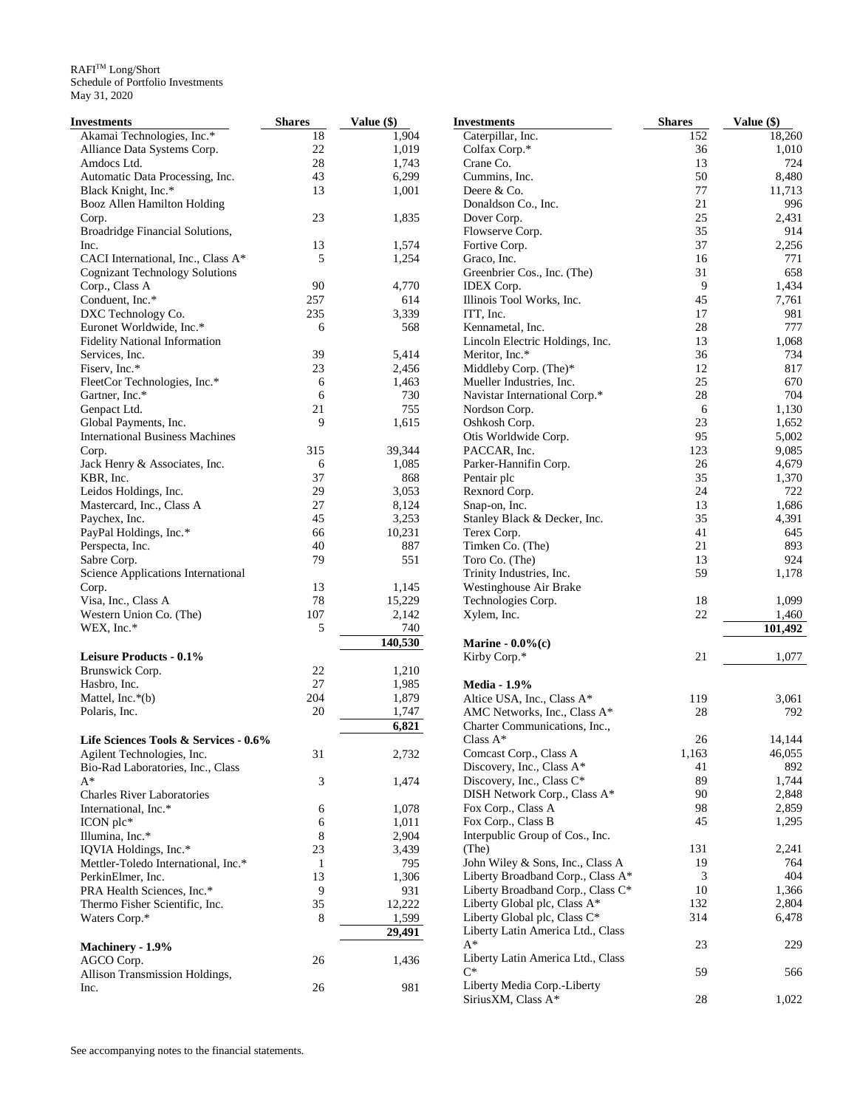| Investments                            | <b>Shares</b> | Value (\$) | <b>Investments</b>                | <b>Shares</b> | Value (\$) |
|----------------------------------------|---------------|------------|-----------------------------------|---------------|------------|
| Akamai Technologies, Inc.*             | 18            | 1,904      | Caterpillar, Inc.                 | 152           | 18,260     |
| Alliance Data Systems Corp.            | 22            | 1,019      | Colfax Corp.*                     | 36            | 1,010      |
| Amdocs Ltd.                            | 28            | 1,743      | Crane Co.                         | 13            | 724        |
| Automatic Data Processing, Inc.        | 43            | 6,299      | Cummins, Inc.                     | 50            | 8,480      |
| Black Knight, Inc.*                    | 13            | 1,001      | Deere & Co.                       | 77            | 11,713     |
| Booz Allen Hamilton Holding            |               |            | Donaldson Co., Inc.               | 21            | 996        |
| Corp.                                  | 23            | 1,835      | Dover Corp.                       | 25            | 2,431      |
| Broadridge Financial Solutions,        |               |            | Flowserve Corp.                   | 35            | 914        |
| Inc.                                   | 13            | 1,574      | Fortive Corp.                     | 37            | 2,256      |
| CACI International, Inc., Class A*     | 5             | 1,254      | Graco, Inc.                       | 16            | 771        |
| <b>Cognizant Technology Solutions</b>  |               |            | Greenbrier Cos., Inc. (The)       | 31            | 658        |
| Corp., Class A                         | 90            | 4,770      | <b>IDEX</b> Corp.                 | 9             | 1,434      |
| Conduent, Inc.*                        | 257           | 614        | Illinois Tool Works, Inc.         | 45            | 7,761      |
| DXC Technology Co.                     | 235           | 3,339      | ITT, Inc.                         | 17            | 981        |
| Euronet Worldwide, Inc.*               | 6             | 568        | Kennametal, Inc.                  | 28            | 777        |
| <b>Fidelity National Information</b>   |               |            | Lincoln Electric Holdings, Inc.   | 13            | 1,068      |
| Services, Inc.                         | 39            | 5,414      | Meritor, Inc.*                    | 36            | 734        |
| Fiserv, Inc.*                          | 23            | 2,456      | Middleby Corp. (The)*             | 12            | 817        |
|                                        | 6             | 1,463      | Mueller Industries, Inc.          | 25            | 670        |
| FleetCor Technologies, Inc.*           |               |            |                                   | 28            | 704        |
| Gartner, Inc.*                         | 6             | 730        | Navistar International Corp.*     |               |            |
| Genpact Ltd.                           | 21            | 755        | Nordson Corp.                     | 6             | 1,130      |
| Global Payments, Inc.                  | 9             | 1,615      | Oshkosh Corp.                     | 23            | 1,652      |
| <b>International Business Machines</b> |               |            | Otis Worldwide Corp.              | 95            | 5,002      |
| Corp.                                  | 315           | 39,344     | PACCAR, Inc.                      | 123           | 9,085      |
| Jack Henry & Associates, Inc.          | 6             | 1,085      | Parker-Hannifin Corp.             | 26            | 4,679      |
| KBR, Inc.                              | 37            | 868        | Pentair plc                       | 35            | 1,370      |
| Leidos Holdings, Inc.                  | 29            | 3,053      | Rexnord Corp.                     | 24            | 722        |
| Mastercard, Inc., Class A              | 27            | 8,124      | Snap-on, Inc.                     | 13            | 1,686      |
| Paychex, Inc.                          | 45            | 3,253      | Stanley Black & Decker, Inc.      | 35            | 4,391      |
| PayPal Holdings, Inc.*                 | 66            | 10,231     | Terex Corp.                       | 41            | 645        |
| Perspecta, Inc.                        | 40            | 887        | Timken Co. (The)                  | 21            | 893        |
| Sabre Corp.                            | 79            | 551        | Toro Co. (The)                    | 13            | 924        |
| Science Applications International     |               |            | Trinity Industries, Inc.          | 59            | 1,178      |
| Corp.                                  | 13            | 1,145      | Westinghouse Air Brake            |               |            |
| Visa, Inc., Class A                    | 78            | 15,229     | Technologies Corp.                | 18            | 1,099      |
| Western Union Co. (The)                | 107           | 2,142      | Xylem, Inc.                       | 22            | 1,460      |
| WEX, Inc.*                             | 5             | 740        |                                   |               | 101,492    |
|                                        |               | 140,530    | Marine - $0.0\%$ (c)              |               |            |
| <b>Leisure Products - 0.1%</b>         |               |            | Kirby Corp.*                      | 21            | 1,077      |
| Brunswick Corp.                        | 22            | 1,210      |                                   |               |            |
| Hasbro, Inc.                           | 27            | 1,985      | <b>Media - 1.9%</b>               |               |            |
| Mattel, Inc.*(b)                       | 204           | 1,879      | Altice USA, Inc., Class A*        | 119           | 3,061      |
| Polaris, Inc.                          | 20            | 1,747      | AMC Networks, Inc., Class A*      | 28            | 792        |
|                                        |               |            | Charter Communications, Inc.,     |               |            |
|                                        |               | 6,821      |                                   |               |            |
| Life Sciences Tools & Services - 0.6%  |               |            | Class $A^*$                       | 26            | 14.144     |
| Agilent Technologies, Inc.             | 31            | 2,732      | Comcast Corp., Class A            | 1,163         | 46,055     |
| Bio-Rad Laboratories, Inc., Class      |               |            | Discovery, Inc., Class A*         | 41            | 892        |
| A*                                     | 3             | 1,474      | Discovery, Inc., Class C*         | 89            | 1,744      |
| <b>Charles River Laboratories</b>      |               |            | DISH Network Corp., Class A*      | 90            | 2,848      |
| International, Inc.*                   | 6             | 1,078      | Fox Corp., Class A                | 98            | 2,859      |
| $ICON$ plc*                            | 6             | 1,011      | Fox Corp., Class B                | 45            | 1,295      |
| Illumina, Inc.*                        | 8             | 2,904      | Interpublic Group of Cos., Inc.   |               |            |
| IQVIA Holdings, Inc.*                  | 23            | 3,439      | (The)                             | 131           | 2,241      |
| Mettler-Toledo International, Inc.*    | $\mathbf{1}$  | 795        | John Wiley & Sons, Inc., Class A  | 19            | 764        |
| PerkinElmer, Inc.                      | 13            | 1,306      | Liberty Broadband Corp., Class A* | 3             | 404        |
| PRA Health Sciences, Inc.*             | 9             | 931        | Liberty Broadband Corp., Class C* | 10            | 1,366      |
| Thermo Fisher Scientific, Inc.         | 35            | 12,222     | Liberty Global plc, Class A*      | 132           | 2,804      |
| Waters Corp.*                          | 8             | 1,599      | Liberty Global plc, Class C*      | 314           | 6,478      |
|                                        |               | 29,491     | Liberty Latin America Ltd., Class |               |            |
| Machinery - 1.9%                       |               |            | $A^*$                             | 23            | 229        |
| AGCO Corp.                             | 26            | 1,436      | Liberty Latin America Ltd., Class |               |            |
| Allison Transmission Holdings,         |               |            | $C^*$                             | 59            | 566        |
| Inc.                                   | 26            | 981        | Liberty Media Corp.-Liberty       |               |            |
|                                        |               |            | SiriusXM, Class A*                | $28\,$        | 1,022      |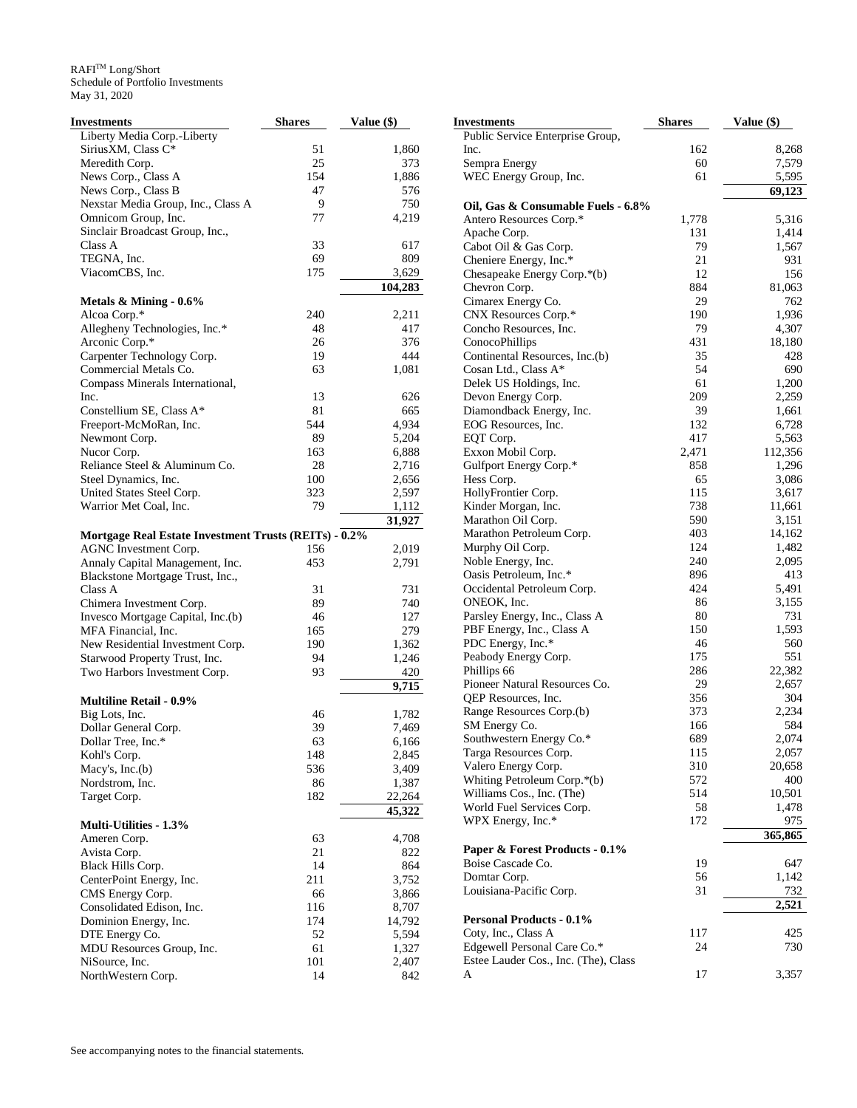| Investments                                                  | <b>Shares</b> | Value (\$) |
|--------------------------------------------------------------|---------------|------------|
| Liberty Media Corp.-Liberty                                  |               |            |
| SiriusXM, Class C*                                           | 51            | 1,860      |
| Meredith Corp.                                               | 25            | 373        |
| News Corp., Class A                                          | 154           | 1,886      |
| News Corp., Class B                                          | 47            | 576        |
| Nexstar Media Group, Inc., Class A                           | 9             | 750        |
| Omnicom Group, Inc.                                          | 77            | 4,219      |
| Sinclair Broadcast Group, Inc.,                              |               |            |
| Class A                                                      | 33            | 617        |
| TEGNA, Inc.                                                  | 69            | 809        |
| ViacomCBS, Inc.                                              | 175           | 3,629      |
|                                                              |               | 104,283    |
| Metals $\&$ Mining - 0.6%                                    |               |            |
| Alcoa Corp.*                                                 | 240           | 2,211      |
| Allegheny Technologies, Inc.*                                | 48            | 417        |
| Arconic Corp.*                                               | 26            | 376        |
| Carpenter Technology Corp.                                   | 19            | 444        |
| Commercial Metals Co.                                        | 63            | 1,081      |
| Compass Minerals International,                              |               |            |
| Inc.                                                         | 13            | 626        |
| Constellium SE, Class A*                                     | 81            | 665        |
| Freeport-McMoRan, Inc.                                       | 544           | 4,934      |
| Newmont Corp.                                                | 89            | 5,204      |
| Nucor Corp.                                                  | 163           | 6,888      |
| Reliance Steel & Aluminum Co.                                | 28            | 2,716      |
| Steel Dynamics, Inc.                                         | 100           | 2,656      |
| United States Steel Corp.                                    | 323           | 2,597      |
| Warrior Met Coal, Inc.                                       | 79            | 1,112      |
|                                                              |               | 31,927     |
| <b>Mortgage Real Estate Investment Trusts (REITs) - 0.2%</b> |               |            |
| AGNC Investment Corp.                                        | 156           | 2,019      |
| Annaly Capital Management, Inc.                              | 453           | 2,791      |
| Blackstone Mortgage Trust, Inc.,                             |               |            |
| Class A                                                      | 31            | 731        |
| Chimera Investment Corp.                                     | 89            | 740        |
| Invesco Mortgage Capital, Inc.(b)                            | 46            | 127        |
| MFA Financial, Inc.                                          | 165           | 279        |
| New Residential Investment Corp.                             | 190           | 1,362      |
| Starwood Property Trust, Inc.                                | 94            | 1,246      |
| Two Harbors Investment Corp.                                 | 93            | 420        |
|                                                              |               | 9,715      |
| <b>Multiline Retail - 0.9%</b>                               |               |            |
| Big Lots, Inc.                                               | 46            | 1,782      |
| Dollar General Corp.                                         | 39            | 7,469      |
| Dollar Tree, Inc.*                                           | 63            | 6,166      |
| Kohl's Corp.                                                 | 148           | 2,845      |
| Macy's, Inc.(b)                                              | 536           | 3,409      |
| Nordstrom, Inc.                                              | 86            | 1,387      |
| Target Corp.                                                 | 182           | 22,264     |
|                                                              |               | 45,322     |
| Multi-Utilities - 1.3%                                       |               |            |
| Ameren Corp.                                                 | 63            | 4,708      |
| Avista Corp.                                                 | 21            | 822        |
| Black Hills Corp.                                            | 14            | 864        |
| CenterPoint Energy, Inc.                                     | 211           | 3,752      |
| CMS Energy Corp.                                             | 66            | 3,866      |
| Consolidated Edison, Inc.                                    | 116           | 8,707      |
| Dominion Energy, Inc.                                        | 174           | 14,792     |
| DTE Energy Co.                                               | 52            | 5,594      |
| MDU Resources Group, Inc.                                    | 61            | 1,327      |
| NiSource, Inc.                                               | 101           | 2,407      |
| NorthWestern Corp.                                           | 14            | 842        |

| <b>Investments</b>                                         | <b>Shares</b> | Value (\$)      |
|------------------------------------------------------------|---------------|-----------------|
| Public Service Enterprise Group,                           |               |                 |
| Inc.                                                       | 162           | 8,268           |
| Sempra Energy                                              | 60            | 7,579           |
| WEC Energy Group, Inc.                                     | 61            | 5,595           |
|                                                            |               | 69,123          |
| Oil, Gas & Consumable Fuels - 6.8%                         |               |                 |
| Antero Resources Corp.*                                    | 1,778         | 5,316           |
| Apache Corp.                                               | 131           | 1,414           |
| Cabot Oil & Gas Corp.                                      | 79            | 1,567           |
| Cheniere Energy, Inc.*                                     | 21            | 931             |
| Chesapeake Energy Corp.*(b)                                | 12            | 156             |
| Chevron Corp.                                              | 884           | 81,063          |
| Cimarex Energy Co.                                         | 29            | 762             |
| CNX Resources Corp.*                                       | 190<br>79     | 1,936           |
| Concho Resources, Inc.<br>ConocoPhillips                   | 431           | 4,307<br>18,180 |
| Continental Resources, Inc.(b)                             | 35            | 428             |
| Cosan Ltd., Class A*                                       | 54            | 690             |
| Delek US Holdings, Inc.                                    | 61            | 1,200           |
| Devon Energy Corp.                                         | 209           | 2,259           |
| Diamondback Energy, Inc.                                   | 39            | 1,661           |
| EOG Resources, Inc.                                        | 132           | 6,728           |
| EQT Corp.                                                  | 417           | 5,563           |
| Exxon Mobil Corp.                                          | 2,471         | 112,356         |
| Gulfport Energy Corp.*                                     | 858           | 1,296           |
| Hess Corp.                                                 | 65            | 3,086           |
| HollyFrontier Corp.                                        | 115           | 3,617           |
| Kinder Morgan, Inc.                                        | 738           | 11,661          |
| Marathon Oil Corp.                                         | 590           | 3,151           |
| Marathon Petroleum Corp.                                   | 403           | 14,162          |
| Murphy Oil Corp.                                           | 124           | 1,482           |
| Noble Energy, Inc.                                         | 240           | 2,095           |
| Oasis Petroleum, Inc.*                                     | 896           | 413             |
| Occidental Petroleum Corp.                                 | 424           | 5,491           |
| ONEOK, Inc.                                                | 86<br>80      | 3,155<br>731    |
| Parsley Energy, Inc., Class A<br>PBF Energy, Inc., Class A | 150           | 1,593           |
| PDC Energy, Inc.*                                          | 46            | 560             |
| Peabody Energy Corp.                                       | 175           | 551             |
| Phillips 66                                                | 286           | 22,382          |
| Pioneer Natural Resources Co.                              | 29            | 2,657           |
| QEP Resources, Inc.                                        | 356           | 304             |
| Range Resources Corp.(b)                                   | 373           | 2,234           |
| SM Energy Co.                                              | 166           | 584             |
| Southwestern Energy Co.*                                   | 689           | 2,074           |
| Targa Resources Corp.                                      | 115           | 2,057           |
| Valero Energy Corp.                                        | 310           | 20,658          |
| Whiting Petroleum Corp.*(b)                                | 572           | 400             |
| Williams Cos., Inc. (The)                                  | 514           | 10,501          |
| World Fuel Services Corp.                                  | 58            | 1,478           |
| WPX Energy, Inc.*                                          | 172           | 975             |
|                                                            |               | 365,865         |
| Paper & Forest Products - 0.1%                             |               |                 |
| Boise Cascade Co.                                          | 19<br>56      | 647<br>1,142    |
| Domtar Corp.<br>Louisiana-Pacific Corp.                    | 31            | 732             |
|                                                            |               | 2,521           |
| <b>Personal Products - 0.1%</b>                            |               |                 |
| Coty, Inc., Class A                                        | 117           | 425             |
| Edgewell Personal Care Co.*                                | 24            | 730             |
| Estee Lauder Cos., Inc. (The), Class                       |               |                 |
| A                                                          | 17            | 3,357           |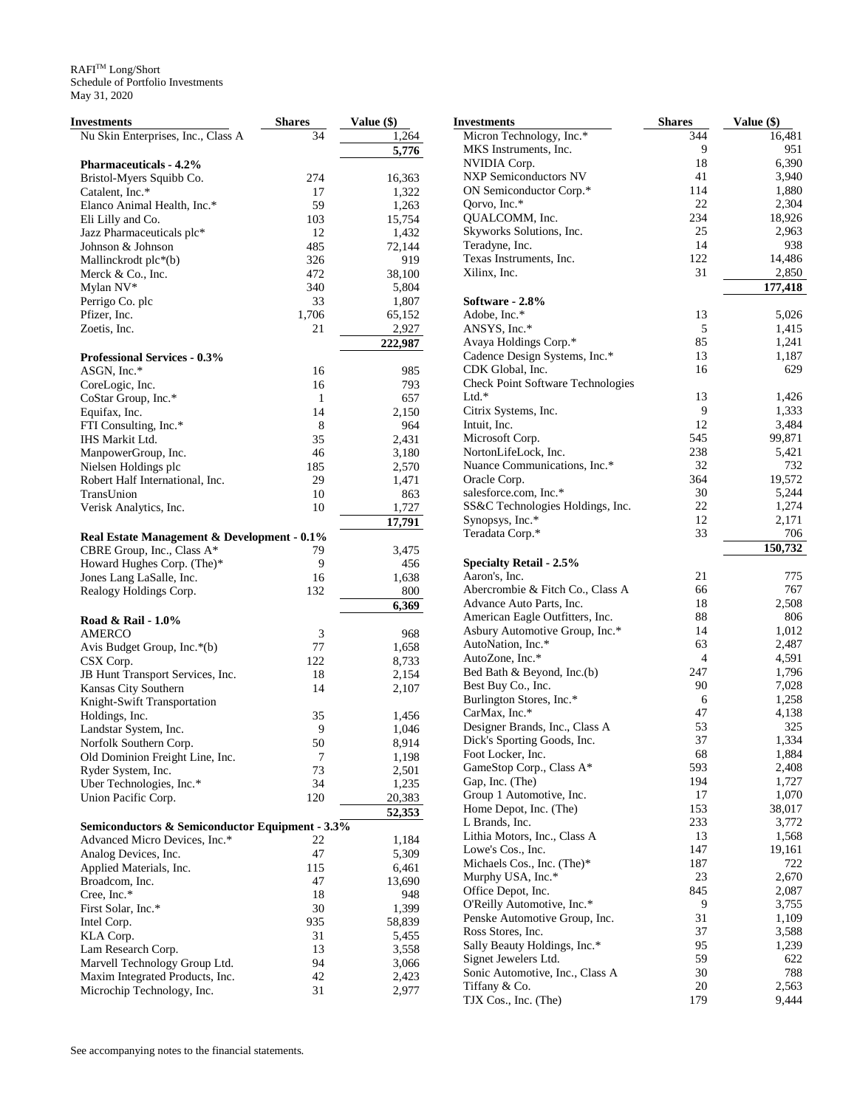| <b>Investments</b>                                                        | <b>Shares</b> | Value (\$) |
|---------------------------------------------------------------------------|---------------|------------|
| Nu Skin Enterprises, Inc., Class A                                        | 34            | 1,264      |
|                                                                           |               | 5,776      |
| <b>Pharmaceuticals - 4.2%</b>                                             |               |            |
| Bristol-Myers Squibb Co.                                                  | 274           | 16,363     |
| Catalent, Inc.*                                                           | 17            | 1,322      |
| Elanco Animal Health, Inc.*                                               | 59            | 1,263      |
| Eli Lilly and Co.                                                         | 103           | 15,754     |
| Jazz Pharmaceuticals plc*                                                 | 12            | 1,432      |
| Johnson & Johnson                                                         | 485           | 72,144     |
| Mallinckrodt plc*(b)                                                      | 326           | 919        |
| Merck & Co., Inc.                                                         | 472           | 38,100     |
| Mylan NV*                                                                 | 340           | 5,804      |
| Perrigo Co. plc                                                           | 33            | 1,807      |
| Pfizer, Inc.                                                              | 1,706         | 65,152     |
| Zoetis, Inc.                                                              | 21            | 2,927      |
|                                                                           |               | 222,987    |
| <b>Professional Services - 0.3%</b>                                       |               |            |
| ASGN, Inc.*                                                               | 16            | 985        |
| CoreLogic, Inc.                                                           | 16            | 793        |
| CoStar Group, Inc.*                                                       | 1             | 657        |
| Equifax, Inc.                                                             | 14            | 2,150      |
| FTI Consulting, Inc.*                                                     | 8             | 964        |
| IHS Markit Ltd.                                                           | 35            | 2,431      |
| ManpowerGroup, Inc.                                                       | 46            | 3,180      |
| Nielsen Holdings plc                                                      | 185           | 2,570      |
| Robert Half International, Inc.                                           | 29            | 1,471      |
| TransUnion                                                                | 10            | 863        |
| Verisk Analytics, Inc.                                                    | 10            | 1,727      |
|                                                                           |               | 17,791     |
| Real Estate Management & Development - 0.1%<br>CBRE Group, Inc., Class A* | 79            | 3,475      |
|                                                                           | 9             | 456        |
| Howard Hughes Corp. (The)*<br>Jones Lang LaSalle, Inc.                    | 16            | 1,638      |
| Realogy Holdings Corp.                                                    | 132           | 800        |
|                                                                           |               | 6,369      |
| Road & Rail - 1.0%                                                        |               |            |
| AMERCO                                                                    | 3             | 968        |
| Avis Budget Group, Inc.*(b)                                               | 77            | 1,658      |
| CSX Corp.                                                                 | 122           | 8,733      |
| JB Hunt Transport Services, Inc.                                          | 18            | 2,154      |
| Kansas City Southern                                                      | 14            | 2,107      |
| Knight-Swift Transportation                                               |               |            |
| Holdings, Inc.                                                            | 35            | 1,456      |
| Landstar System, Inc.                                                     | 9             | 1,046      |
| Norfolk Southern Corp.                                                    | 50            | 8,914      |
| Old Dominion Freight Line, Inc.                                           | 7             | 1,198      |
| Ryder System, Inc.                                                        | 73            | 2,501      |
| Uber Technologies, Inc.*                                                  | 34            | 1,235      |
| Union Pacific Corp.                                                       | 120           | 20,383     |
|                                                                           |               | 52,353     |
| Semiconductors & Semiconductor Equipment - 3.3%                           |               |            |
| Advanced Micro Devices, Inc.*                                             | 22            | 1,184      |
| Analog Devices, Inc.                                                      | 47            | 5,309      |
| Applied Materials, Inc.                                                   | 115           | 6,461      |
| Broadcom, Inc.                                                            | 47            | 13,690     |
| Cree, Inc.*                                                               | 18            | 948        |
| First Solar, Inc.*                                                        | 30            | 1,399      |
| Intel Corp.                                                               | 935           | 58,839     |
| KLA Corp.                                                                 | 31            | 5,455      |
| Lam Research Corp.                                                        | 13            | 3,558      |
| Marvell Technology Group Ltd.                                             | 94            | 3,066      |
| Maxim Integrated Products, Inc.                                           | 42            | 2,423      |
| Microchip Technology, Inc.                                                | 31            | 2,977      |

| Investments                                       | <b>Shares</b>  | Value (\$)     |
|---------------------------------------------------|----------------|----------------|
| Micron Technology, Inc.*                          | 344            | 16,481         |
| MKS Instruments, Inc.                             | 9              | 951            |
| NVIDIA Corp.                                      | 18             | 6,390          |
| <b>NXP Semiconductors NV</b>                      | 41             | 3,940          |
| ON Semiconductor Corp.*<br>Qorvo, Inc.*           | 114<br>22      | 1,880<br>2,304 |
| QUALCOMM, Inc.                                    | 234            | 18,926         |
| Skyworks Solutions, Inc.                          | 25             | 2,963          |
| Teradyne, Inc.                                    | 14             | 938            |
| Texas Instruments, Inc.                           | 122            | 14,486         |
| Xilinx, Inc.                                      | 31             | 2,850          |
|                                                   |                | 177,418        |
| Software - 2.8%                                   |                |                |
| Adobe, Inc.*                                      | 13             | 5,026          |
| ANSYS, Inc.*                                      | 5              | 1,415          |
| Avaya Holdings Corp.*                             | 85             | 1,241          |
| Cadence Design Systems, Inc.*<br>CDK Global, Inc. | 13<br>16       | 1,187<br>629   |
| <b>Check Point Software Technologies</b>          |                |                |
| Ltd.*                                             | 13             | 1,426          |
| Citrix Systems, Inc.                              | 9              | 1,333          |
| Intuit, Inc.                                      | 12             | 3,484          |
| Microsoft Corp.                                   | 545            | 99,871         |
| NortonLifeLock, Inc.                              | 238            | 5,421          |
| Nuance Communications, Inc.*                      | 32             | 732            |
| Oracle Corp.                                      | 364            | 19,572         |
| salesforce.com, Inc.*                             | 30             | 5,244          |
| SS&C Technologies Holdings, Inc.                  | 22             | 1,274          |
| Synopsys, Inc.*                                   | 12             | 2,171          |
| Teradata Corp.*                                   | 33             | 706            |
|                                                   |                | 150,732        |
| <b>Specialty Retail - 2.5%</b><br>Aaron's, Inc.   | 21             | 775            |
| Abercrombie & Fitch Co., Class A                  | 66             | 767            |
| Advance Auto Parts, Inc.                          | 18             | 2,508          |
| American Eagle Outfitters, Inc.                   | 88             | 806            |
| Asbury Automotive Group, Inc.*                    | 14             | 1,012          |
| AutoNation, Inc.*                                 | 63             | 2,487          |
| AutoZone, Inc.*                                   | $\overline{4}$ | 4,591          |
| Bed Bath & Beyond, Inc.(b)                        | 247            | 1,796          |
| Best Buy Co., Inc.                                | 90             | 7,028          |
| Burlington Stores, Inc.*                          | 6              | 1,258          |
| CarMax, Inc.*                                     | 47             | 4,138          |
| Designer Brands, Inc., Class A                    | 53             | 325            |
| Dick's Sporting Goods, Inc.                       | 37             | 1,334          |
| Foot Locker, Inc.<br>GameStop Corp., Class A*     | 68<br>593      | 1,884<br>2,408 |
| Gap, Inc. (The)                                   | 194            | 1,727          |
| Group 1 Automotive, Inc.                          | 17             | 1,070          |
| Home Depot, Inc. (The)                            | 153            | 38,017         |
| L Brands, Inc.                                    | 233            | 3,772          |
| Lithia Motors, Inc., Class A                      | 13             | 1,568          |
| Lowe's Cos., Inc.                                 | 147            | 19,161         |
| Michaels Cos., Inc. (The)*                        | 187            | 722            |
| Murphy USA, Inc.*                                 | 23             | 2,670          |
| Office Depot, Inc.                                | 845            | 2,087          |
| O'Reilly Automotive, Inc.*                        | 9              | 3,755          |
| Penske Automotive Group, Inc.                     | 31             | 1,109          |
| Ross Stores, Inc.                                 | 37             | 3,588          |
| Sally Beauty Holdings, Inc.*                      | 95             | 1,239          |
| Signet Jewelers Ltd.                              | 59             | 622            |
| Sonic Automotive, Inc., Class A                   | 30<br>20       | 788            |
| Tiffany & Co.<br>TJX Cos., Inc. (The)             | 179            | 2,563<br>9,444 |
|                                                   |                |                |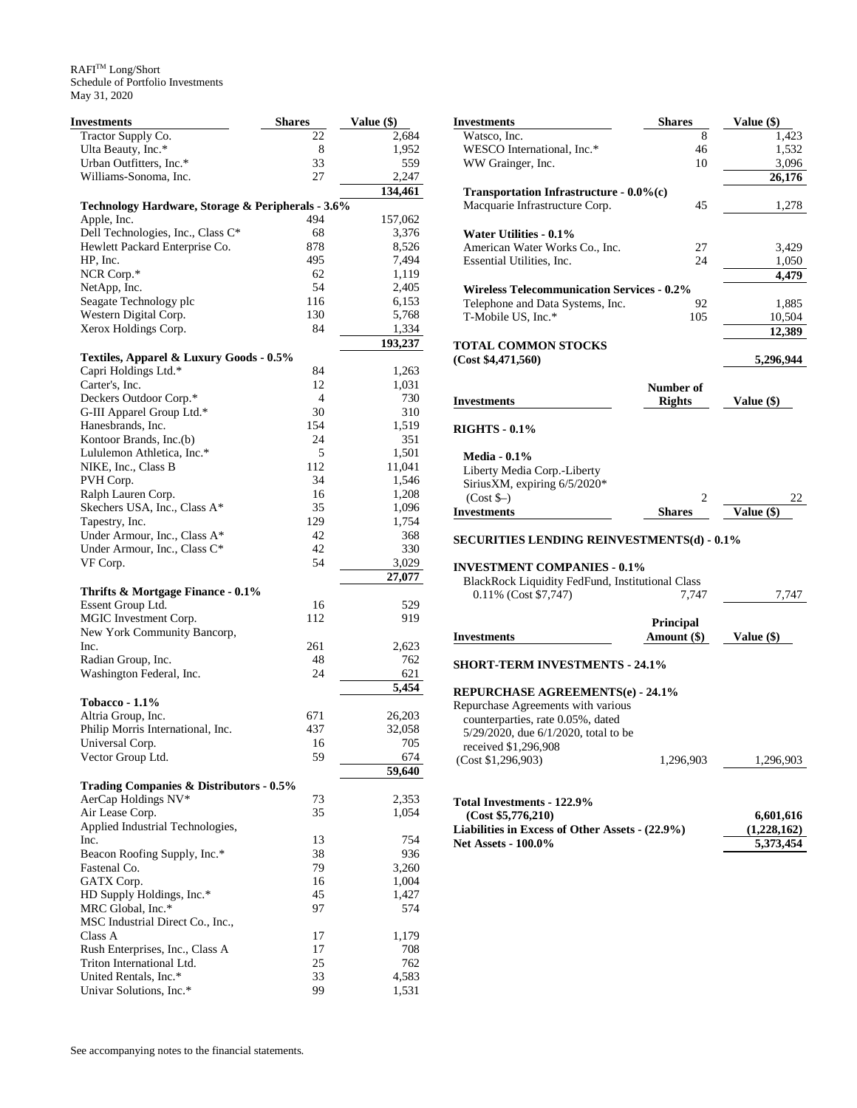| Investments                                       | <b>Shares</b> | Value (\$)     |
|---------------------------------------------------|---------------|----------------|
| Tractor Supply Co.                                | 22            | 2,684          |
| Ulta Beauty, Inc.*                                | 8             | 1,952          |
| Urban Outfitters, Inc.*                           | 33            | 559            |
| Williams-Sonoma, Inc.                             | 27            | 2,247          |
|                                                   |               | 134,461        |
| Technology Hardware, Storage & Peripherals - 3.6% |               |                |
| Apple, Inc.                                       | 494           | 157,062        |
| Dell Technologies, Inc., Class C*                 | 68            | 3,376          |
| Hewlett Packard Enterprise Co.                    | 878           | 8,526          |
| HP, Inc.                                          | 495           | 7,494          |
| NCR Corp.*                                        | 62            | 1,119          |
| NetApp, Inc.                                      | 54            | 2,405          |
| Seagate Technology plc                            | 116<br>130    | 6,153          |
| Western Digital Corp.<br>Xerox Holdings Corp.     | 84            | 5,768<br>1,334 |
|                                                   |               | 193,237        |
| Textiles, Apparel & Luxury Goods - 0.5%           |               |                |
| Capri Holdings Ltd.*                              | 84            | 1,263          |
| Carter's, Inc.                                    | 12            | 1,031          |
| Deckers Outdoor Corp.*                            | 4             | 730            |
| G-III Apparel Group Ltd.*                         | 30            | 310            |
| Hanesbrands, Inc.                                 | 154           | 1,519          |
| Kontoor Brands, Inc.(b)                           | 24            | 351            |
| Lululemon Athletica, Inc.*                        | 5             | 1,501          |
| NIKE, Inc., Class B                               | 112           | 11,041         |
| PVH Corp.                                         | 34            | 1,546          |
| Ralph Lauren Corp.                                | 16            | 1,208          |
| Skechers USA, Inc., Class A*                      | 35            | 1,096          |
| Tapestry, Inc.                                    | 129           | 1,754          |
| Under Armour, Inc., Class A*                      | 42            | 368            |
| Under Armour, Inc., Class C*                      | 42            | 330            |
| VF Corp.                                          | 54            | 3,029          |
|                                                   |               | 27,077         |
| Thrifts & Mortgage Finance - 0.1%                 |               |                |
| Essent Group Ltd.                                 | 16            | 529            |
| MGIC Investment Corp.                             | 112           | 919            |
| New York Community Bancorp,                       |               |                |
| Inc.                                              | 261           | 2,623          |
| Radian Group, Inc.                                | 48            | 762            |
| Washington Federal, Inc.                          | 24            | 621            |
| Tobacco - 1.1%                                    |               | 5,454          |
| Altria Group, Inc.                                | 671           | 26,203         |
| Philip Morris International, Inc.                 | 437           | 32,058         |
| Universal Corp.                                   | 16            | 705            |
| Vector Group Ltd.                                 | 59            | 674            |
|                                                   |               | 59,640         |
| Trading Companies & Distributors - 0.5%           |               |                |
| AerCap Holdings NV*                               | 73            | 2,353          |
| Air Lease Corp.                                   | 35            | 1,054          |
| Applied Industrial Technologies,                  |               |                |
| Inc.                                              | 13            | 754            |
| Beacon Roofing Supply, Inc.*                      | 38            | 936            |
| Fastenal Co.                                      | 79            | 3,260          |
| GATX Corp.                                        | 16            | 1,004          |
| HD Supply Holdings, Inc.*                         | 45            | 1,427          |
| MRC Global, Inc.*                                 | 97            | 574            |
| MSC Industrial Direct Co., Inc.,                  |               |                |
| Class A                                           | 17            | 1,179          |
| Rush Enterprises, Inc., Class A                   | 17            | 708            |
| Triton International Ltd.                         | 25            | 762            |
| United Rentals, Inc.*                             | 33            | 4,583          |
| Univar Solutions, Inc.*                           | 99            | 1,531          |

| <b>Investments</b>                                | <b>Shares</b> | Value (\$)        |
|---------------------------------------------------|---------------|-------------------|
| Watsco, Inc.                                      | 8             | 1,423             |
| WESCO International, Inc.*                        | 46            | 1,532             |
| WW Grainger, Inc.                                 | 10            | 3,096             |
|                                                   |               | 26,176            |
|                                                   |               |                   |
| Transportation Infrastructure - $0.0\%$ (c)       |               |                   |
| Macquarie Infrastructure Corp.                    | 45            | 1,278             |
|                                                   |               |                   |
| Water Utilities - 0.1%                            |               |                   |
| American Water Works Co., Inc.                    | 27            | 3,429             |
| Essential Utilities, Inc.                         | 24            | 1,050             |
|                                                   |               | 4,479             |
| <b>Wireless Telecommunication Services - 0.2%</b> |               |                   |
| Telephone and Data Systems, Inc.                  | 92            | 1,885             |
| T-Mobile US, Inc.*                                | 105           | 10,504            |
|                                                   |               | 12,389            |
| <b>TOTAL COMMON STOCKS</b>                        |               |                   |
| (Cost \$4,471,560)                                |               | 5,296,944         |
|                                                   |               |                   |
|                                                   | Number of     |                   |
|                                                   | <b>Rights</b> |                   |
| <b>Investments</b>                                |               | Value (\$)        |
| <b>RIGHTS - 0.1%</b>                              |               |                   |
|                                                   |               |                   |
| <b>Media - 0.1%</b>                               |               |                   |
| Liberty Media Corp.-Liberty                       |               |                   |
| SiriusXM, expiring 6/5/2020*                      |               |                   |
| $(Cost$ \$–)                                      | 2             | 22                |
| <b>Investments</b>                                | <b>Shares</b> | <b>Value</b> (\$) |
|                                                   |               |                   |
| <b>SECURITIES LENDING REINVESTMENTS(d) - 0.1%</b> |               |                   |
|                                                   |               |                   |
|                                                   |               |                   |
| <b>INVESTMENT COMPANIES - 0.1%</b>                |               |                   |
| BlackRock Liquidity FedFund, Institutional Class  |               |                   |
| 0.11% (Cost \$7,747)                              | 7.747         | 7,747             |
|                                                   |               |                   |
|                                                   | Principal     |                   |
| <b>Investments</b>                                |               |                   |
|                                                   | Amount $(\$)$ | Value (\$)        |
| <b>SHORT-TERM INVESTMENTS - 24.1%</b>             |               |                   |
|                                                   |               |                   |
| <b>REPURCHASE AGREEMENTS(e) - 24.1%</b>           |               |                   |
| Repurchase Agreements with various                |               |                   |
| counterparties, rate 0.05%, dated                 |               |                   |
|                                                   |               |                   |
| $5/29/2020$ , due $6/1/2020$ , total to be        |               |                   |
| received \$1,296,908                              |               |                   |
| (Cost \$1,296,903)                                | 1,296,903     | 1,296,903         |
|                                                   |               |                   |
| Total Investments - 122.9%                        |               |                   |
| (Cost \$5,776,210)                                |               | 6,601,616         |
|                                                   |               |                   |
| Liabilities in Excess of Other Assets - (22.9%)   |               | (1,228,162)       |
| <b>Net Assets - 100.0%</b>                        |               | 5,373,454         |
|                                                   |               |                   |
|                                                   |               |                   |
|                                                   |               |                   |
|                                                   |               |                   |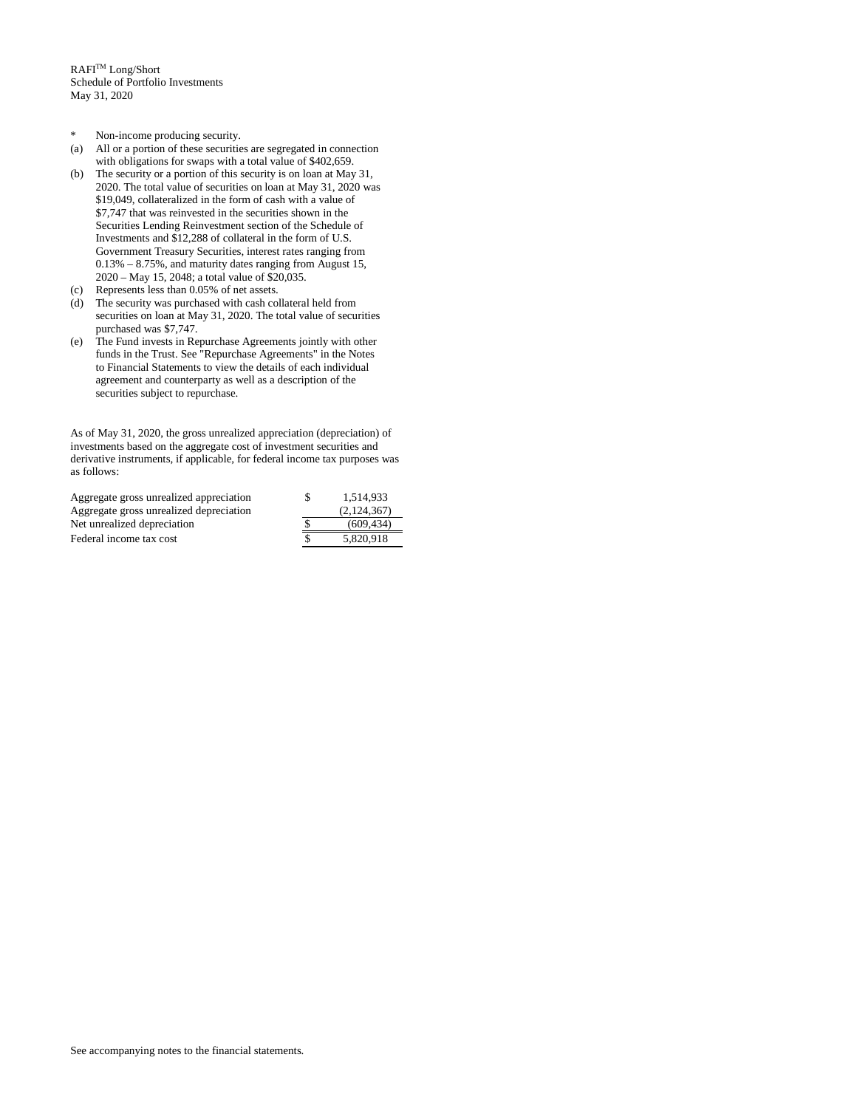$\mathbb{R}\mathsf{A}\mathsf{F}\mathsf{I}^{\mathsf{TM}}$  Long/Short Schedule of Portfolio Investments May 31, 2020

- \* Non-income producing security.
- (a) All or a portion of these securities are segregated in connection with obligations for swaps with a total value of \$402,659.
- (b) The security or a portion of this security is on loan at May 31, 2020. The total value of securities on loan at May 31, 2020 was \$19,049, collateralized in the form of cash with a value of \$7,747 that was reinvested in the securities shown in the Securities Lending Reinvestment section of the Schedule of Investments and \$12,288 of collateral in the form of U.S. Government Treasury Securities, interest rates ranging from 0.13% – 8.75%, and maturity dates ranging from August 15, 2020 – May 15, 2048; a total value of \$20,035.
- (c) Represents less than 0.05% of net assets.
- (d) The security was purchased with cash collateral held from securities on loan at May 31, 2020. The total value of securities purchased was \$7,747.
- (e) The Fund invests in Repurchase Agreements jointly with other funds in the Trust. See "Repurchase Agreements" in the Notes to Financial Statements to view the details of each individual agreement and counterparty as well as a description of the securities subject to repurchase.

As of May 31, 2020, the gross unrealized appreciation (depreciation) of investments based on the aggregate cost of investment securities and derivative instruments, if applicable, for federal income tax purposes was as follows:

| Aggregate gross unrealized appreciation | 1.514.933   |
|-----------------------------------------|-------------|
| Aggregate gross unrealized depreciation | (2,124,367) |
| Net unrealized depreciation             | (609, 434)  |
| Federal income tax cost                 | 5.820.918   |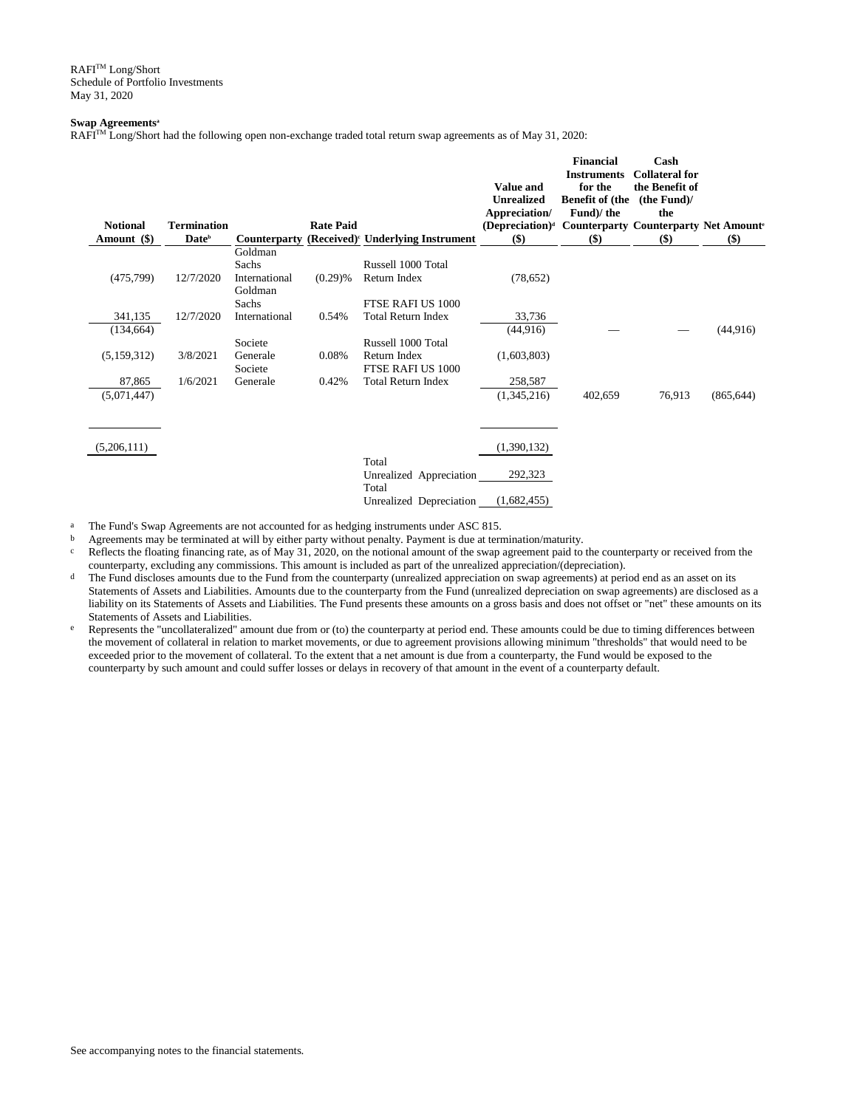$\mathbb{R}\mathsf{A}\mathsf{F}\mathsf{I}^{\mathsf{TM}}$  Long/Short Schedule of Portfolio Investments May 31, 2020

## **Swap Agreements<sup>a</sup>**

RAFITM Long/Short had the following open non-exchange traded total return swap agreements as of May 31, 2020:

| <b>Notional</b><br>Amount (\$) | <b>Termination</b><br>Date <sup>b</sup> | <b>Counterparty</b>               | <b>Rate Paid</b> | (Received) <sup><i>c</i></sup> Underlying Instrument | <b>Value and</b><br><b>Unrealized</b><br>Appreciation/<br>(Depreciation) <sup>d</sup> Counterparty Counterparty Net Amount <sup>e</sup><br>\$) | <b>Financial</b><br><b>Instruments</b><br>for the<br><b>Benefit of (the</b><br>Fund)/ the<br>$($)$ | Cash<br><b>Collateral for</b><br>the Benefit of<br>(the Fund)<br>the<br>\$) | \$)        |
|--------------------------------|-----------------------------------------|-----------------------------------|------------------|------------------------------------------------------|------------------------------------------------------------------------------------------------------------------------------------------------|----------------------------------------------------------------------------------------------------|-----------------------------------------------------------------------------|------------|
|                                |                                         | Goldman                           |                  | Russell 1000 Total                                   |                                                                                                                                                |                                                                                                    |                                                                             |            |
| (475, 799)                     | 12/7/2020                               | Sachs<br>International<br>Goldman | $(0.29)$ %       | Return Index                                         | (78, 652)                                                                                                                                      |                                                                                                    |                                                                             |            |
|                                |                                         | Sachs                             |                  | FTSE RAFI US 1000                                    |                                                                                                                                                |                                                                                                    |                                                                             |            |
| 341,135                        | 12/7/2020                               | International                     | 0.54%            | <b>Total Return Index</b>                            | 33,736                                                                                                                                         |                                                                                                    |                                                                             |            |
| (134, 664)                     |                                         |                                   |                  |                                                      | (44,916)                                                                                                                                       |                                                                                                    |                                                                             | (44, 916)  |
|                                |                                         | Societe                           |                  | Russell 1000 Total                                   |                                                                                                                                                |                                                                                                    |                                                                             |            |
| (5,159,312)                    | 3/8/2021                                | Generale<br>Societe               | 0.08%            | Return Index<br>FTSE RAFI US 1000                    | (1,603,803)                                                                                                                                    |                                                                                                    |                                                                             |            |
| 87,865                         | 1/6/2021                                | Generale                          | 0.42%            | <b>Total Return Index</b>                            | 258,587                                                                                                                                        |                                                                                                    |                                                                             |            |
| (5,071,447)                    |                                         |                                   |                  |                                                      | (1,345,216)                                                                                                                                    | 402,659                                                                                            | 76,913                                                                      | (865, 644) |
| (5,206,111)                    |                                         |                                   |                  |                                                      | (1,390,132)                                                                                                                                    |                                                                                                    |                                                                             |            |
|                                |                                         |                                   |                  | Total<br>Unrealized Appreciation<br>Total            | 292,323                                                                                                                                        |                                                                                                    |                                                                             |            |
|                                |                                         |                                   |                  | Unrealized Depreciation                              | (1,682,455)                                                                                                                                    |                                                                                                    |                                                                             |            |

<sup>a</sup> The Fund's Swap Agreements are not accounted for as hedging instruments under ASC 815.

b Agreements may be terminated at will by either party without penalty. Payment is due at termination/maturity.<br>  $\frac{1}{2}$  Reflects the floating financing rate as of May 31, 2020, on the notional amount of the swap agreem

Reflects the floating financing rate, as of May  $31$ , 2020, on the notional amount of the swap agreement paid to the counterparty or received from the counterparty, excluding any commissions. This amount is included as part of the unrealized appreciation/(depreciation).

<sup>d</sup> The Fund discloses amounts due to the Fund from the counterparty (unrealized appreciation on swap agreements) at period end as an asset on its Statements of Assets and Liabilities. Amounts due to the counterparty from the Fund (unrealized depreciation on swap agreements) are disclosed as a liability on its Statements of Assets and Liabilities. The Fund presents these amounts on a gross basis and does not offset or "net" these amounts on its Statements of Assets and Liabilities.

e Represents the "uncollateralized" amount due from or (to) the counterparty at period end. These amounts could be due to timing differences between the movement of collateral in relation to market movements, or due to agreement provisions allowing minimum "thresholds" that would need to be exceeded prior to the movement of collateral. To the extent that a net amount is due from a counterparty, the Fund would be exposed to the counterparty by such amount and could suffer losses or delays in recovery of that amount in the event of a counterparty default.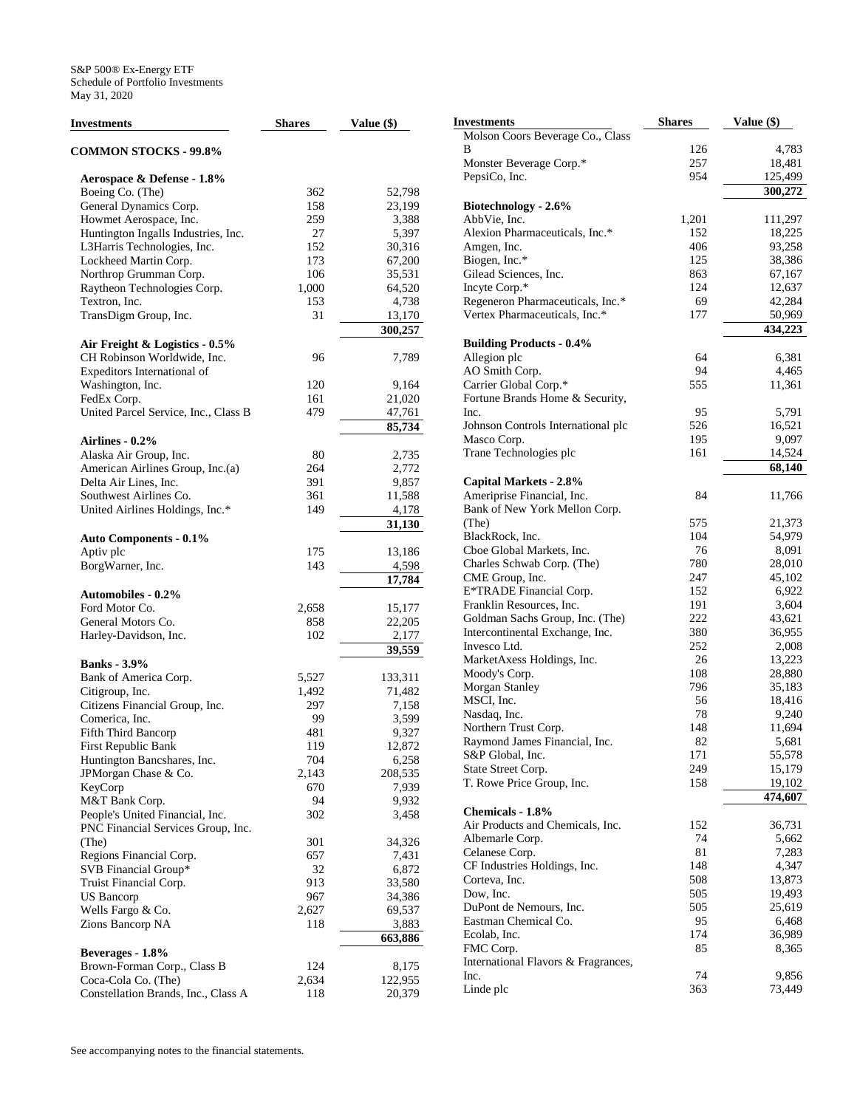| <b>Investments</b>                   | <b>Shares</b> | Value (\$) |
|--------------------------------------|---------------|------------|
| <b>COMMON STOCKS - 99.8%</b>         |               |            |
| Aerospace & Defense - 1.8%           |               |            |
| Boeing Co. (The)                     | 362           | 52,798     |
| General Dynamics Corp.               | 158           | 23,199     |
| Howmet Aerospace, Inc.               | 259           | 3,388      |
| Huntington Ingalls Industries, Inc.  | 27            | 5,397      |
| L3Harris Technologies, Inc.          | 152           | 30,316     |
| Lockheed Martin Corp.                | 173           | 67,200     |
| Northrop Grumman Corp.               | 106           | 35,531     |
| Raytheon Technologies Corp.          | 1,000         | 64,520     |
| Textron, Inc.                        | 153           | 4,738      |
| TransDigm Group, Inc.                | 31            | 13,170     |
|                                      |               | 300,257    |
| Air Freight & Logistics - 0.5%       |               |            |
| CH Robinson Worldwide, Inc.          | 96            | 7,789      |
| Expeditors International of          |               |            |
| Washington, Inc.                     | 120           | 9,164      |
| FedEx Corp.                          | 161           | 21,020     |
| United Parcel Service, Inc., Class B | 479           | 47,761     |
|                                      |               | 85,734     |
| Airlines - 0.2%                      |               |            |
| Alaska Air Group, Inc.               | 80            | 2,735      |
| American Airlines Group, Inc.(a)     | 264           | 2,772      |
| Delta Air Lines, Inc.                | 391           | 9,857      |
| Southwest Airlines Co.               | 361           | 11,588     |
| United Airlines Holdings, Inc.*      | 149           | 4,178      |
|                                      |               | 31,130     |
| <b>Auto Components - 0.1%</b>        |               |            |
| Aptiv plc                            | 175           | 13,186     |
| BorgWarner, Inc.                     | 143           | 4,598      |
| <b>Automobiles - 0.2%</b>            |               | 17,784     |
| Ford Motor Co.                       | 2,658         | 15,177     |
| General Motors Co.                   | 858           | 22,205     |
| Harley-Davidson, Inc.                | 102           | 2,177      |
|                                      |               | 39,559     |
| <b>Banks</b> - 3.9%                  |               |            |
| Bank of America Corp.                | 5,527         | 133,311    |
| Citigroup, Inc.                      | 1,492         | 71,482     |
| Citizens Financial Group, Inc.       | 297           | 7,158      |
| Comerica, Inc.                       | 99            | 3,599      |
| Fifth Third Bancorp                  | 481           | 9,327      |
| First Republic Bank                  | 119           | 12,872     |
| Huntington Bancshares, Inc.          | 704           | 6,258      |
| JPMorgan Chase & Co.                 | 2,143         | 208,535    |
| KeyCorp                              | 670           | 7,939      |
| M&T Bank Corp.                       | 94            | 9,932      |
| People's United Financial, Inc.      | 302           | 3,458      |
| PNC Financial Services Group, Inc.   |               |            |
| (The)                                | 301           | 34,326     |
| Regions Financial Corp.              | 657           | 7,431      |
| SVB Financial Group*                 | 32            | 6,872      |
| Truist Financial Corp.               | 913           | 33,580     |
| US Bancorp                           | 967           | 34,386     |
| Wells Fargo & Co.                    | 2,627         | 69,537     |
| Zions Bancorp NA                     | 118           | 3,883      |
|                                      |               | 663,886    |
| Beverages - 1.8%                     |               |            |
| Brown-Forman Corp., Class B          | 124           | 8,175      |
| Coca-Cola Co. (The)                  | 2,634         | 122,955    |
| Constellation Brands, Inc., Class A  | 118           | 20,379     |

| Investments                                          | <b>Shares</b> | Value (\$)       |
|------------------------------------------------------|---------------|------------------|
| Molson Coors Beverage Co., Class                     |               |                  |
| В                                                    | 126           | 4,783            |
| Monster Beverage Corp.*                              | 257           | 18,481           |
| PepsiCo, Inc.                                        | 954           | 125,499          |
|                                                      |               | 300,272          |
| Biotechnology - 2.6%                                 |               |                  |
| AbbVie, Inc.                                         | 1,201         | 111,297          |
| Alexion Pharmaceuticals, Inc.*                       | 152           | 18,225           |
| Amgen, Inc.<br>Biogen, Inc.*                         | 406           | 93,258           |
| Gilead Sciences, Inc.                                | 125<br>863    | 38,386<br>67,167 |
| Incyte Corp.*                                        | 124           | 12,637           |
| Regeneron Pharmaceuticals, Inc.*                     | 69            | 42,284           |
| Vertex Pharmaceuticals, Inc.*                        | 177           | 50,969           |
|                                                      |               | 434,223          |
| <b>Building Products - 0.4%</b>                      |               |                  |
| Allegion plc                                         | 64            | 6,381            |
| AO Smith Corp.                                       | 94            | 4,465            |
| Carrier Global Corp.*                                | 555           | 11,361           |
| Fortune Brands Home & Security,                      |               |                  |
| Inc.                                                 | 95            | 5,791            |
| Johnson Controls International plc                   | 526           | 16,521           |
| Masco Corp.                                          | 195           | 9,097            |
| Trane Technologies plc                               | 161           | 14,524           |
|                                                      |               | 68,140           |
| Capital Markets - 2.8%                               |               |                  |
| Ameriprise Financial, Inc.                           | 84            | 11,766           |
| Bank of New York Mellon Corp.                        |               |                  |
| (The)                                                | 575           | 21,373           |
| BlackRock, Inc.<br>Cboe Global Markets, Inc.         | 104<br>76     | 54,979           |
| Charles Schwab Corp. (The)                           | 780           | 8,091<br>28,010  |
| CME Group, Inc.                                      | 247           | 45,102           |
| E*TRADE Financial Corp.                              | 152           | 6,922            |
| Franklin Resources, Inc.                             | 191           | 3,604            |
| Goldman Sachs Group, Inc. (The)                      | 222           | 43,621           |
| Intercontinental Exchange, Inc.                      | 380           | 36,955           |
| Invesco Ltd.                                         | 252           | 2,008            |
| MarketAxess Holdings, Inc.                           | 26            | 13,223           |
| Moody's Corp.                                        | 108           | 28,880           |
| Morgan Stanley                                       | 796           | 35,183           |
| MSCI, Inc.                                           | 56            | 18,416           |
| Nasdaq, Inc.                                         | 78            | 9,240            |
| Northern Trust Corp.                                 | 148           | 11,694           |
| Raymond James Financial, Inc.                        | 82            | 5,681            |
| S&P Global, Inc.                                     | 171           | 55,578           |
| State Street Corp.                                   | 249           | 15,179           |
| T. Rowe Price Group, Inc.                            | 158           | 19,102           |
|                                                      |               | 474,607          |
| Chemicals - 1.8%<br>Air Products and Chemicals, Inc. | 152           | 36,731           |
| Albemarle Corp.                                      | 74            | 5,662            |
| Celanese Corp.                                       | 81            | 7,283            |
| CF Industries Holdings, Inc.                         | 148           | 4,347            |
| Corteva, Inc.                                        | 508           | 13,873           |
| Dow, Inc.                                            | 505           | 19,493           |
| DuPont de Nemours, Inc.                              | 505           | 25,619           |
| Eastman Chemical Co.                                 | 95            | 6,468            |
| Ecolab, Inc.                                         | 174           | 36,989           |
| FMC Corp.                                            | 85            | 8,365            |
| International Flavors & Fragrances,                  |               |                  |
| Inc.                                                 | 74            | 9,856            |
| Linde plc                                            | 363           | 73,449           |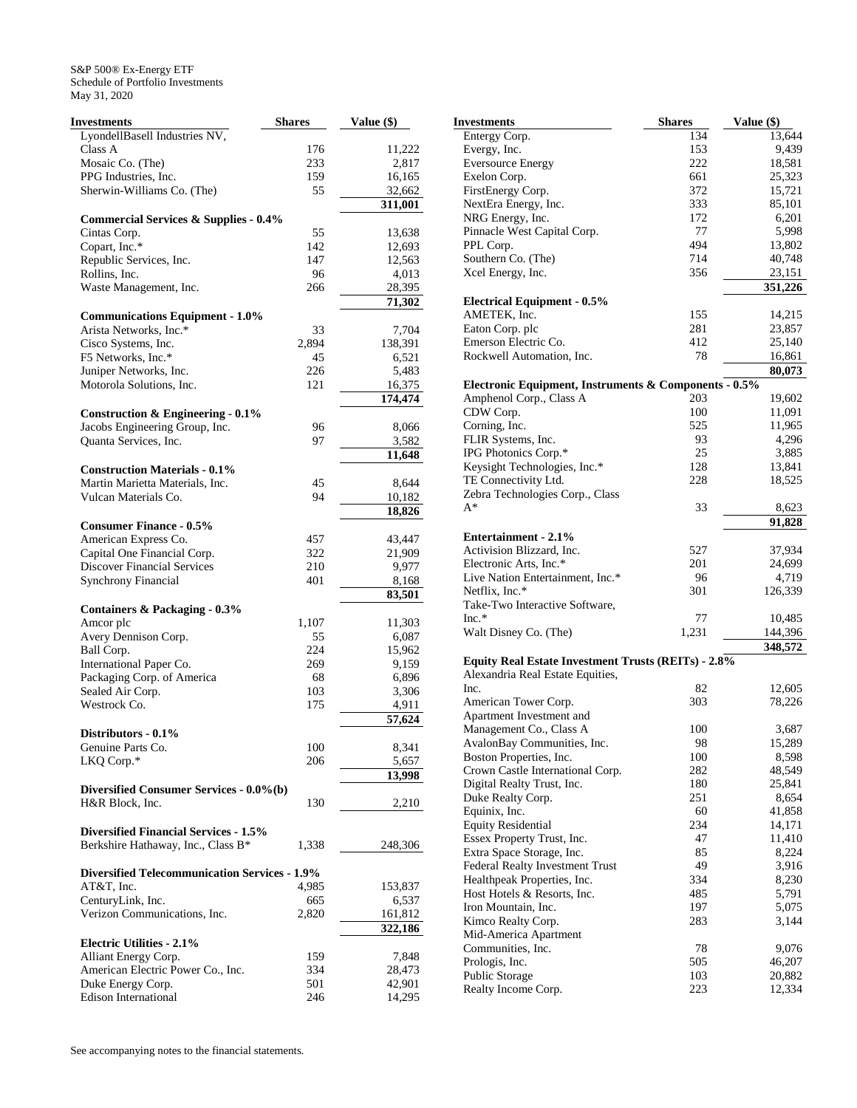| <b>Investments</b>                                   | <b>Shares</b> | Value (\$) |
|------------------------------------------------------|---------------|------------|
| LyondellBasell Industries NV,                        |               |            |
| Class A                                              | 176           | 11,222     |
| Mosaic Co. (The)                                     | 233           | 2,817      |
| PPG Industries, Inc.                                 | 159           | 16,165     |
| Sherwin-Williams Co. (The)                           | 55            | 32,662     |
|                                                      |               | 311,001    |
| <b>Commercial Services &amp; Supplies - 0.4%</b>     |               |            |
| Cintas Corp.                                         | 55            | 13,638     |
| Copart, Inc.*                                        | 142           | 12,693     |
| Republic Services, Inc.                              | 147           | 12,563     |
| Rollins, Inc.                                        | 96            | 4,013      |
| Waste Management, Inc.                               | 266           | 28,395     |
|                                                      |               | 71,302     |
| <b>Communications Equipment - 1.0%</b>               |               |            |
| Arista Networks, Inc.*                               | 33            | 7,704      |
| Cisco Systems, Inc.                                  | 2,894         | 138,391    |
| F5 Networks, Inc.*                                   | 45            | 6,521      |
| Juniper Networks, Inc.                               | 226           | 5,483      |
| Motorola Solutions, Inc.                             | 121           | 16,375     |
|                                                      |               | 174,474    |
| <b>Construction &amp; Engineering - 0.1%</b>         |               |            |
| Jacobs Engineering Group, Inc.                       | 96            | 8,066      |
| Quanta Services, Inc.                                | 97            | 3,582      |
|                                                      |               | 11,648     |
| <b>Construction Materials - 0.1%</b>                 |               |            |
| Martin Marietta Materials, Inc.                      | 45            | 8,644      |
| Vulcan Materials Co.                                 | 94            | 10,182     |
|                                                      |               | 18,826     |
| <b>Consumer Finance - 0.5%</b>                       |               |            |
| American Express Co.                                 | 457           | 43,447     |
| Capital One Financial Corp.                          | 322           | 21,909     |
| <b>Discover Financial Services</b>                   | 210           | 9,977      |
| <b>Synchrony Financial</b>                           | 401           | 8,168      |
|                                                      |               | 83,501     |
| Containers & Packaging - 0.3%                        |               |            |
| Amcor plc                                            | 1,107         | 11,303     |
| Avery Dennison Corp.                                 | 55            | 6,087      |
| Ball Corp.                                           | 224           | 15,962     |
| International Paper Co.                              | 269           | 9,159      |
| Packaging Corp. of America                           | 68            | 6,896      |
| Sealed Air Corp.                                     | 103           | 3,306      |
| Westrock Co.                                         | 175           | 4,911      |
|                                                      |               | 57,624     |
| Distributors - 0.1%                                  |               |            |
| Genuine Parts Co.                                    | 100           | 8,341      |
| LKQ Corp.*                                           | 206           | 5,657      |
|                                                      |               | 13,998     |
| Diversified Consumer Services - 0.0%(b)              |               |            |
| H&R Block, Inc.                                      | 130           | 2,210      |
|                                                      |               |            |
| <b>Diversified Financial Services - 1.5%</b>         |               |            |
| Berkshire Hathaway, Inc., Class B*                   | 1,338         | 248,306    |
|                                                      |               |            |
| <b>Diversified Telecommunication Services - 1.9%</b> |               |            |
| AT&T, Inc.                                           | 4,985         | 153,837    |
| CenturyLink, Inc.                                    | 665           | 6,537      |
| Verizon Communications, Inc.                         | 2,820         | 161,812    |
|                                                      |               | 322,186    |
| <b>Electric Utilities - 2.1%</b>                     |               |            |
| Alliant Energy Corp.                                 | 159           | 7,848      |
| American Electric Power Co., Inc.                    | 334           | 28,473     |
| Duke Energy Corp.                                    | 501           | 42,901     |
| <b>Edison International</b>                          | 246           | 14,295     |

| Investments                                                  | <b>Shares</b> | Value (\$)       |
|--------------------------------------------------------------|---------------|------------------|
| Entergy Corp.                                                | 134           | 13,644           |
| Evergy, Inc.                                                 | 153           | 9,439            |
| <b>Eversource Energy</b>                                     | 222           | 18,581           |
| Exelon Corp.                                                 | 661           | 25,323           |
| FirstEnergy Corp.                                            | 372           | 15,721           |
| NextEra Energy, Inc.                                         | 333           | 85,101           |
| NRG Energy, Inc.                                             | 172           | 6,201            |
| Pinnacle West Capital Corp.                                  | 77            | 5,998            |
| PPL Corp.                                                    | 494           | 13,802           |
| Southern Co. (The)                                           | 714           | 40,748           |
| Xcel Energy, Inc.                                            | 356           | 23,151           |
|                                                              |               | 351,226          |
| <b>Electrical Equipment - 0.5%</b>                           |               |                  |
| AMETEK, Inc.                                                 | 155           | 14,215           |
| Eaton Corp. plc                                              | 281           | 23,857           |
| Emerson Electric Co.                                         | 412           | 25,140           |
| Rockwell Automation, Inc.                                    | 78            | 16,861           |
|                                                              |               | 80,073           |
| Electronic Equipment, Instruments & Components - 0.5%        |               |                  |
| Amphenol Corp., Class A                                      | 203           | 19,602           |
| CDW Corp.                                                    | 100           | 11,091           |
| Corning, Inc.                                                | 525           | 11,965           |
| FLIR Systems, Inc.                                           | 93            | 4,296            |
| IPG Photonics Corp.*                                         | 25            | 3,885            |
| Keysight Technologies, Inc.*                                 | 128           | 13,841           |
| TE Connectivity Ltd.                                         | 228           | 18,525           |
| Zebra Technologies Corp., Class                              |               |                  |
| $A^*$                                                        | 33            | 8,623            |
|                                                              |               | 91,828           |
| <b>Entertainment - 2.1%</b>                                  |               |                  |
| Activision Blizzard, Inc.                                    | 527           | 37,934           |
| Electronic Arts, Inc.*                                       | 201           | 24,699           |
| Live Nation Entertainment, Inc.*                             | 96            | 4,719            |
| Netflix, Inc.*                                               | 301           | 126,339          |
| Take-Two Interactive Software,                               |               |                  |
| $Inc.*$                                                      | 77            | 10,485           |
| Walt Disney Co. (The)                                        | 1,231         | 144,396          |
|                                                              |               | 348,572          |
| Equity Real Estate Investment Trusts (REITs) - 2.8%          |               |                  |
| Alexandria Real Estate Equities,                             |               |                  |
| Inc.                                                         | 82            | 12,605           |
| American Tower Corp.                                         | 303           | 78,226           |
| Apartment Investment and                                     |               |                  |
| Management Co., Class A                                      | 100           | 3,687            |
| AvalonBay Communities, Inc.                                  | ୨୪            | 15,289           |
| Boston Properties, Inc.                                      | 100           | 8,598            |
| Crown Castle International Corp.                             | 282           | 48,549           |
| Digital Realty Trust, Inc.                                   | 180           | 25,841           |
| Duke Realty Corp.                                            | 251           | 8,654            |
| Equinix, Inc.                                                | 60<br>234     | 41,858           |
| <b>Equity Residential</b>                                    | 47            | 14,171<br>11,410 |
| Essex Property Trust, Inc.                                   | 85            |                  |
| Extra Space Storage, Inc.<br>Federal Realty Investment Trust | 49            | 8,224            |
|                                                              | 334           | 3,916            |
| Healthpeak Properties, Inc.                                  | 485           | 8,230            |
| Host Hotels & Resorts, Inc.                                  |               | 5,791            |
| Iron Mountain, Inc.                                          | 197           | 5,075            |
| Kimco Realty Corp.                                           | 283           | 3,144            |
| Mid-America Apartment                                        |               |                  |
| Communities, Inc.                                            | 78<br>505     | 9,076            |
| Prologis, Inc.                                               |               | 46,207           |
| Public Storage                                               | 103           | 20,882           |
| Realty Income Corp.                                          | 223           | 12,334           |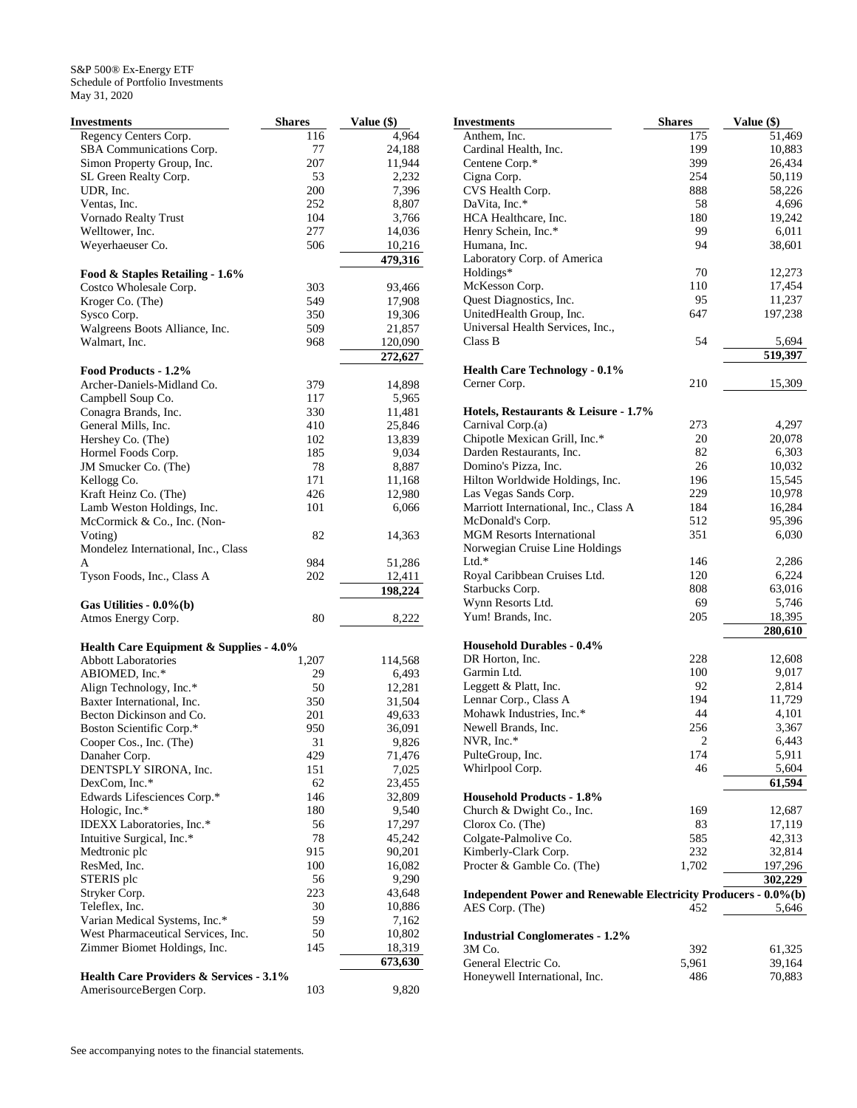| <b>Investments</b>                                                    | <b>Shares</b> | Value (\$) |
|-----------------------------------------------------------------------|---------------|------------|
| Regency Centers Corp.                                                 | 116           | 4,964      |
| SBA Communications Corp.                                              | 77            | 24,188     |
| Simon Property Group, Inc.                                            | 207           | 11,944     |
| SL Green Realty Corp.                                                 | 53            | 2,232      |
| UDR, Inc.                                                             | 200           | 7,396      |
| Ventas, Inc.                                                          | 252           | 8,807      |
| Vornado Realty Trust                                                  | 104           | 3,766      |
| Welltower, Inc.                                                       | 277           | 14,036     |
| Weyerhaeuser Co.                                                      | 506           | 10,216     |
|                                                                       |               | 479,316    |
| Food & Staples Retailing - 1.6%                                       |               |            |
| Costco Wholesale Corp.                                                | 303           | 93,466     |
| Kroger Co. (The)                                                      | 549           | 17,908     |
| Sysco Corp.                                                           | 350           | 19,306     |
| Walgreens Boots Alliance, Inc.                                        | 509           | 21,857     |
| Walmart, Inc.                                                         | 968           | 120,090    |
|                                                                       |               | 272,627    |
| Food Products - 1.2%                                                  |               |            |
| Archer-Daniels-Midland Co.                                            | 379           | 14,898     |
| Campbell Soup Co.                                                     | 117           | 5,965      |
| Conagra Brands, Inc.                                                  | 330           | 11,481     |
| General Mills, Inc.                                                   | 410           | 25,846     |
| Hershey Co. (The)                                                     | 102           | 13,839     |
| Hormel Foods Corp.                                                    | 185           | 9,034      |
| JM Smucker Co. (The)                                                  | 78            | 8,887      |
| Kellogg Co.                                                           | 171           | 11,168     |
| Kraft Heinz Co. (The)                                                 | 426           | 12,980     |
| Lamb Weston Holdings, Inc.                                            | 101           | 6,066      |
| McCormick & Co., Inc. (Non-                                           |               |            |
| Voting)                                                               | 82            | 14,363     |
| Mondelez International, Inc., Class                                   |               |            |
| A                                                                     | 984           | 51,286     |
| Tyson Foods, Inc., Class A                                            | 202           | 12,411     |
|                                                                       |               | 198,224    |
| Gas Utilities - $0.0\%$ (b)                                           |               |            |
| Atmos Energy Corp.                                                    | 80            | 8,222      |
|                                                                       |               |            |
| Health Care Equipment & Supplies - 4.0%<br><b>Abbott Laboratories</b> | 1,207         | 114,568    |
| ABIOMED, Inc.*                                                        | 29            | 6,493      |
| Align Technology, Inc.*                                               | 50            | 12,281     |
| Baxter International, Inc.                                            | 350           | 31,504     |
| Becton Dickinson and Co.                                              | 201           | 49,633     |
| Boston Scientific Corp.*                                              | 950           | 36,091     |
| Cooper Cos., Inc. (The)                                               | 31            | 9,826      |
| Danaher Corp.                                                         | 429           | 71,476     |
| DENTSPLY SIRONA, Inc.                                                 | 151           | 7,025      |
| DexCom, Inc.*                                                         | 62            | 23,455     |
| Edwards Lifesciences Corp.*                                           | 146           | 32,809     |
| Hologic, Inc.*                                                        | 180           | 9,540      |
| IDEXX Laboratories, Inc.*                                             | 56            | 17,297     |
| Intuitive Surgical, Inc.*                                             | 78            | 45,242     |
| Medtronic plc                                                         | 915           | 90,201     |
| ResMed, Inc.                                                          | 100           | 16,082     |
| STERIS plc                                                            | 56            | 9,290      |
| Stryker Corp.                                                         | 223           | 43,648     |
| Teleflex, Inc.                                                        | 30            | 10,886     |
| Varian Medical Systems, Inc.*                                         | 59            | 7,162      |
| West Pharmaceutical Services, Inc.                                    | 50            | 10,802     |
| Zimmer Biomet Holdings, Inc.                                          | 145           | 18,319     |
|                                                                       |               | 673,630    |
| Health Care Providers & Services - 3.1%                               |               |            |
| AmerisourceBergen Corp.                                               | 103           | 9,820      |

| Investments                                                     | <b>Shares</b>  | Value (\$) |
|-----------------------------------------------------------------|----------------|------------|
| Anthem, Inc.                                                    | 175            | 51,469     |
| Cardinal Health, Inc.                                           | 199            | 10,883     |
| Centene Corp.*                                                  | 399            | 26,434     |
| Cigna Corp.                                                     | 254            | 50,119     |
| CVS Health Corp.                                                | 888            | 58,226     |
| DaVita, Inc.*                                                   | 58             | 4,696      |
| HCA Healthcare, Inc.                                            | 180            | 19,242     |
| Henry Schein, Inc.*                                             | 99             | 6,011      |
| Humana, Inc.                                                    | 94             | 38,601     |
| Laboratory Corp. of America                                     |                |            |
| Holdings*                                                       | 70             | 12,273     |
| McKesson Corp.                                                  | 110            | 17,454     |
| Quest Diagnostics, Inc.                                         | 95             | 11,237     |
| UnitedHealth Group, Inc.                                        | 647            | 197,238    |
| Universal Health Services, Inc.,                                |                |            |
| Class B                                                         | 54             | 5,694      |
|                                                                 |                | 519,397    |
| <b>Health Care Technology - 0.1%</b>                            |                |            |
| Cerner Corp.                                                    | 210            | 15,309     |
|                                                                 |                |            |
| Hotels, Restaurants & Leisure - 1.7%                            |                |            |
| Carnival Corp.(a)                                               | 273            | 4,297      |
| Chipotle Mexican Grill, Inc.*                                   | 20             | 20,078     |
| Darden Restaurants, Inc.                                        | 82             | 6,303      |
| Domino's Pizza, Inc.                                            | 26             | 10,032     |
| Hilton Worldwide Holdings, Inc.                                 | 196            | 15,545     |
| Las Vegas Sands Corp.                                           | 229            | 10,978     |
| Marriott International, Inc., Class A                           | 184            | 16,284     |
| McDonald's Corp.                                                | 512            | 95,396     |
| <b>MGM Resorts International</b>                                | 351            | 6,030      |
| Norwegian Cruise Line Holdings                                  |                |            |
| $Ltd.*$                                                         | 146            | 2,286      |
| Royal Caribbean Cruises Ltd.                                    | 120            | 6,224      |
| Starbucks Corp.                                                 | 808            | 63,016     |
| Wynn Resorts Ltd.                                               | 69             | 5,746      |
| Yum! Brands, Inc.                                               | 205            | 18,395     |
|                                                                 |                | 280,610    |
| <b>Household Durables - 0.4%</b>                                |                |            |
| DR Horton, Inc.                                                 | 228            | 12,608     |
| Garmin Ltd.                                                     | 100            | 9,017      |
| Leggett & Platt, Inc.                                           | 92             | 2,814      |
| Lennar Corp., Class A                                           | 194            | 11,729     |
| Mohawk Industries, Inc.*                                        | 44             | 4,101      |
| Newell Brands, Inc.                                             | 256            | 3,367      |
| NVR, Inc.*                                                      | $\overline{c}$ | 6,443      |
| PulteGroup, Inc.                                                | 174            | 5,911      |
| Whirlpool Corp.                                                 | 46             | 5,604      |
|                                                                 |                | 61,594     |
| <b>Household Products - 1.8%</b>                                |                |            |
| Church & Dwight Co., Inc.                                       | 169            | 12,687     |
| Clorox Co. (The)                                                | 83             | 17,119     |
| Colgate-Palmolive Co.                                           | 585            | 42,313     |
| Kimberly-Clark Corp.                                            | 232            | 32,814     |
| Procter & Gamble Co. (The)                                      | 1,702          | 197,296    |
|                                                                 |                | 302,229    |
| Independent Power and Renewable Electricity Producers - 0.0%(b) |                |            |
| AES Corp. (The)                                                 | 452            | 5,646      |
|                                                                 |                |            |
| <b>Industrial Conglomerates - 1.2%</b>                          |                |            |
| 3M Co.                                                          | 392            | 61,325     |
| General Electric Co.                                            | 5,961          | 39,164     |
| Honeywell International, Inc.                                   | 486            | 70,883     |
|                                                                 |                |            |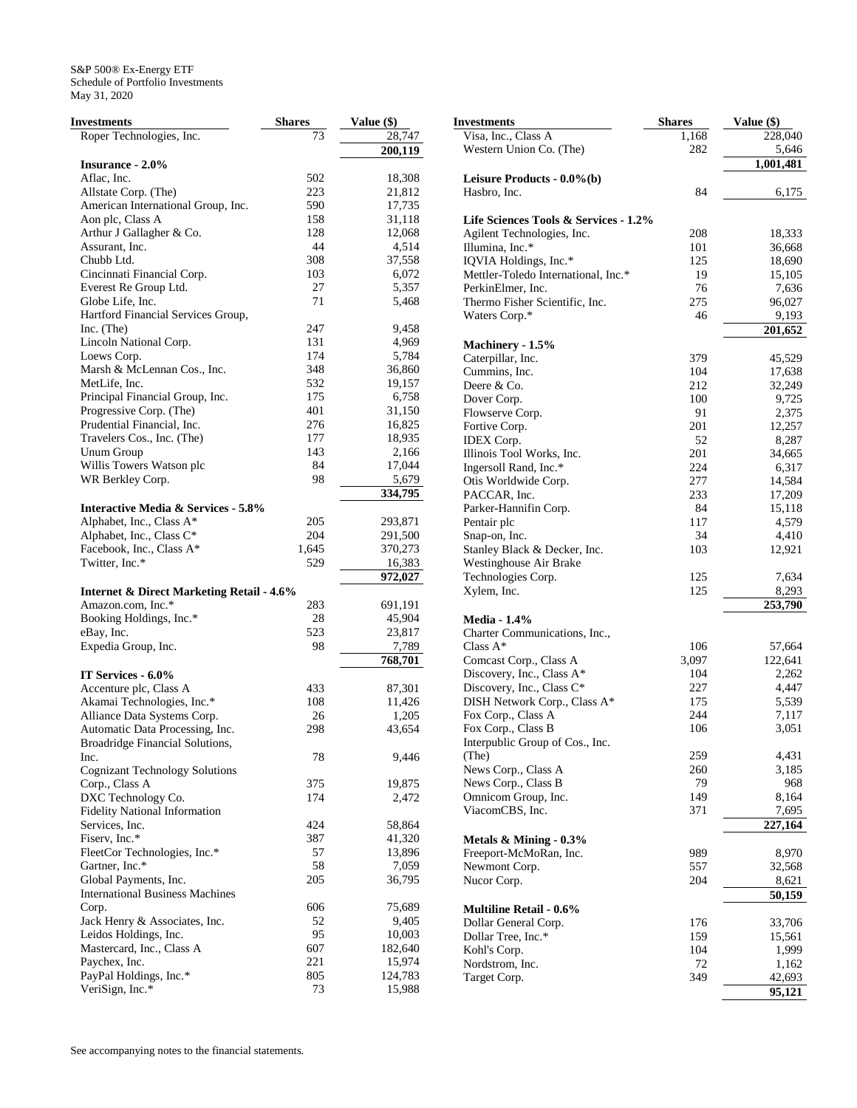| <b>Investments</b>                                                        | <b>Shares</b> | Value (\$)         |
|---------------------------------------------------------------------------|---------------|--------------------|
| Roper Technologies, Inc.                                                  | 73            | 28,747             |
|                                                                           |               | 200,119            |
| <b>Insurance - 2.0%</b>                                                   |               |                    |
| Aflac, Inc.                                                               | 502           | 18,308             |
| Allstate Corp. (The)                                                      | 223           | 21,812             |
| American International Group, Inc.                                        | 590           | 17,735             |
| Aon plc, Class A<br>Arthur J Gallagher & Co.                              | 158<br>128    | 31,118<br>12,068   |
| Assurant, Inc.                                                            | 44            | 4,514              |
| Chubb Ltd.                                                                | 308           | 37,558             |
| Cincinnati Financial Corp.                                                | 103           | 6,072              |
| Everest Re Group Ltd.                                                     | 27            | 5,357              |
| Globe Life, Inc.                                                          | 71            | 5,468              |
| Hartford Financial Services Group,                                        |               |                    |
| Inc. $(The$                                                               | 247           | 9,458              |
| Lincoln National Corp.                                                    | 131           | 4,969              |
| Loews Corp.                                                               | 174           | 5,784              |
| Marsh & McLennan Cos., Inc.                                               | 348           | 36,860             |
| MetLife, Inc.                                                             | 532           | 19,157             |
| Principal Financial Group, Inc.                                           | 175           | 6,758              |
| Progressive Corp. (The)                                                   | 401           | 31,150             |
| Prudential Financial, Inc.                                                | 276           | 16,825             |
| Travelers Cos., Inc. (The)                                                | 177           | 18,935             |
| <b>Unum Group</b>                                                         | 143           | 2,166              |
| Willis Towers Watson plc                                                  | 84            | 17,044             |
| WR Berkley Corp.                                                          | 98            | 5,679              |
|                                                                           |               | 334,795            |
| <b>Interactive Media &amp; Services - 5.8%</b>                            |               |                    |
| Alphabet, Inc., Class A*<br>Alphabet, Inc., Class C*                      | 205<br>204    | 293,871<br>291,500 |
| Facebook, Inc., Class A*                                                  | 1,645         | 370,273            |
| Twitter, Inc.*                                                            | 529           | 16,383             |
|                                                                           |               | 972,027            |
| <b>Internet &amp; Direct Marketing Retail - 4.6%</b>                      |               |                    |
| Amazon.com, Inc.*                                                         | 283           | 691,191            |
| Booking Holdings, Inc.*                                                   | 28            | 45,904             |
| eBay, Inc.                                                                | 523           | 23,817             |
| Expedia Group, Inc.                                                       | 98            | 7,789              |
|                                                                           |               | 768,701            |
| IT Services - 6.0%                                                        |               |                    |
| Accenture plc, Class A                                                    | 433           | 87,301             |
| Akamai Technologies, Inc.*                                                | 108           | 11,426             |
| Alliance Data Systems Corp.                                               | 26            | 1,205              |
| Automatic Data Processing, Inc.<br><b>Broadridge Financial Solutions,</b> | 298           | 43,654             |
| Inc.                                                                      | 78            | 9,446              |
| <b>Cognizant Technology Solutions</b>                                     |               |                    |
| Corp., Class A                                                            | 375           | 19,875             |
| DXC Technology Co.                                                        | 174           | 2,472              |
| Fidelity National Information                                             |               |                    |
| Services, Inc.                                                            | 424           | 58,864             |
| Fiserv, Inc.*                                                             | 387           | 41,320             |
| FleetCor Technologies, Inc.*                                              | 57            | 13,896             |
| Gartner, Inc.*                                                            | 58            | 7,059              |
| Global Payments, Inc.                                                     | 205           | 36,795             |
| <b>International Business Machines</b>                                    |               |                    |
| Corp.                                                                     | 606           | 75,689             |
| Jack Henry & Associates, Inc.                                             | 52            | 9,405              |
| Leidos Holdings, Inc.                                                     | 95            | 10,003             |
| Mastercard, Inc., Class A                                                 | 607           | 182,640            |
| Paychex, Inc.                                                             | 221           | 15,974             |
| PayPal Holdings, Inc.*<br>VeriSign, Inc.*                                 | 805<br>73     | 124,783<br>15,988  |
|                                                                           |               |                    |

| Investments                                                  | <b>Shares</b> | Value (\$)      |
|--------------------------------------------------------------|---------------|-----------------|
| Visa, Inc., Class A                                          | 1,168         | 228,040         |
| Western Union Co. (The)                                      | 282           | 5,646           |
|                                                              |               | 1,001,481       |
| Leisure Products - 0.0%(b)                                   |               |                 |
| Hasbro, Inc.                                                 | 84            | 6,175           |
|                                                              |               |                 |
| Life Sciences Tools & Services - 1.2%                        |               |                 |
| Agilent Technologies, Inc.                                   | 208           | 18,333          |
| Illumina, Inc.*                                              | 101<br>125    | 36,668          |
| IQVIA Holdings, Inc.*<br>Mettler-Toledo International, Inc.* | 19            | 18,690          |
| PerkinElmer, Inc.                                            | 76            | 15,105<br>7,636 |
| Thermo Fisher Scientific, Inc.                               | 275           | 96,027          |
| Waters Corp.*                                                | 46            | 9,193           |
|                                                              |               | 201,652         |
| Machinery - 1.5%                                             |               |                 |
| Caterpillar, Inc.                                            | 379           | 45,529          |
| Cummins, Inc.                                                | 104           | 17,638          |
| Deere & Co.                                                  | 212           | 32,249          |
| Dover Corp.                                                  | 100           | 9,725           |
| Flowserve Corp.                                              | 91            | 2,375           |
| Fortive Corp.                                                | 201           | 12,257          |
| IDEX Corp.                                                   | 52            | 8,287           |
| Illinois Tool Works, Inc.                                    | 201           | 34,665          |
| Ingersoll Rand, Inc.*                                        | 224           | 6,317           |
| Otis Worldwide Corp.                                         | 277           | 14,584          |
| PACCAR, Inc.                                                 | 233           | 17,209          |
| Parker-Hannifin Corp.                                        | 84            | 15,118          |
| Pentair plc                                                  | 117           | 4,579           |
| Snap-on, Inc.                                                | 34            | 4,410           |
| Stanley Black & Decker, Inc.                                 | 103           | 12,921          |
| Westinghouse Air Brake                                       |               |                 |
| Technologies Corp.                                           | 125           | 7,634           |
| Xylem, Inc.                                                  | 125           | 8,293           |
|                                                              |               | 253,790         |
| <b>Media - 1.4%</b>                                          |               |                 |
| Charter Communications, Inc.,                                |               |                 |
| Class $A^*$                                                  | 106           | 57,664          |
| Comcast Corp., Class A                                       | 3,097         | 122,641         |
| Discovery, Inc., Class A*                                    | 104           | 2,262           |
| Discovery, Inc., Class C*                                    | 227           | 4,447           |
| DISH Network Corp., Class A*                                 | 175           | 5,539           |
| Fox Corp., Class A<br>Fox Corp., Class B                     | 244<br>106    | 7,117<br>3,051  |
| Interpublic Group of Cos., Inc.                              |               |                 |
| (The)                                                        | 259           | 4,431           |
| News Corp., Class A                                          | 260           | 3,185           |
| News Corp., Class B                                          | 79            | 968             |
| Omnicom Group, Inc.                                          | 149           | 8,164           |
| ViacomCBS, Inc.                                              | 371           | 7,695           |
|                                                              |               | 227,164         |
| Metals $&$ Mining - 0.3%                                     |               |                 |
| Freeport-McMoRan, Inc.                                       | 989           | 8,970           |
| Newmont Corp.                                                | 557           | 32,568          |
| Nucor Corp.                                                  | 204           | 8,621           |
|                                                              |               | 50,159          |
| <b>Multiline Retail - 0.6%</b>                               |               |                 |
| Dollar General Corp.                                         | 176           | 33,706          |
| Dollar Tree, Inc.*                                           | 159           | 15,561          |
| Kohl's Corp.                                                 | 104           | 1,999           |
| Nordstrom, Inc.                                              | 72            | 1,162           |
| Target Corp.                                                 | 349           | 42,693          |
|                                                              |               | 95,121          |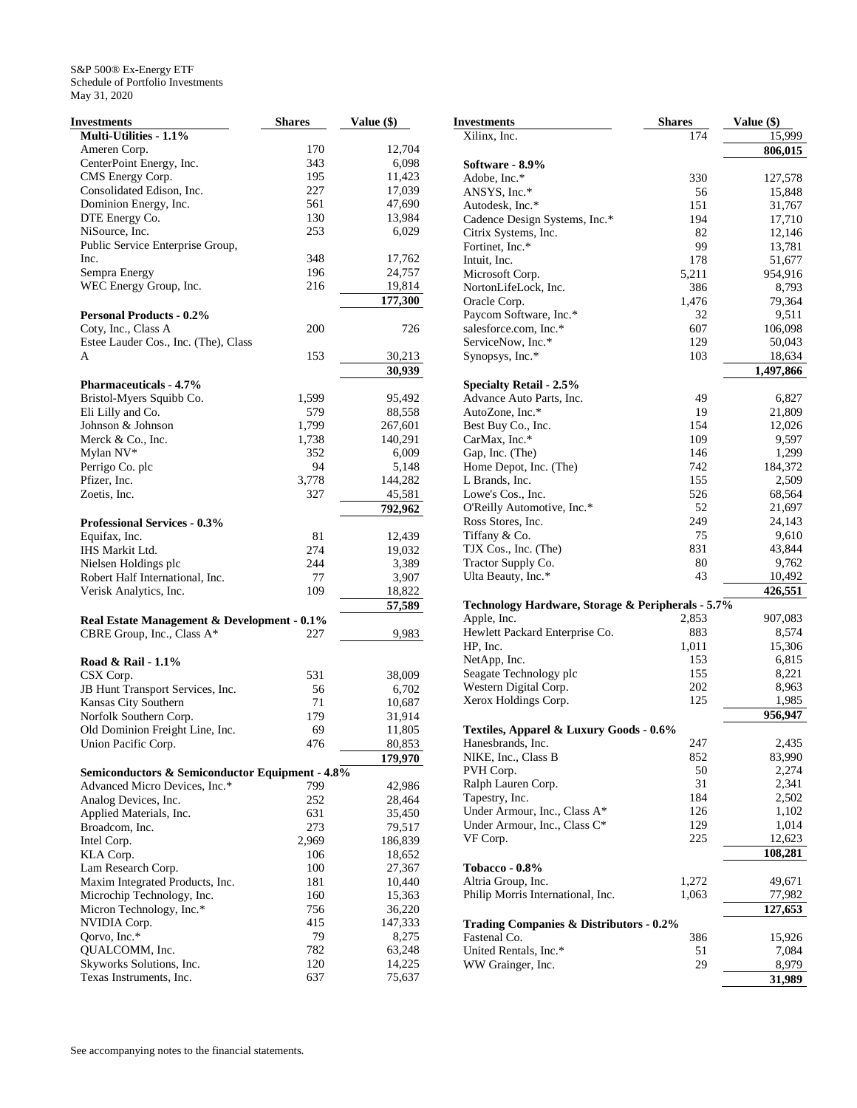| <b>Investments</b>                              | <b>Shares</b> | Value (\$) |
|-------------------------------------------------|---------------|------------|
| Multi-Utilities - 1.1%                          |               |            |
| Ameren Corp.                                    | 170           | 12,704     |
| CenterPoint Energy, Inc.                        | 343           | 6,098      |
| CMS Energy Corp.                                | 195           | 11,423     |
| Consolidated Edison, Inc.                       | 227           | 17,039     |
| Dominion Energy, Inc.                           | 561           | 47,690     |
| DTE Energy Co.                                  | 130           | 13,984     |
| NiSource, Inc.                                  | 253           | 6,029      |
| Public Service Enterprise Group,                |               |            |
| Inc.                                            | 348           | 17,762     |
| Sempra Energy                                   | 196           | 24,757     |
| WEC Energy Group, Inc.                          | 216           | 19,814     |
|                                                 |               | 177,300    |
| <b>Personal Products - 0.2%</b>                 |               |            |
| Coty, Inc., Class A                             | 200           | 726        |
| Estee Lauder Cos., Inc. (The), Class            |               |            |
| A                                               | 153           | 30,213     |
|                                                 |               | 30,939     |
| <b>Pharmaceuticals - 4.7%</b>                   |               |            |
| Bristol-Myers Squibb Co.                        | 1,599         | 95,492     |
| Eli Lilly and Co.                               | 579           | 88,558     |
| Johnson & Johnson                               | 1,799         | 267,601    |
| Merck & Co., Inc.                               | 1,738         | 140,291    |
| Mylan NV*                                       | 352           | 6,009      |
| Perrigo Co. plc                                 | 94            | 5,148      |
| Pfizer, Inc.                                    | 3,778         | 144,282    |
| Zoetis, Inc.                                    | 327           | 45,581     |
|                                                 |               | 792,962    |
| <b>Professional Services - 0.3%</b>             |               |            |
| Equifax, Inc.                                   | 81            | 12,439     |
| IHS Markit Ltd.                                 | 274           | 19,032     |
| Nielsen Holdings plc                            | 244           | 3,389      |
| Robert Half International, Inc.                 | 77            | 3,907      |
| Verisk Analytics, Inc.                          | 109           | 18,822     |
|                                                 |               | 57,589     |
| Real Estate Management & Development - 0.1%     |               |            |
| CBRE Group, Inc., Class A*                      | 227           | 9,983      |
|                                                 |               |            |
| Road & Rail - 1.1%                              |               |            |
| CSX Corp.                                       | 531           | 38,009     |
| JB Hunt Transport Services, Inc.                | 56            | 6,702      |
| Kansas City Southern                            | 71            | 10,687     |
| Norfolk Southern Corp.                          | 179           | 31,914     |
| Old Dominion Freight Line, Inc.                 | 69            | 11,805     |
| Union Pacific Corp.                             | 476           | 80,853     |
|                                                 |               | 179,970    |
| Semiconductors & Semiconductor Equipment - 4.8% |               |            |
| Advanced Micro Devices, Inc.*                   | 799           | 42,986     |
| Analog Devices, Inc.                            | 252           | 28,464     |
| Applied Materials, Inc.                         | 631           | 35,450     |
| Broadcom, Inc.                                  | 273           | 79,517     |
| Intel Corp.                                     | 2,969         | 186,839    |
| KLA Corp.                                       | 106           | 18,652     |
| Lam Research Corp.                              | 100           | 27,367     |
| Maxim Integrated Products, Inc.                 | 181           | 10,440     |
| Microchip Technology, Inc.                      | 160           | 15,363     |
| Micron Technology, Inc.*                        | 756           | 36,220     |
| NVIDIA Corp.                                    | 415           | 147,333    |
| Qorvo, Inc.*                                    | 79            | 8,275      |
| QUALCOMM, Inc.                                  | 782           | 63,248     |
| Skyworks Solutions, Inc.                        | 120           | 14,225     |
| Texas Instruments, Inc.                         | 637           | 75,637     |

|                         | <b>Investments</b>                                 | <b>Shares</b> | Value (\$) |
|-------------------------|----------------------------------------------------|---------------|------------|
|                         | Xilinx, Inc.                                       | 174           | 15,999     |
| 4                       |                                                    |               | 806,015    |
| 8                       | Software - 8.9%                                    |               |            |
| 3                       | Adobe, Inc.*                                       | 330           | 127,578    |
| 9                       | ANSYS, Inc.*                                       | 56            | 15,848     |
| 0                       | Autodesk, Inc.*                                    | 151           | 31,767     |
| 4                       | Cadence Design Systems, Inc.*                      | 194           | 17,710     |
| 9                       | Citrix Systems, Inc.                               | 82            | 12,146     |
|                         | Fortinet, Inc.*                                    | 99            | 13,781     |
| $\overline{\mathbf{c}}$ | Intuit, Inc.                                       | 178           | 51,677     |
| 7                       | Microsoft Corp.                                    | 5,211         | 954,916    |
| 4                       | NortonLifeLock, Inc.                               | 386           | 8,793      |
| 0                       | Oracle Corp.                                       | 1,476         | 79,364     |
|                         | Paycom Software, Inc.*                             | 32            | 9,511      |
| 6                       | salesforce.com, Inc.*                              | 607           | 106,098    |
|                         | ServiceNow, Inc.*                                  | 129           | 50,043     |
|                         | Synopsys, Inc.*                                    | 103           | 18,634     |
| $\frac{3}{9}$           |                                                    |               | 1,497,866  |
|                         | <b>Specialty Retail - 2.5%</b>                     |               |            |
| $\overline{\mathbf{c}}$ | Advance Auto Parts, Inc.                           | 49            | 6,827      |
| 8                       | AutoZone, Inc.*                                    | 19            | 21,809     |
| 1                       | Best Buy Co., Inc.                                 | 154           | 12,026     |
| 1                       | CarMax, Inc.*                                      | 109           | 9,597      |
| 9                       | Gap, Inc. (The)                                    | 146           | 1,299      |
| 8                       | Home Depot, Inc. (The)                             | 742           | 184,372    |
| $\overline{c}$          | L Brands, Inc.                                     | 155           | 2,509      |
| $\mathbf{1}$            | Lowe's Cos., Inc.                                  | 526           | 68,564     |
| $\overline{2}$          | O'Reilly Automotive, Inc.*                         | 52            | 21,697     |
|                         | Ross Stores, Inc.                                  | 249           | 24,143     |
| 9                       | Tiffany & Co.                                      | 75            | 9,610      |
| $\overline{\mathbf{c}}$ | TJX Cos., Inc. (The)                               | 831           | 43,844     |
| 9                       | Tractor Supply Co.                                 | 80            | 9,762      |
| 7                       | Ulta Beauty, Inc.*                                 | 43            | 10,492     |
|                         |                                                    |               | 426,551    |
| $\frac{2}{9}$           | Technology Hardware, Storage & Peripherals - 5.7%  |               |            |
|                         | Apple, Inc.                                        | 2,853         | 907,083    |
| $\overline{\mathbf{3}}$ | Hewlett Packard Enterprise Co.                     | 883           | 8,574      |
|                         | HP, Inc.                                           | 1,011         | 15,306     |
|                         | NetApp, Inc.                                       | 153           | 6,815      |
| 9                       | Seagate Technology plc                             | 155           | 8,221      |
| $\overline{c}$          | Western Digital Corp.                              | 202           | 8,963      |
| 7                       | Xerox Holdings Corp.                               | 125           | 1,985      |
| 4                       |                                                    |               | 956,947    |
| 5                       | Textiles, Apparel & Luxury Goods - 0.6%            |               |            |
| 3                       | Hanesbrands, Inc.                                  | 247           | 2,435      |
| 0                       | NIKE, Inc., Class B                                | 852           | 83,990     |
|                         | PVH Corp.                                          | 50            | 2,274      |
|                         | Ralph Lauren Corp.                                 | 31            | 2,341      |
| 6<br>4                  | Tapestry, Inc.                                     | 184           | 2,502      |
| 0                       | Under Armour, Inc., Class A*                       | 126           | 1,102      |
|                         | Under Armour, Inc., Class C*                       | 129           | 1,014      |
| 7                       | VF Corp.                                           | 225           | 12,623     |
| 9                       |                                                    |               | 108,281    |
| 2                       |                                                    |               |            |
| 7                       | <b>Tobacco - 0.8%</b>                              |               |            |
| 0                       | Altria Group, Inc.                                 | 1,272         | 49,671     |
| 3                       | Philip Morris International, Inc.                  | 1,063         | 77,982     |
| 0                       |                                                    |               | 127,653    |
| 3                       | <b>Trading Companies &amp; Distributors - 0.2%</b> |               |            |
| 5                       | Fastenal Co.                                       | 386           | 15,926     |
| 8                       | United Rentals, Inc.*                              | 51            | 7,084      |
| 5                       | WW Grainger, Inc.                                  | 29            | 8,979      |
| 7                       |                                                    |               | 31,989     |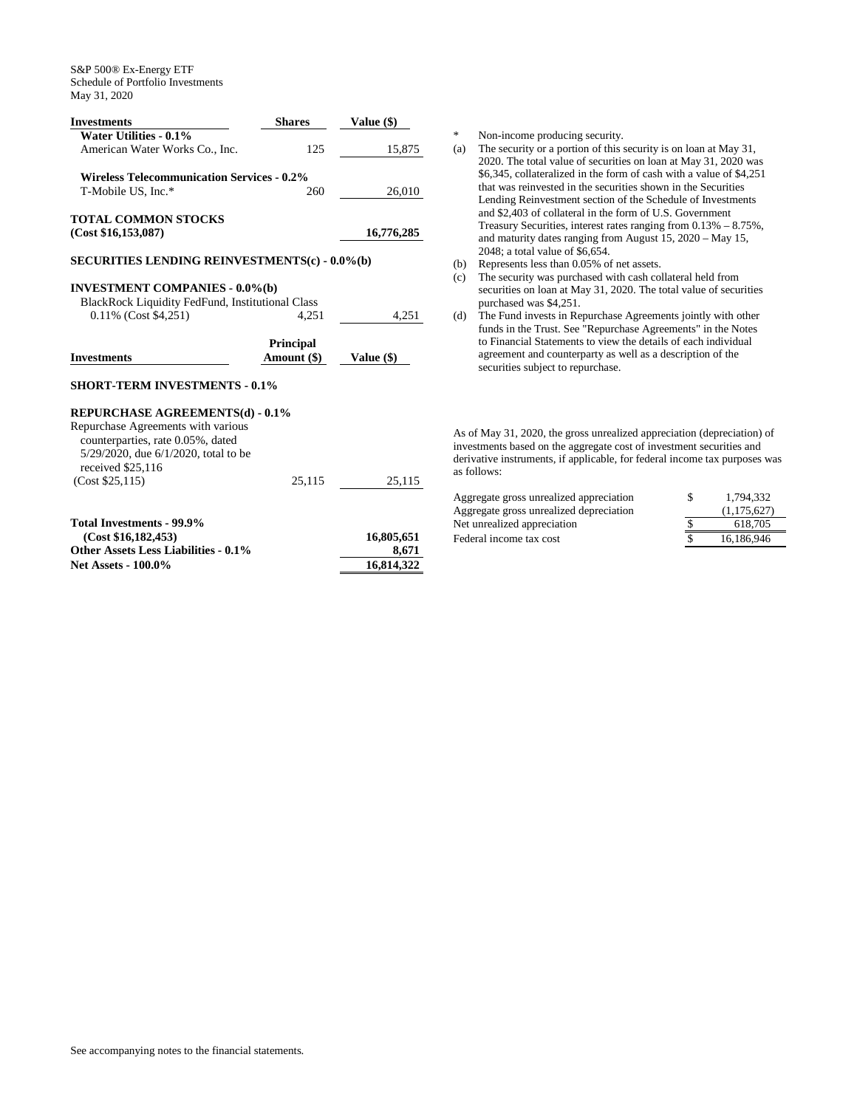|                                                                           | <b>Shares</b>    | Value (\$)          |
|---------------------------------------------------------------------------|------------------|---------------------|
| Water Utilities - 0.1%                                                    |                  |                     |
| American Water Works Co., Inc.                                            | 125              | 15,875              |
| <b>Wireless Telecommunication Services - 0.2%</b>                         |                  |                     |
| T-Mobile US, Inc.*                                                        | 260              |                     |
|                                                                           |                  | 26,010              |
| <b>TOTAL COMMON STOCKS</b>                                                |                  |                     |
| (Cost \$16,153,087)                                                       |                  | 16,776,285          |
| <b>SECURITIES LENDING REINVESTMENTS(c) - 0.0%(b)</b>                      |                  |                     |
| <b>INVESTMENT COMPANIES - 0.0%(b)</b>                                     |                  |                     |
| <b>BlackRock Liquidity FedFund, Institutional Class</b>                   |                  |                     |
| 0.11% (Cost \$4,251)                                                      | 4.251            | 4,251               |
|                                                                           |                  |                     |
|                                                                           | <b>Principal</b> |                     |
| <b>Investments</b>                                                        | Amount (\$)      | Value $(\$)$        |
| <b>SHORT-TERM INVESTMENTS - 0.1%</b>                                      |                  |                     |
|                                                                           |                  |                     |
| REPURCHASE AGREEMENTS(d) - 0.1%                                           |                  |                     |
| Repurchase Agreements with various                                        |                  |                     |
| counterparties, rate 0.05%, dated                                         |                  |                     |
| 5/29/2020, due 6/1/2020, total to be                                      |                  |                     |
| received \$25,116                                                         |                  |                     |
| (Cost \$25,115)                                                           | 25,115           | 25,115              |
|                                                                           |                  |                     |
| Total Investments - 99.9%                                                 |                  |                     |
| (Cost \$16,182,453)                                                       |                  | 16,805,651          |
| <b>Other Assets Less Liabilities - 0.1%</b><br><b>Net Assets - 100.0%</b> |                  | 8,671<br>16,814,322 |

\* Non-income producing security.

- (a) The security or a portion of this security is on loan at May 31, 2020. The total value of securities on loan at May 31, 2020 was \$6,345, collateralized in the form of cash with a value of \$4,251 that was reinvested in the securities shown in the Securities Lending Reinvestment section of the Schedule of Investments and \$2,403 of collateral in the form of U.S. Government Treasury Securities, interest rates ranging from 0.13% – 8.75%, and maturity dates ranging from August 15, 2020 – May 15, 2048; a total value of \$6,654.
- (b) Represents less than 0.05% of net assets.
- (c) The security was purchased with cash collateral held from securities on loan at May 31, 2020. The total value of securities purchased was \$4,251.
- (d) The Fund invests in Repurchase Agreements jointly with other funds in the Trust. See "Repurchase Agreements" in the Notes to Financial Statements to view the details of each individual agreement and counterparty as well as a description of the securities subject to repurchase.

As of May 31, 2020, the gross unrealized appreciation (depreciation) of investments based on the aggregate cost of investment securities and derivative instruments, if applicable, for federal income tax purposes was as follows:

| Aggregate gross unrealized appreciation | 1.794.332   |
|-----------------------------------------|-------------|
| Aggregate gross unrealized depreciation | (1,175,627) |
| Net unrealized appreciation             | 618.705     |
| Federal income tax cost                 | 16.186.946  |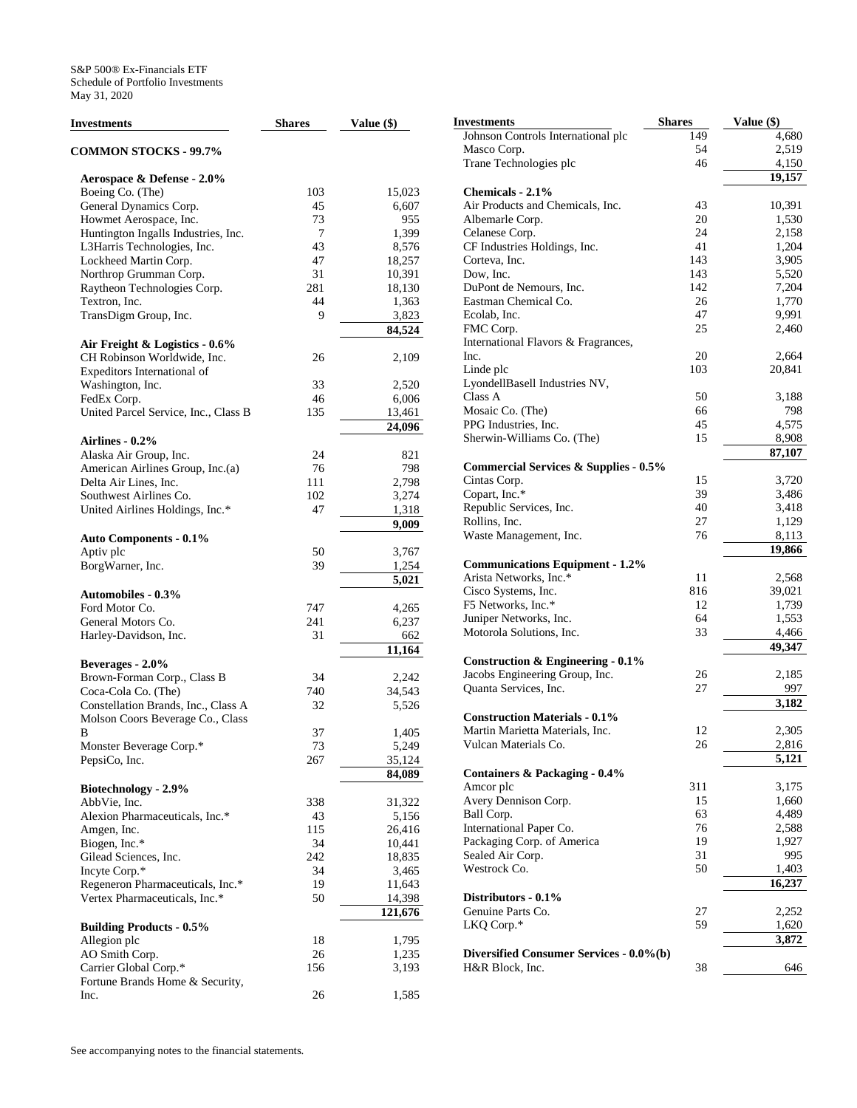| <b>Investments</b>                                       | <b>Shares</b> | Value (\$) |
|----------------------------------------------------------|---------------|------------|
| <b>COMMON STOCKS - 99.7%</b>                             |               |            |
| Aerospace & Defense - 2.0%                               |               |            |
| Boeing Co. (The)                                         | 103           | 15,023     |
| General Dynamics Corp.                                   | 45            | 6,607      |
| Howmet Aerospace, Inc.                                   | 73            | 955        |
| Huntington Ingalls Industries, Inc.                      | 7             | 1,399      |
| L3Harris Technologies, Inc.                              | 43            | 8,576      |
| Lockheed Martin Corp.                                    | 47            | 18,257     |
| Northrop Grumman Corp.                                   | 31            | 10,391     |
| Raytheon Technologies Corp.                              | 281           | 18,130     |
| Textron, Inc.                                            | 44            | 1,363      |
| TransDigm Group, Inc.                                    | 9             | 3,823      |
|                                                          |               | 84,524     |
| Air Freight & Logistics - 0.6%                           |               |            |
| CH Robinson Worldwide, Inc.                              | 26            | 2,109      |
| Expeditors International of                              |               |            |
| Washington, Inc.                                         | 33            | 2,520      |
| FedEx Corp.                                              | 46            | 6,006      |
| United Parcel Service, Inc., Class B                     | 135           | 13,461     |
|                                                          |               | 24,096     |
| Airlines - 0.2%                                          |               |            |
| Alaska Air Group, Inc.                                   | 24            | 821        |
| American Airlines Group, Inc.(a)                         | 76            | 798        |
| Delta Air Lines, Inc.                                    | 111           | 2,798      |
| Southwest Airlines Co.                                   | 102           | 3,274      |
| United Airlines Holdings, Inc.*                          | 47            | 1,318      |
|                                                          |               | 9,009      |
| <b>Auto Components - 0.1%</b>                            |               |            |
| Aptiv plc                                                | 50            | 3,767      |
| BorgWarner, Inc.                                         | 39            | 1,254      |
|                                                          |               | 5,021      |
| <b>Automobiles - 0.3%</b>                                |               |            |
| Ford Motor Co.                                           | 747           | 4,265      |
| General Motors Co.                                       | 241           | 6,237      |
| Harley-Davidson, Inc.                                    | 31            | 662        |
|                                                          |               | 11,164     |
| Beverages - 2.0%                                         |               |            |
|                                                          | 34            | 2,242      |
| Brown-Forman Corp., Class B<br>Coca-Cola Co. (The)       | 740           | 34,543     |
| Constellation Brands, Inc., Class A                      | 32            | 5,526      |
|                                                          |               |            |
| Molson Coors Beverage Co., Class<br>В                    | 37            | 1,405      |
|                                                          | 73            | 5,249      |
| Monster Beverage Corp.*<br>PepsiCo, Inc.                 |               | 35,124     |
|                                                          | 267           |            |
|                                                          |               | 84,089     |
| Biotechnology - 2.9%                                     |               |            |
| AbbVie, Inc.<br>Alexion Pharmaceuticals, Inc.*           | 338           | 31,322     |
|                                                          | 43            | 5,156      |
| Amgen, Inc.                                              | 115           | 26,416     |
| Biogen, Inc.*                                            | 34<br>242     | 10,441     |
| Gilead Sciences, Inc.<br>Incyte Corp.*                   | 34            | 18,835     |
| Regeneron Pharmaceuticals, Inc.*                         | 19            | 3,465      |
| Vertex Pharmaceuticals, Inc.*                            | 50            | 11,643     |
|                                                          |               | 14,398     |
|                                                          |               | 121,676    |
| <b>Building Products - 0.5%</b>                          |               |            |
| Allegion plc                                             | 18            | 1,795      |
| AO Smith Corp.                                           | 26            | 1,235      |
| Carrier Global Corp.*<br>Fortune Brands Home & Security, | 156           | 3,193      |
| Inc.                                                     | 26            | 1,585      |
|                                                          |               |            |

| Investments                                                      | <b>Shares</b> | Value (\$) |
|------------------------------------------------------------------|---------------|------------|
| Johnson Controls International plc                               | 149           | 4,680      |
| Masco Corp.                                                      | 54            | 2,519      |
| Trane Technologies plc                                           | 46            | 4,150      |
|                                                                  |               | 19,157     |
| Chemicals - 2.1%                                                 |               |            |
| Air Products and Chemicals, Inc.                                 | 43            | 10,391     |
| Albemarle Corp.                                                  | 20            | 1,530      |
| Celanese Corp.                                                   | 24            | 2,158      |
| CF Industries Holdings, Inc.                                     | 41            | 1,204      |
| Corteva, Inc.                                                    | 143           | 3,905      |
| Dow, Inc.                                                        | 143           | 5,520      |
| DuPont de Nemours, Inc.                                          | 142           | 7,204      |
| Eastman Chemical Co.                                             | 26            | 1,770      |
| Ecolab, Inc.                                                     | 47            | 9,991      |
| FMC Corp.                                                        | 25            | 2,460      |
| International Flavors & Fragrances,                              |               |            |
| Inc.                                                             | 20            | 2,664      |
| Linde plc                                                        | 103           | 20,841     |
| LyondellBasell Industries NV,                                    |               |            |
| Class A                                                          | 50            | 3,188      |
| Mosaic Co. (The)                                                 | 66            | 798        |
| PPG Industries, Inc.                                             | 45            | 4,575      |
| Sherwin-Williams Co. (The)                                       | 15            | 8,908      |
|                                                                  |               | 87,107     |
| <b>Commercial Services &amp; Supplies - 0.5%</b><br>Cintas Corp. | 15            | 3,720      |
| Copart, Inc.*                                                    | 39            | 3,486      |
| Republic Services, Inc.                                          | 40            | 3,418      |
| Rollins, Inc.                                                    | 27            | 1,129      |
| Waste Management, Inc.                                           | 76            | 8,113      |
|                                                                  |               | 19,866     |
| <b>Communications Equipment - 1.2%</b>                           |               |            |
| Arista Networks, Inc.*                                           | 11            | 2,568      |
| Cisco Systems, Inc.                                              | 816           | 39,021     |
| F5 Networks, Inc.*                                               | 12            | 1,739      |
| Juniper Networks, Inc.                                           | 64            | 1,553      |
| Motorola Solutions, Inc.                                         | 33            | 4,466      |
|                                                                  |               | 49,347     |
| Construction $\&$ Engineering - 0.1%                             |               |            |
| Jacobs Engineering Group, Inc.                                   | 26            | 2,185      |
| Quanta Services, Inc.                                            | 27            | 997        |
|                                                                  |               | 3,182      |
| <b>Construction Materials - 0.1%</b>                             |               |            |
| Martin Marietta Materials, Inc.                                  | 12            | 2,305      |
| Vulcan Materials Co.                                             | 26            | 2,816      |
| <b>Containers &amp; Packaging - 0.4%</b>                         |               | 5,121      |
| Amcor plc                                                        | 311           | 3,175      |
| Avery Dennison Corp.                                             | 15            | 1,660      |
| Ball Corp.                                                       | 63            | 4,489      |
| International Paper Co.                                          | 76            | 2,588      |
| Packaging Corp. of America                                       | 19            | 1,927      |
| Sealed Air Corp.                                                 | 31            | 995        |
| Westrock Co.                                                     | 50            | 1,403      |
|                                                                  |               | 16,237     |
| Distributors - 0.1%                                              |               |            |
| Genuine Parts Co.                                                | 27            | 2,252      |
| LKQ Corp.*                                                       | 59            | 1,620      |
|                                                                  |               | 3,872      |
| Diversified Consumer Services - 0.0%(b)                          |               |            |
| H&R Block, Inc.                                                  | 38            | 646        |
|                                                                  |               |            |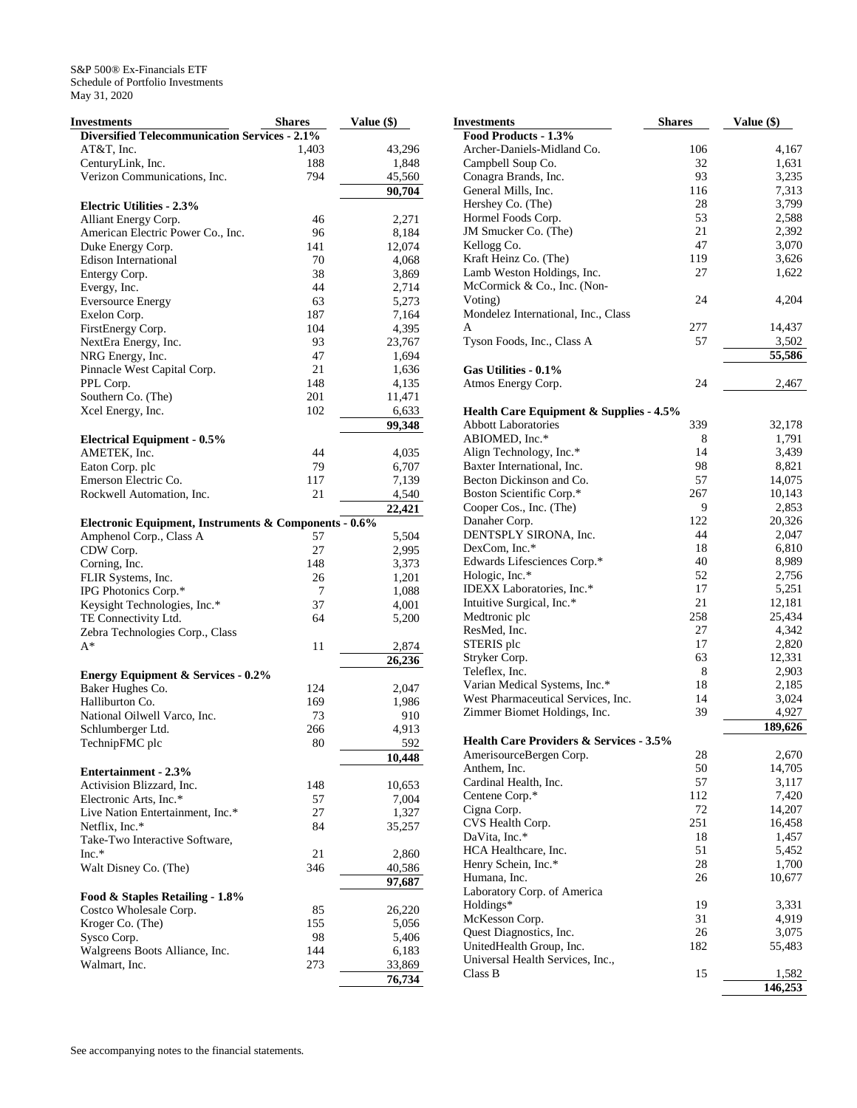| Investments                                           | <b>Shares</b> | Value (\$)      |
|-------------------------------------------------------|---------------|-----------------|
| <b>Diversified Telecommunication Services - 2.1%</b>  |               |                 |
| AT&T, Inc.                                            | 1,403         | 43,296          |
| CenturyLink, Inc.                                     | 188           | 1,848           |
| Verizon Communications, Inc.                          | 794           | 45,560          |
|                                                       |               | 90,704          |
| <b>Electric Utilities - 2.3%</b>                      |               |                 |
|                                                       | 46            | 2,271           |
| Alliant Energy Corp.                                  |               |                 |
| American Electric Power Co., Inc.                     | 96            | 8,184           |
| Duke Energy Corp.                                     | 141           | 12,074          |
| <b>Edison International</b>                           | 70            | 4,068           |
| Entergy Corp.                                         | 38            | 3,869           |
| Evergy, Inc.                                          | 44            | 2,714           |
| <b>Eversource Energy</b>                              | 63            | 5,273           |
| Exelon Corp.                                          | 187           | 7,164           |
| FirstEnergy Corp.                                     | 104           | 4,395           |
| NextEra Energy, Inc.                                  | 93            | 23,767          |
| NRG Energy, Inc.                                      | 47            | 1,694           |
| Pinnacle West Capital Corp.                           | 21            | 1,636           |
| PPL Corp.                                             | 148           | 4,135           |
| Southern Co. (The)                                    | 201           | 11,471          |
| Xcel Energy, Inc.                                     | 102           | 6,633           |
|                                                       |               | 99,348          |
| <b>Electrical Equipment - 0.5%</b>                    |               |                 |
| AMETEK, Inc.                                          | 44            | 4,035           |
| Eaton Corp. plc                                       | 79            | 6,707           |
| Emerson Electric Co.                                  | 117           | 7,139           |
| Rockwell Automation, Inc.                             | 21            | 4,540           |
|                                                       |               | 22,421          |
| Electronic Equipment, Instruments & Components - 0.6% |               |                 |
| Amphenol Corp., Class A                               | 57            | 5,504           |
| CDW Corp.                                             | 27            |                 |
|                                                       |               | 2,995           |
| Corning, Inc.                                         | 148           | 3,373           |
| FLIR Systems, Inc.                                    | 26            | 1,201           |
| IPG Photonics Corp.*                                  | 7             | 1,088           |
| Keysight Technologies, Inc.*                          | 37            | 4,001           |
| TE Connectivity Ltd.                                  | 64            | 5,200           |
| Zebra Technologies Corp., Class                       |               |                 |
| $A^*$                                                 | 11            | 2,874           |
|                                                       |               | 26,236          |
| <b>Energy Equipment &amp; Services - 0.2%</b>         |               |                 |
| Baker Hughes Co.                                      | 124           | 2,047           |
| Halliburton Co.                                       | 169           | 1,986           |
| National Oilwell Varco, Inc.                          | 73            | 910             |
| Schlumberger Ltd.                                     | 266           | 4,913           |
| TechnipFMC plc                                        | 80            | 592             |
|                                                       |               | 10,448          |
| <b>Entertainment - 2.3%</b>                           |               |                 |
| Activision Blizzard, Inc.                             | 148           | 10,653          |
| Electronic Arts, Inc.*                                | 57            | 7,004           |
| Live Nation Entertainment, Inc.*                      | 27            | 1,327           |
| Netflix, Inc.*                                        | 84            | 35,257          |
| Take-Two Interactive Software,                        |               |                 |
| Inc.*                                                 | 21            |                 |
|                                                       | 346           | 2,860<br>40,586 |
| Walt Disney Co. (The)                                 |               |                 |
|                                                       |               | 97,687          |
| Food & Staples Retailing - 1.8%                       |               |                 |
| Costco Wholesale Corp.                                | 85            | 26,220          |
| Kroger Co. (The)                                      | 155           | 5,056           |
| Sysco Corp.                                           | 98            | 5,406           |
| Walgreens Boots Alliance, Inc.                        | 144           | 6,183           |
| Walmart, Inc.                                         | 273           | 33,869          |
|                                                       |               | 76,734          |

| Investments                                        | Shares    | Value (\$)      |
|----------------------------------------------------|-----------|-----------------|
| Food Products - 1.3%                               |           |                 |
| Archer-Daniels-Midland Co.                         | 106       | 4,167           |
| Campbell Soup Co.                                  | 32        | 1,631           |
| Conagra Brands, Inc.                               | 93        | 3,235           |
| General Mills, Inc.                                | 116       | 7,313           |
| Hershey Co. (The)                                  | 28        | 3,799           |
| Hormel Foods Corp.                                 | 53        | 2,588           |
| JM Smucker Co. (The)                               | 21        | 2,392           |
| Kellogg Co.                                        | 47        | 3,070           |
| Kraft Heinz Co. (The)                              | 119       | 3,626           |
| Lamb Weston Holdings, Inc.                         | 27        | 1,622           |
| McCormick & Co., Inc. (Non-                        |           |                 |
| Voting)                                            | 24        | 4,204           |
| Mondelez International, Inc., Class<br>A           |           |                 |
|                                                    | 277<br>57 | 14,437          |
| Tyson Foods, Inc., Class A                         |           | 3,502<br>55,586 |
| Gas Utilities - 0.1%                               |           |                 |
| Atmos Energy Corp.                                 | 24        | 2,467           |
|                                                    |           |                 |
| <b>Health Care Equipment &amp; Supplies - 4.5%</b> |           |                 |
| <b>Abbott Laboratories</b>                         | 339       | 32,178          |
| ABIOMED, Inc.*                                     | 8         | 1,791           |
| Align Technology, Inc.*                            | 14        | 3,439           |
| Baxter International, Inc.                         | 98        | 8,821           |
| Becton Dickinson and Co.                           | 57        | 14,075          |
| Boston Scientific Corp.*                           | 267       | 10,143          |
| Cooper Cos., Inc. (The)                            | 9         | 2,853           |
| Danaher Corp.                                      | 122       | 20,326          |
| DENTSPLY SIRONA, Inc.                              | 44        | 2,047           |
| DexCom, Inc.*                                      | 18        | 6,810           |
| Edwards Lifesciences Corp.*                        | 40        | 8,989           |
| Hologic, Inc.*                                     | 52        | 2,756           |
| IDEXX Laboratories, Inc.*                          | 17        | 5,251           |
| Intuitive Surgical, Inc.*                          | 21<br>258 | 12,181          |
| Medtronic plc<br>ResMed, Inc.                      | 27        | 25,434<br>4,342 |
| STERIS plc                                         | 17        | 2,820           |
| Stryker Corp.                                      | 63        | 12,331          |
| Teleflex, Inc.                                     | 8         | 2,903           |
| Varian Medical Systems, Inc.*                      | 18        | 2,185           |
| West Pharmaceutical Services, Inc.                 | 14        | 3,024           |
| Zimmer Biomet Holdings, Inc.                       | 39        | 4,927           |
|                                                    |           | 189,626         |
| Health Care Providers & Services - 3.5%            |           |                 |
| AmerisourceBergen Corp.                            | 28        | 2,670           |
| Anthem, Inc.                                       | 50        | 14,705          |
| Cardinal Health, Inc.                              | 57        | 3,117           |
| Centene Corp.*                                     | 112       | 7,420           |
| Cigna Corp.                                        | 72        | 14,207          |
| CVS Health Corp.                                   | 251       | 16,458          |
| DaVita, Inc.*                                      | 18        | 1,457           |
| HCA Healthcare, Inc.                               | 51        | 5,452           |
| Henry Schein, Inc.*<br>Humana, Inc.                | 28        | 1,700           |
|                                                    | 26        | 10,677          |
| Laboratory Corp. of America<br>Holdings*           | 19        | 3,331           |
| McKesson Corp.                                     | 31        | 4,919           |
| Quest Diagnostics, Inc.                            | 26        | 3,075           |
| UnitedHealth Group, Inc.                           | 182       | 55,483          |
| Universal Health Services, Inc.,                   |           |                 |
| Class B                                            | 15        | 1,582           |
|                                                    |           | 146,253         |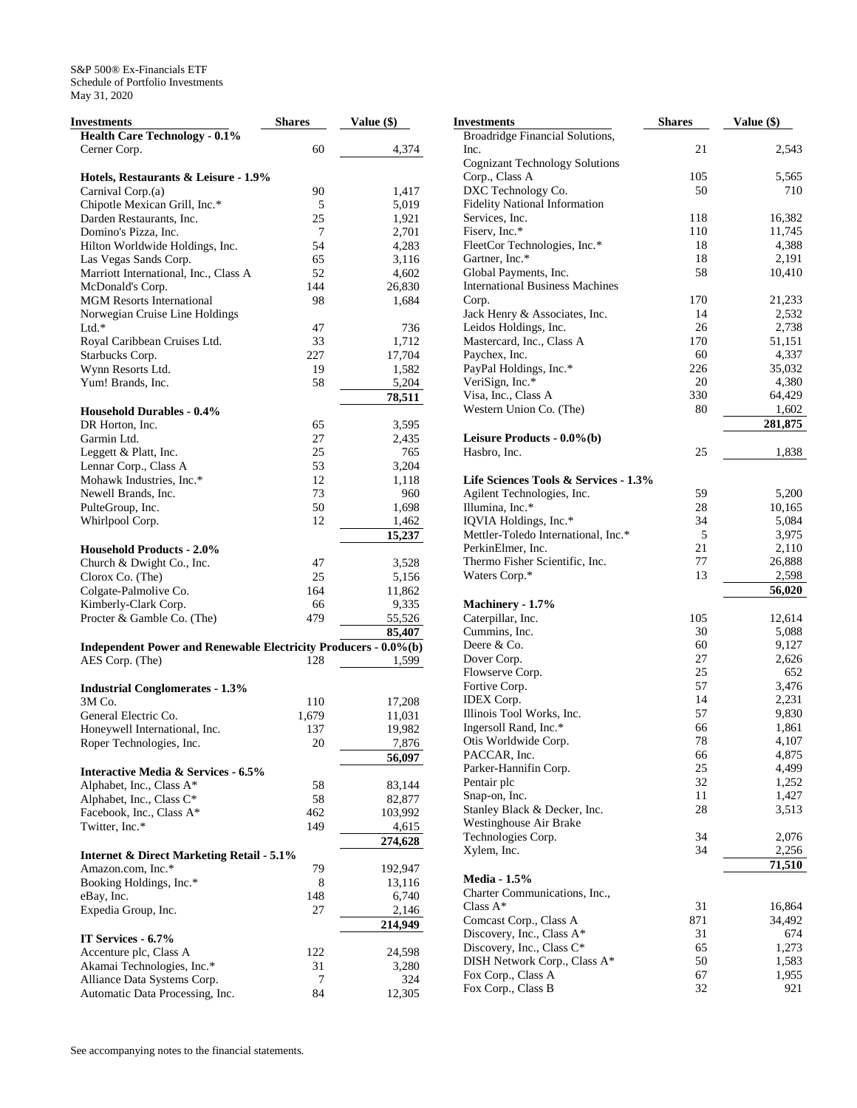| <b>Investments</b>                                              | <b>Shares</b> | Value (\$) |
|-----------------------------------------------------------------|---------------|------------|
| <b>Health Care Technology - 0.1%</b>                            |               |            |
| Cerner Corp.                                                    | 60            | 4,374      |
|                                                                 |               |            |
| Hotels, Restaurants & Leisure - 1.9%                            |               |            |
| Carnival Corp.(a)                                               | 90            | 1,417      |
| Chipotle Mexican Grill, Inc.*                                   | 5             | 5,019      |
| Darden Restaurants, Inc.                                        | 25            | 1,921      |
| Domino's Pizza, Inc.                                            | 7             | 2,701      |
| Hilton Worldwide Holdings, Inc.                                 | 54            | 4,283      |
| Las Vegas Sands Corp.                                           | 65            | 3,116      |
| Marriott International, Inc., Class A                           | 52            | 4,602      |
| McDonald's Corp.                                                | 144           | 26,830     |
| <b>MGM Resorts International</b>                                | 98            | 1,684      |
| Norwegian Cruise Line Holdings                                  |               |            |
| Ltd.*                                                           | 47            | 736        |
| Royal Caribbean Cruises Ltd.                                    | 33            | 1,712      |
| Starbucks Corp.                                                 | 227           | 17,704     |
| Wynn Resorts Ltd.                                               | 19            | 1,582      |
| Yum! Brands, Inc.                                               | 58            | 5,204      |
|                                                                 |               | 78,511     |
| <b>Household Durables - 0.4%</b>                                |               |            |
| DR Horton, Inc.                                                 | 65            | 3,595      |
| Garmin Ltd.                                                     | 27            | 2,435      |
| Leggett & Platt, Inc.                                           | 25            | 765        |
| Lennar Corp., Class A                                           | 53            | 3,204      |
| Mohawk Industries, Inc.*                                        | 12            | 1,118      |
| Newell Brands, Inc.                                             | 73            | 960        |
| PulteGroup, Inc.                                                | 50            | 1,698      |
| Whirlpool Corp.                                                 | 12            | 1,462      |
|                                                                 |               | 15,237     |
| <b>Household Products - 2.0%</b>                                |               |            |
|                                                                 |               |            |
| Church & Dwight Co., Inc.                                       | 47            | 3,528      |
| Clorox Co. (The)                                                | 25            | 5,156      |
| Colgate-Palmolive Co.                                           | 164           | 11,862     |
| Kimberly-Clark Corp.                                            | 66            | 9,335      |
| Procter & Gamble Co. (The)                                      | 479           | 55,526     |
|                                                                 |               | 85,407     |
| Independent Power and Renewable Electricity Producers - 0.0%(b) |               |            |
| AES Corp. (The)                                                 | 128           | 1,599      |
|                                                                 |               |            |
| <b>Industrial Conglomerates - 1.3%</b>                          |               |            |
| 3M Co.                                                          | 110           | 17,208     |
| General Electric Co.                                            | 1,679         | 11,031     |
| Honeywell International, Inc.                                   | 137           | 19,982     |
| Roper Technologies, Inc.                                        | 20            | 7,876      |
|                                                                 |               | 56,097     |
| <b>Interactive Media &amp; Services - 6.5%</b>                  |               |            |
| Alphabet, Inc., Class A*                                        | 58            | 83,144     |
| Alphabet, Inc., Class C*                                        | 58            | 82,877     |
| Facebook, Inc., Class A*                                        | 462           | 103,992    |
| Twitter, Inc.*                                                  | 149           | 4,615      |
|                                                                 |               | 274,628    |
| <b>Internet &amp; Direct Marketing Retail - 5.1%</b>            |               |            |
| Amazon.com, Inc.*                                               | 79            | 192,947    |
| Booking Holdings, Inc.*                                         | 8             | 13,116     |
| eBay, Inc.                                                      | 148           | 6,740      |
| Expedia Group, Inc.                                             | 27            | 2,146      |
|                                                                 |               | 214,949    |
| IT Services - 6.7%                                              |               |            |
| Accenture plc, Class A                                          | 122           | 24,598     |
| Akamai Technologies, Inc.*                                      | 31            | 3,280      |
| Alliance Data Systems Corp.                                     | 7             | 324        |
| Automatic Data Processing, Inc.                                 | 84            | 12,305     |
|                                                                 |               |            |

| Investments                                                     | <b>Shares</b> | Value (\$)      |
|-----------------------------------------------------------------|---------------|-----------------|
| <b>Broadridge Financial Solutions,</b>                          |               |                 |
| Inc.                                                            | 21            | 2,543           |
| <b>Cognizant Technology Solutions</b>                           |               |                 |
| Corp., Class A                                                  | 105           | 5,565           |
| DXC Technology Co.                                              | 50            | 710             |
| <b>Fidelity National Information</b>                            |               |                 |
| Services, Inc.                                                  | 118           | 16,382          |
| Fiserv, Inc.*                                                   | 110           | 11,745          |
| FleetCor Technologies, Inc.*                                    | 18            | 4,388           |
| Gartner, Inc.*                                                  | 18            | 2,191<br>10,410 |
| Global Payments, Inc.<br><b>International Business Machines</b> | 58            |                 |
| Corp.                                                           | 170           | 21,233          |
| Jack Henry & Associates, Inc.                                   | 14            | 2,532           |
| Leidos Holdings, Inc.                                           | 26            | 2,738           |
| Mastercard, Inc., Class A                                       | 170           | 51,151          |
| Paychex, Inc.                                                   | 60            | 4,337           |
| PayPal Holdings, Inc.*                                          | 226           | 35,032          |
| VeriSign, Inc.*                                                 | 20            | 4,380           |
| Visa, Inc., Class A                                             | 330           | 64,429          |
| Western Union Co. (The)                                         | 80            | 1,602           |
|                                                                 |               | 281,875         |
| Leisure Products - 0.0%(b)                                      |               |                 |
| Hasbro, Inc.                                                    | 25            | 1,838           |
| Life Sciences Tools & Services - 1.3%                           |               |                 |
| Agilent Technologies, Inc.                                      | 59            | 5,200           |
| Illumina, Inc.*                                                 | 28            | 10,165          |
| IQVIA Holdings, Inc.*                                           | 34            | 5,084           |
| Mettler-Toledo International, Inc.*                             | 5             | 3,975           |
| PerkinElmer, Inc.                                               | 21            | 2,110           |
| Thermo Fisher Scientific, Inc.                                  | 77            | 26,888          |
| Waters Corp.*                                                   | 13            | 2,598           |
|                                                                 |               | 56,020          |
| Machinery - 1.7%                                                |               |                 |
| Caterpillar, Inc.                                               | 105           | 12,614          |
| Cummins, Inc.                                                   | 30            | 5,088           |
| Deere & Co.                                                     | 60            | 9,127           |
| Dover Corp.                                                     | 27            | 2,626           |
| Flowserve Corp.                                                 | 25            | 652             |
| Fortive Corp.                                                   | 57            | 3,476           |
| <b>IDEX</b> Corp.                                               | 14            | 2,231           |
| Illinois Tool Works, Inc.                                       | 57            | 9,830           |
| Ingersoll Rand, Inc.*                                           | 66            | 1,861           |
| Otis Worldwide Corp.                                            | 78            | 4,107           |
| PACCAR, Inc.                                                    | 66<br>$25\,$  | 4,875           |
| Parker-Hannifin Corp.<br>Pentair plc                            | 32            | 4,499<br>1,252  |
| Snap-on, Inc.                                                   | 11            | 1,427           |
| Stanley Black & Decker, Inc.                                    | 28            | 3,513           |
| Westinghouse Air Brake                                          |               |                 |
| Technologies Corp.                                              | 34            | 2,076           |
| Xylem, Inc.                                                     | 34            | 2,256           |
|                                                                 |               | 71,510          |
| <b>Media - 1.5%</b>                                             |               |                 |
| Charter Communications, Inc.,                                   |               |                 |
| Class $A^*$                                                     | 31            | 16,864          |
| Comcast Corp., Class A                                          | 871           | 34,492          |
| Discovery, Inc., Class A*                                       | 31            | 674             |
| Discovery, Inc., Class C*                                       | 65            | 1,273           |
| DISH Network Corp., Class A*                                    | 50            | 1,583           |
| Fox Corp., Class A                                              | 67            | 1,955           |
| Fox Corp., Class B                                              | 32            | 921             |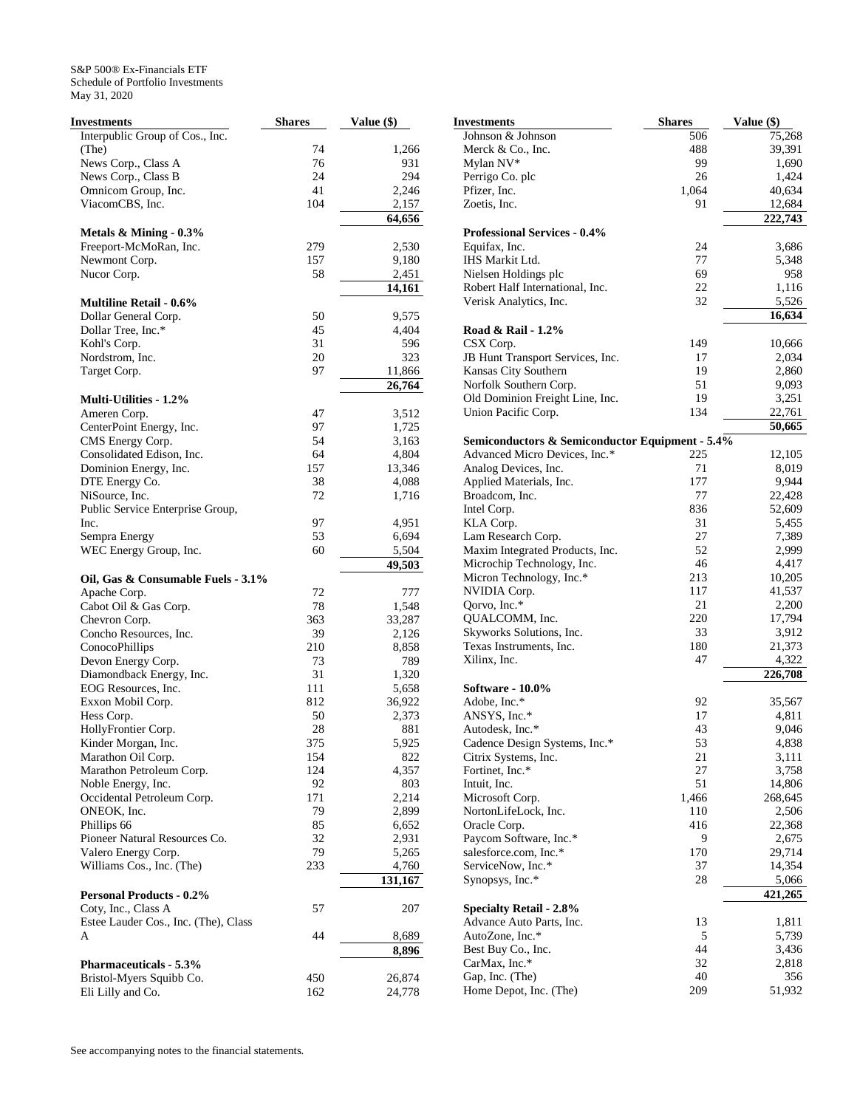| Investments                          | <b>Shares</b> | Value (\$) |
|--------------------------------------|---------------|------------|
| Interpublic Group of Cos., Inc.      |               |            |
| (The)                                | 74            | 1,266      |
| News Corp., Class A                  | 76            | 931        |
| News Corp., Class B                  | 24            | 294        |
| Omnicom Group, Inc.                  | 41            | 2,246      |
| ViacomCBS, Inc.                      | 104           | 2,157      |
|                                      |               | 64,656     |
| Metals & Mining - 0.3%               |               |            |
| Freeport-McMoRan, Inc.               | 279           | 2,530      |
| Newmont Corp.                        | 157           | 9,180      |
| Nucor Corp.                          | 58            | 2,451      |
| <b>Multiline Retail - 0.6%</b>       |               | 14,161     |
|                                      |               |            |
| Dollar General Corp.                 | 50            | 9,575      |
| Dollar Tree, Inc.*                   | 45            | 4,404      |
| Kohl's Corp.                         | 31            | 596        |
| Nordstrom, Inc.                      | 20            | 323        |
| Target Corp.                         | 97            | 11,866     |
| <b>Multi-Utilities - 1.2%</b>        |               | 26,764     |
| Ameren Corp.                         | 47            | 3,512      |
| CenterPoint Energy, Inc.             | 97            | 1,725      |
| CMS Energy Corp.                     | 54            | 3,163      |
| Consolidated Edison, Inc.            | 64            | 4,804      |
| Dominion Energy, Inc.                | 157           | 13,346     |
| DTE Energy Co.                       | 38            | 4,088      |
| NiSource, Inc.                       | 72            |            |
| Public Service Enterprise Group,     |               | 1,716      |
| Inc.                                 | 97            | 4,951      |
| Sempra Energy                        | 53            | 6,694      |
| WEC Energy Group, Inc.               | 60            | 5,504      |
|                                      |               | 49,503     |
| Oil, Gas & Consumable Fuels - 3.1%   |               |            |
| Apache Corp.                         | 72            | 777        |
| Cabot Oil & Gas Corp.                | 78            | 1,548      |
| Chevron Corp.                        | 363           | 33,287     |
| Concho Resources, Inc.               | 39            | 2,126      |
| ConocoPhillips                       | 210           | 8,858      |
| Devon Energy Corp.                   | 73            | 789        |
| Diamondback Energy, Inc.             | 31            | 1,320      |
| EOG Resources, Inc.                  | 111           | 5,658      |
| Exxon Mobil Corp.                    | 812           | 36,922     |
| Hess Corp.                           | 50            | 2,373      |
| HollyFrontier Corp.                  | 28            | 881        |
| Kinder Morgan, Inc.                  | 375           | 5,925      |
| Marathon Oil Corp.                   | 154           | 822        |
| Marathon Petroleum Corp.             | 124           | 4,357      |
| Noble Energy, Inc.                   | 92            | 803        |
| Occidental Petroleum Corp.           | 171           | 2,214      |
| ONEOK, Inc.                          | 79            | 2,899      |
| Phillips 66                          | 85            | 6,652      |
| Pioneer Natural Resources Co.        | 32            | 2,931      |
| Valero Energy Corp.                  | 79            | 5,265      |
| Williams Cos., Inc. (The)            | 233           | 4,760      |
|                                      |               | 131,167    |
| <b>Personal Products - 0.2%</b>      |               |            |
| Coty, Inc., Class A                  | 57            | 207        |
| Estee Lauder Cos., Inc. (The), Class |               |            |
| A                                    | 44            | 8,689      |
|                                      |               | 8,896      |
| <b>Pharmaceuticals - 5.3%</b>        |               |            |
| Bristol-Myers Squibb Co.             | 450           | 26,874     |
| Eli Lilly and Co.                    | 162           | 24,778     |

| Investments                                     | <b>Shares</b> | Value (\$)       |
|-------------------------------------------------|---------------|------------------|
| Johnson & Johnson                               | 506           | 75,268           |
| Merck & Co., Inc.                               | 488           | 39,391           |
| Mylan NV*                                       | 99            | 1,690            |
| Perrigo Co. plc                                 | 26            | 1,424            |
| Pfizer, Inc.                                    | 1,064         | 40,634           |
| Zoetis, Inc.                                    | 91            | 12,684           |
|                                                 |               | 222,743          |
| <b>Professional Services - 0.4%</b>             |               |                  |
| Equifax, Inc.                                   | 24            | 3,686            |
| IHS Markit Ltd.                                 | 77            | 5,348            |
| Nielsen Holdings plc                            | 69            | 958              |
| Robert Half International, Inc.                 | 22            | 1,116            |
| Verisk Analytics, Inc.                          | 32            | 5,526            |
| Road & Rail - 1.2%                              |               | 16,634           |
| CSX Corp.                                       | 149           | 10,666           |
| JB Hunt Transport Services, Inc.                | 17            |                  |
| Kansas City Southern                            | 19            | 2,034            |
| Norfolk Southern Corp.                          | 51            | 2,860            |
|                                                 |               | 9,093            |
| Old Dominion Freight Line, Inc.                 | 19            | 3,251            |
| Union Pacific Corp.                             | 134           | 22,761           |
| Semiconductors & Semiconductor Equipment - 5.4% |               | 50,665           |
| Advanced Micro Devices, Inc.*                   | 225           | 12,105           |
| Analog Devices, Inc.                            | 71            | 8,019            |
| Applied Materials, Inc.                         | 177           | 9,944            |
| Broadcom, Inc.                                  | 77            | 22,428           |
| Intel Corp.                                     | 836           | 52,609           |
| KLA Corp.                                       | 31            | 5,455            |
| Lam Research Corp.                              | 27            | 7,389            |
| Maxim Integrated Products, Inc.                 | 52            | 2,999            |
|                                                 |               |                  |
| Microchip Technology, Inc.                      | 46            | 4,417            |
| Micron Technology, Inc.*                        | 213           | 10,205           |
| NVIDIA Corp.                                    | 117           | 41,537           |
| Qorvo, Inc.*                                    | 21            | 2,200            |
| QUALCOMM, Inc.                                  | 220           | 17,794           |
| Skyworks Solutions, Inc.                        | 33            | 3,912            |
| Texas Instruments, Inc.                         | 180           | 21,373           |
| Xilinx, Inc.                                    | 47            | 4,322<br>226,708 |
| <b>Software - 10.0%</b>                         |               |                  |
| Adobe, Inc.*                                    | 92            | 35,567           |
| ANSYS, Inc.*                                    | 17            | 4,811            |
| Autodesk, Inc.*                                 | 43            | 9,046            |
| Cadence Design Systems, Inc.*                   | 53            | 4,838            |
| Citrix Systems, Inc.                            | 21            | 3,111            |
| Fortinet, Inc.*                                 | 27            | 3,758            |
| Intuit, Inc.                                    | 51            | 14,806           |
| Microsoft Corp.                                 | 1,466         | 268,645          |
| NortonLifeLock, Inc.                            | 110           | 2,506            |
| Oracle Corp.                                    | 416           | 22,368           |
| Paycom Software, Inc.*                          | 9             | 2,675            |
| salesforce.com, Inc.*                           | 170           | 29,714           |
| ServiceNow, Inc.*                               | 37            | 14,354           |
| Synopsys, Inc.*                                 | 28            | 5,066            |
|                                                 |               | 421,265          |
| <b>Specialty Retail - 2.8%</b>                  |               |                  |
| Advance Auto Parts, Inc.                        | 13            | 1,811            |
| AutoZone, Inc.*                                 | 5             | 5,739            |
| Best Buy Co., Inc.                              | 44            | 3,436            |
| CarMax, Inc.*                                   | 32            | 2,818            |
| Gap, Inc. (The)                                 | 40            | 356              |
| Home Depot, Inc. (The)                          | 209           | 51,932           |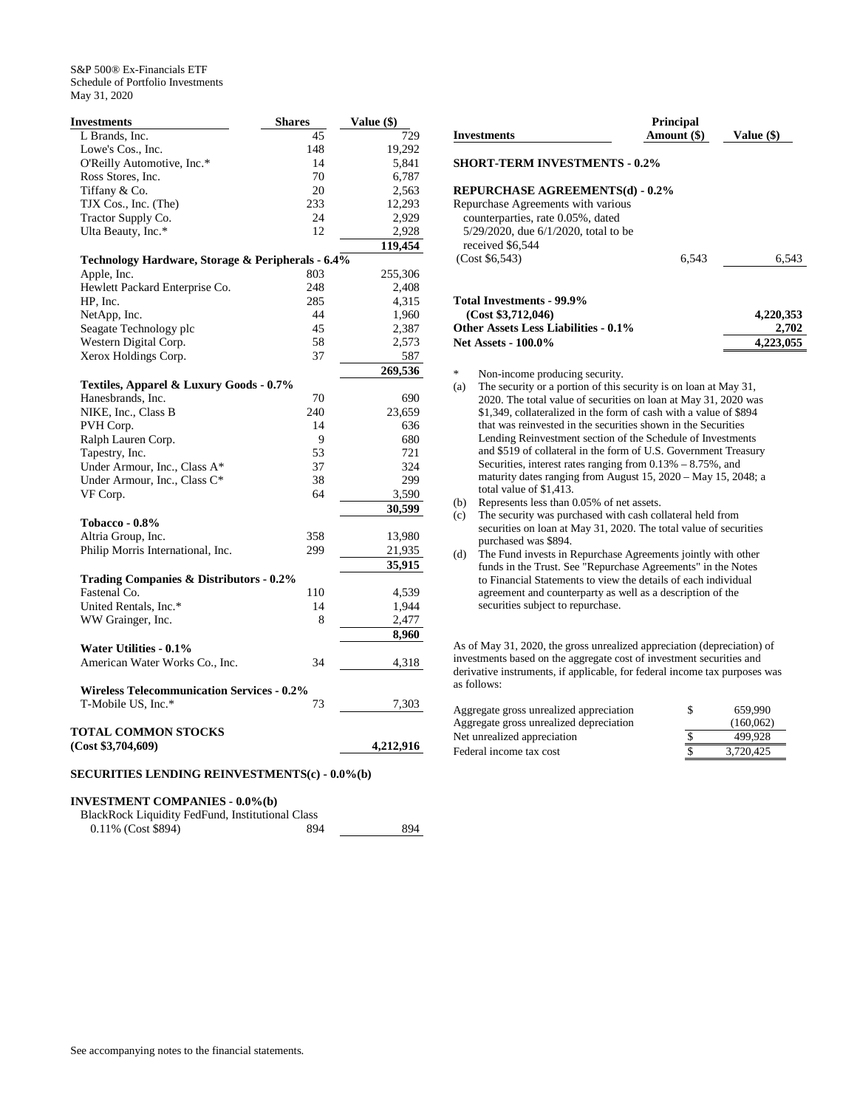| <b>Investments</b>                                | <b>Shares</b> | Value (\$) |
|---------------------------------------------------|---------------|------------|
| L Brands, Inc.                                    | 45            | 729        |
| Lowe's Cos., Inc.                                 | 148           | 19,292     |
| O'Reilly Automotive, Inc.*                        | 14            | 5,841      |
| Ross Stores, Inc.                                 | 70            | 6,787      |
| Tiffany & Co.                                     | 20            | 2,563      |
| TJX Cos., Inc. (The)                              | 233           | 12,293     |
| Tractor Supply Co.                                | 24            | 2,929      |
| Ulta Beauty, Inc.*                                | 12            | 2,928      |
|                                                   |               | 119,454    |
| Technology Hardware, Storage & Peripherals - 6.4% |               |            |
| Apple, Inc.                                       | 803           | 255,306    |
| Hewlett Packard Enterprise Co.                    | 248           | 2,408      |
| HP, Inc.                                          | 285           | 4,315      |
| NetApp, Inc.                                      | 44            | 1,960      |
| Seagate Technology plc                            | 45            | 2,387      |
| Western Digital Corp.                             | 58            | 2,573      |
| Xerox Holdings Corp.                              | 37            | 587        |
|                                                   |               | 269,536    |
| Textiles, Apparel & Luxury Goods - 0.7%           |               |            |
| Hanesbrands, Inc.                                 | 70            | 690        |
| NIKE, Inc., Class B                               | 240           | 23,659     |
| PVH Corp.                                         | 14            | 636        |
| Ralph Lauren Corp.                                | 9             | 680        |
| Tapestry, Inc.                                    | 53            | 721        |
| Under Armour, Inc., Class A*                      | 37            | 324        |
| Under Armour, Inc., Class C*                      | 38            | 299        |
| VF Corp.                                          | 64            | 3,590      |
|                                                   |               | 30,599     |
| Tobacco - 0.8%                                    |               |            |
| Altria Group, Inc.                                | 358           | 13,980     |
| Philip Morris International, Inc.                 | 299           | 21,935     |
|                                                   |               | 35,915     |
| Trading Companies & Distributors - 0.2%           |               |            |
| Fastenal Co.                                      | 110           | 4,539      |
| United Rentals, Inc.*                             | 14            | 1,944      |
| WW Grainger, Inc.                                 | 8             | 2,477      |
|                                                   |               | 8,960      |
| Water Utilities - 0.1%                            |               |            |
| American Water Works Co., Inc.                    | 34            | 4,318      |
|                                                   |               |            |
| <b>Wireless Telecommunication Services - 0.2%</b> |               |            |
| T-Mobile US, Inc.*                                | 73            | 7,303      |
|                                                   |               |            |
| <b>TOTAL COMMON STOCKS</b>                        |               |            |
| (Cost \$3,704,609)                                |               | 4,212,916  |

# **SECURITIES LENDING REINVESTMENTS(c) - 0.0%(b)**

# **INVESTMENT COMPANIES - 0.0%(b)**

BlackRock Liquidity FedFund, Institutional Class

| $0.11\%$ (Cost \$894) | 894 | 894 |
|-----------------------|-----|-----|
|                       |     |     |

|     | <b>Investments</b>                                                                                                                                                                                                                                                                                                                       | Principal<br>Amount $(\$)$ | Value (\$) |
|-----|------------------------------------------------------------------------------------------------------------------------------------------------------------------------------------------------------------------------------------------------------------------------------------------------------------------------------------------|----------------------------|------------|
|     | <b>SHORT-TERM INVESTMENTS - 0.2%</b>                                                                                                                                                                                                                                                                                                     |                            |            |
|     | <b>REPURCHASE AGREEMENTS(d) - 0.2%</b>                                                                                                                                                                                                                                                                                                   |                            |            |
|     | Repurchase Agreements with various<br>counterparties, rate 0.05%, dated<br>5/29/2020, due 6/1/2020, total to be                                                                                                                                                                                                                          |                            |            |
|     | received \$6.544                                                                                                                                                                                                                                                                                                                         |                            |            |
|     | (Cost \$6,543)                                                                                                                                                                                                                                                                                                                           | 6,543                      | 6,543      |
|     |                                                                                                                                                                                                                                                                                                                                          |                            |            |
|     | <b>Total Investments - 99.9%</b>                                                                                                                                                                                                                                                                                                         |                            |            |
|     | (Cost \$3,712,046)                                                                                                                                                                                                                                                                                                                       |                            | 4,220,353  |
|     | Other Assets Less Liabilities - 0.1%                                                                                                                                                                                                                                                                                                     |                            | 2,702      |
|     | <b>Net Assets - 100.0%</b>                                                                                                                                                                                                                                                                                                               |                            | 4,223,055  |
| *   | Non-income producing security.                                                                                                                                                                                                                                                                                                           |                            |            |
| (a) | The security or a portion of this security is on loan at May 31,<br>2020. The total value of securities on loan at May 31, 2020 was<br>\$1,349, collateralized in the form of cash with a value of \$894<br>that was reinvested in the securities shown in the Securities<br>Lending Reinvestment section of the Schedule of Investments |                            |            |
|     | and \$519 of collateral in the form of U.S. Government Treasury<br>Securities, interest rates ranging from $0.13\% - 8.75\%$ , and<br>maturity dates ranging from August 15, 2020 - May 15, 2048; a<br>total value of \$1,413.                                                                                                           |                            |            |
| (b) | Represents less than 0.05% of net assets.                                                                                                                                                                                                                                                                                                |                            |            |
| (c) | The security was purchased with cash collateral held from<br>securities on loan at May 31, 2020. The total value of securities                                                                                                                                                                                                           |                            |            |
|     | purchased was \$894.                                                                                                                                                                                                                                                                                                                     |                            |            |

as follows: Aggregate gross unrealized appreciation  $$ 659,990$ <br>Aggregate gross unrealized depreciation (160,062) Aggregate gross unrealized depreciation (160,062) Net unrealized appreciation

Federal income tax cost  $\frac{1}{2}$   $\frac{3,720,425}{2}$ 

investments based on the aggregate cost of investment securities and derivative instruments, if applicable, for federal income tax purposes was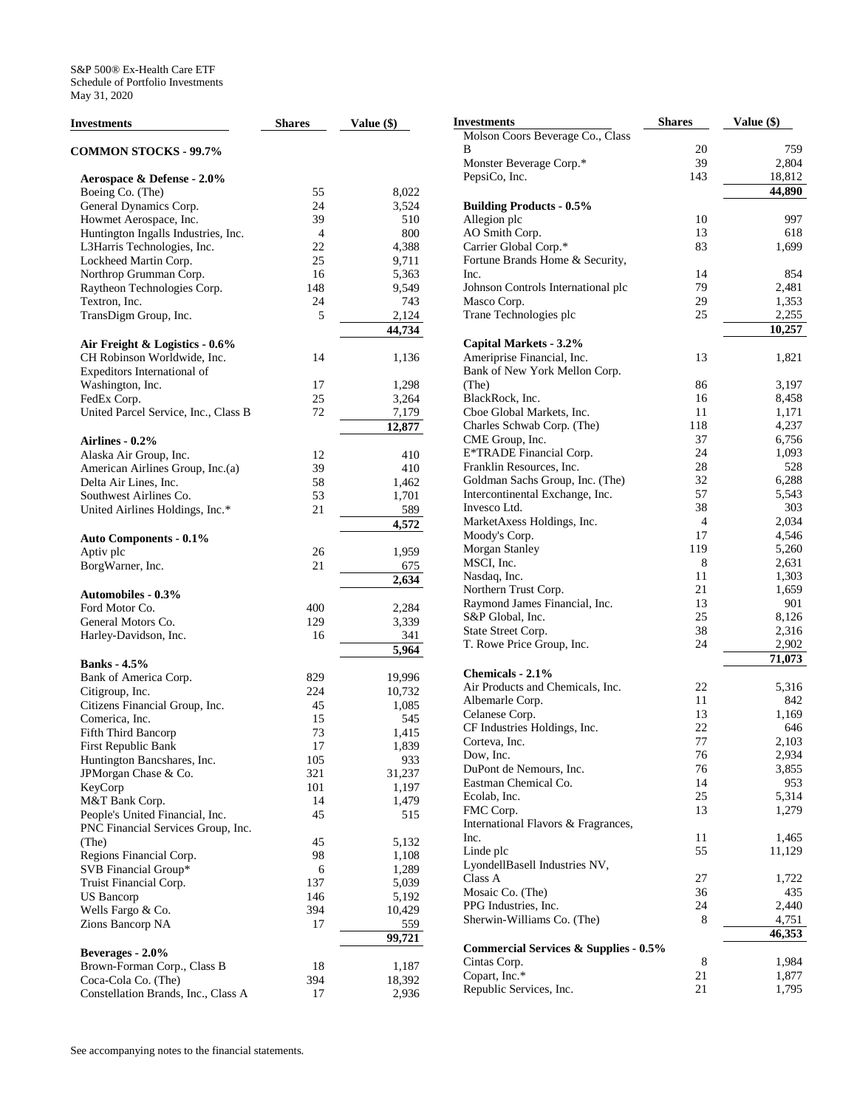| <b>Investments</b>                   | <b>Shares</b> | Value (\$) |
|--------------------------------------|---------------|------------|
| <b>COMMON STOCKS - 99.7%</b>         |               |            |
| Aerospace & Defense - 2.0%           |               |            |
| Boeing Co. (The)                     | 55            | 8,022      |
| General Dynamics Corp.               | 24            | 3,524      |
| Howmet Aerospace, Inc.               | 39            | 510        |
| Huntington Ingalls Industries, Inc.  | 4             | 800        |
| L3Harris Technologies, Inc.          | 22            | 4,388      |
| Lockheed Martin Corp.                | 25            | 9,711      |
| Northrop Grumman Corp.               | 16            | 5,363      |
| Raytheon Technologies Corp.          | 148           | 9,549      |
| Textron, Inc.                        | 24            | 743        |
| TransDigm Group, Inc.                | 5             | 2,124      |
|                                      |               | 44,734     |
| Air Freight & Logistics - 0.6%       |               |            |
| CH Robinson Worldwide, Inc.          | 14            | 1,136      |
| Expeditors International of          |               |            |
| Washington, Inc.                     | 17            | 1,298      |
| FedEx Corp.                          | 25            | 3,264      |
| United Parcel Service, Inc., Class B | 72            | 7,179      |
|                                      |               | 12,877     |
| <b>Airlines - 0.2%</b>               |               |            |
| Alaska Air Group, Inc.               | 12            | 410        |
| American Airlines Group, Inc.(a)     | 39            | 410        |
| Delta Air Lines, Inc.                | 58            | 1,462      |
| Southwest Airlines Co.               | 53            | 1,701      |
| United Airlines Holdings, Inc.*      | 21            | 589        |
|                                      |               | 4,572      |
| <b>Auto Components - 0.1%</b>        |               |            |
| Aptiv plc                            | 26            | 1,959      |
| BorgWarner, Inc.                     | 21            | 675        |
|                                      |               | 2,634      |
| <b>Automobiles - 0.3%</b>            |               |            |
| Ford Motor Co.                       | 400           | 2,284      |
| General Motors Co.                   | 129           | 3,339      |
| Harley-Davidson, Inc.                | 16            | 341        |
|                                      |               | 5,964      |
| <b>Banks</b> - 4.5%                  |               |            |
| Bank of America Corp.                | 829           | 19,996     |
| Citigroup, Inc.                      | 224           | 10,732     |
| Citizens Financial Group, Inc.       | 45            | 1,085      |
| Comerica, Inc.                       | 15            | 545        |
| Fifth Third Bancorp                  | 73            | 1,415      |
| First Republic Bank                  | 17            | 1,839      |
| Huntington Bancshares, Inc.          | 105           | 933        |
| JPMorgan Chase & Co.                 | 321           | 31,237     |
| KeyCorp                              | 101           | 1,197      |
| M&T Bank Corp.                       | 14            | 1,479      |
| People's United Financial, Inc.      | 45            | 515        |
| PNC Financial Services Group, Inc.   |               |            |
| (The)                                | 45            | 5,132      |
| Regions Financial Corp.              | 98            | 1,108      |
| SVB Financial Group*                 | 6             | 1,289      |
| Truist Financial Corp.               | 137           | 5,039      |
| US Bancorp                           | 146           | 5,192      |
| Wells Fargo & Co.                    | 394           | 10,429     |
| Zions Bancorp NA                     | 17            | 559        |
|                                      |               | 99,721     |
| Beverages - 2.0%                     |               |            |
| Brown-Forman Corp., Class B          | 18            | 1,187      |
| Coca-Cola Co. (The)                  | 394           | 18,392     |
| Constellation Brands, Inc., Class A  | 17            | 2,936      |

| Investments                                      | <b>Shares</b> | Value (\$)      |
|--------------------------------------------------|---------------|-----------------|
| Molson Coors Beverage Co., Class                 |               |                 |
| В                                                | 20            | 759             |
| Monster Beverage Corp.*                          | 39            | 2,804           |
| PepsiCo, Inc.                                    | 143           | 18,812          |
|                                                  |               | 44,890          |
| <b>Building Products - 0.5%</b>                  |               |                 |
| Allegion plc                                     | 10            | 997             |
| AO Smith Corp.                                   | 13            | 618             |
| Carrier Global Corp.*                            | 83            | 1,699           |
| Fortune Brands Home & Security,                  |               |                 |
| Inc.                                             | 14            | 854             |
| Johnson Controls International plc               | 79            | 2,481           |
| Masco Corp.                                      | 29<br>25      | 1,353           |
| Trane Technologies plc                           |               | 2,255<br>10,257 |
| Capital Markets - 3.2%                           |               |                 |
| Ameriprise Financial, Inc.                       | 13            | 1,821           |
| Bank of New York Mellon Corp.                    |               |                 |
| (The)                                            | 86            | 3,197           |
| BlackRock, Inc.                                  | 16            | 8,458           |
| Cboe Global Markets, Inc.                        | 11            | 1,171           |
| Charles Schwab Corp. (The)                       | 118           | 4,237           |
| CME Group, Inc.                                  | 37            | 6,756           |
| E*TRADE Financial Corp.                          | 24            | 1,093           |
| Franklin Resources, Inc.                         | 28            | 528             |
| Goldman Sachs Group, Inc. (The)                  | 32            | 6,288           |
| Intercontinental Exchange, Inc.                  | 57            | 5,543           |
| Invesco Ltd.                                     | 38            | 303             |
| MarketAxess Holdings, Inc.                       | 4             | 2,034           |
| Moody's Corp.                                    | 17            | 4,546           |
| <b>Morgan Stanley</b>                            | 119           | 5,260           |
| MSCI, Inc.                                       | 8             | 2,631           |
| Nasdaq, Inc.                                     | 11            | 1,303           |
| Northern Trust Corp.                             | 21            | 1,659           |
| Raymond James Financial, Inc.                    | 13            | 901             |
| S&P Global, Inc.                                 | 25            | 8,126           |
| State Street Corp.                               | 38            | 2,316           |
| T. Rowe Price Group, Inc.                        | 24            | 2,902           |
|                                                  |               | 71,073          |
| Chemicals - 2.1%                                 |               |                 |
| Air Products and Chemicals, Inc.                 | 22            | 5,316           |
| Albemarle Corp.                                  | 11            | 842             |
| Celanese Corp.                                   | 13            | 1,169           |
| CF Industries Holdings, Inc.                     | 22            | 646             |
| Corteva, Inc.                                    | 77            | 2,103           |
| Dow, Inc.                                        | 76            | 2,934           |
| DuPont de Nemours, Inc.                          | 76            | 3,855           |
| Eastman Chemical Co.                             | 14            | 953             |
| Ecolab, Inc.                                     | 25            | 5,314           |
| FMC Corp.                                        | 13            | 1,279           |
| International Flavors & Fragrances,              |               |                 |
| Inc.                                             | 11            | 1,465           |
| Linde plc                                        | 55            | 11,129          |
| LyondellBasell Industries NV,                    |               |                 |
| Class A                                          | 27<br>36      | 1,722           |
| Mosaic Co. (The)<br>PPG Industries, Inc.         | 24            | 435<br>2,440    |
| Sherwin-Williams Co. (The)                       | 8             | 4,751           |
|                                                  |               | 46,353          |
| <b>Commercial Services &amp; Supplies - 0.5%</b> |               |                 |
| Cintas Corp.                                     | 8             | 1,984           |
| Copart, Inc.*                                    | 21            | 1,877           |
| Republic Services, Inc.                          | 21            | 1,795           |
|                                                  |               |                 |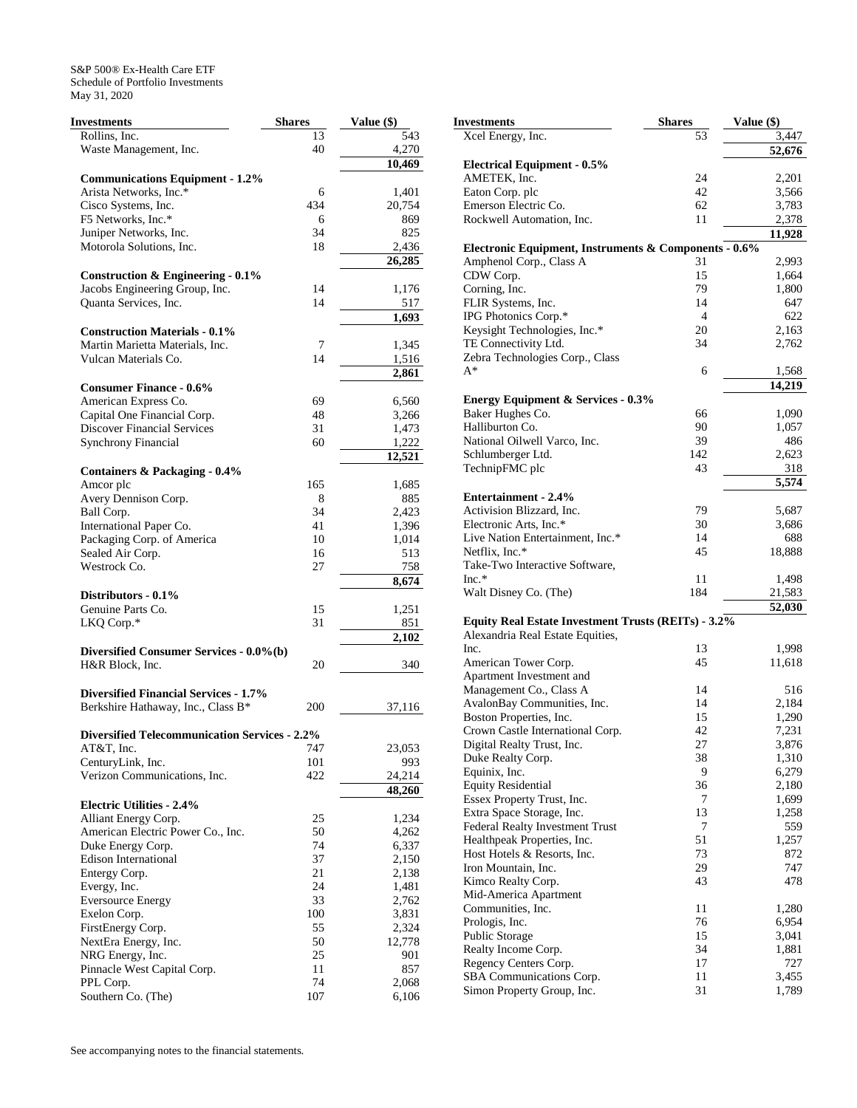| Investments                                          | <b>Shares</b> | Value (\$) |
|------------------------------------------------------|---------------|------------|
| Rollins, Inc.                                        | 13            | 543        |
| Waste Management, Inc.                               | 40            | 4,270      |
|                                                      |               | 10,469     |
| <b>Communications Equipment - 1.2%</b>               |               |            |
| Arista Networks, Inc.*                               | 6             | 1,401      |
| Cisco Systems, Inc.                                  | 434           | 20,754     |
| F5 Networks, Inc.*                                   | 6             | 869        |
| Juniper Networks, Inc.                               | 34            | 825        |
|                                                      |               |            |
| Motorola Solutions, Inc.                             | 18            | 2,436      |
|                                                      |               | 26,285     |
| Construction & Engineering - 0.1%                    |               |            |
| Jacobs Engineering Group, Inc.                       | 14            | 1,176      |
| Quanta Services, Inc.                                | 14            | 517        |
|                                                      |               | 1,693      |
| <b>Construction Materials - 0.1%</b>                 |               |            |
| Martin Marietta Materials, Inc.                      | 7             | 1,345      |
| Vulcan Materials Co.                                 | 14            | 1,516      |
|                                                      |               | 2,861      |
| <b>Consumer Finance - 0.6%</b>                       |               |            |
| American Express Co.                                 | 69            | 6,560      |
| Capital One Financial Corp.                          | 48            | 3,266      |
| <b>Discover Financial Services</b>                   | 31            | 1,473      |
| <b>Synchrony Financial</b>                           | 60            | 1,222      |
|                                                      |               |            |
|                                                      |               | 12,521     |
| <b>Containers &amp; Packaging - 0.4%</b>             |               |            |
| Amcor plc                                            | 165           | 1,685      |
| Avery Dennison Corp.                                 | 8             | 885        |
| Ball Corp.                                           | 34            | 2,423      |
| International Paper Co.                              | 41            | 1,396      |
| Packaging Corp. of America                           | 10            | 1,014      |
| Sealed Air Corp.                                     | 16            | 513        |
| Westrock Co.                                         | 27            | 758        |
|                                                      |               | 8,674      |
| Distributors - 0.1%                                  |               |            |
| Genuine Parts Co.                                    | 15            | 1,251      |
| LKQ Corp.*                                           | 31            | 851        |
|                                                      |               | 2,102      |
| Diversified Consumer Services - 0.0%(b)              |               |            |
| H&R Block, Inc.                                      | 20            | 340        |
|                                                      |               |            |
| <b>Diversified Financial Services - 1.7%</b>         |               |            |
|                                                      | 200           | 37,116     |
| Berkshire Hathaway, Inc., Class B*                   |               |            |
| <b>Diversified Telecommunication Services - 2.2%</b> |               |            |
|                                                      |               |            |
| AT&T, Inc.                                           | 747           | 23,053     |
| CenturyLink, Inc.                                    | 101           | 993        |
| Verizon Communications, Inc.                         | 422           | 24,214     |
|                                                      |               | 48,260     |
| <b>Electric Utilities - 2.4%</b>                     |               |            |
| Alliant Energy Corp.                                 | 25            | 1,234      |
| American Electric Power Co., Inc.                    | 50            | 4,262      |
| Duke Energy Corp.                                    | 74            | 6,337      |
| Edison International                                 | 37            | 2,150      |
| Entergy Corp.                                        | 21            | 2,138      |
| Evergy, Inc.                                         | 24            | 1,481      |
| <b>Eversource Energy</b>                             | 33            | 2,762      |
| Exelon Corp.                                         | 100           | 3,831      |
|                                                      | 55            | 2,324      |
| FirstEnergy Corp.                                    |               |            |
| NextEra Energy, Inc.                                 | 50            | 12,778     |
| NRG Energy, Inc.                                     | 25            | 901        |
| Pinnacle West Capital Corp.                          | 11            | 857        |
| PPL Corp.                                            | 74            | 2,068      |
| Southern Co. (The)                                   | 107           | 6,106      |

| Investments                                                                      | <b>Shares</b> | Value (\$)     |
|----------------------------------------------------------------------------------|---------------|----------------|
| Xcel Energy, Inc.                                                                | 53            | 3,447          |
|                                                                                  |               | 52,676         |
| <b>Electrical Equipment - 0.5%</b>                                               |               |                |
| AMETEK, Inc.                                                                     | 24            | 2,201          |
| Eaton Corp. plc                                                                  | 42            | 3,566          |
| Emerson Electric Co.                                                             | 62            | 3,783          |
| Rockwell Automation, Inc.                                                        | 11            | 2,378          |
|                                                                                  |               | 11,928         |
| Electronic Equipment, Instruments & Components - 0.6%<br>Amphenol Corp., Class A | 31            | 2,993          |
| CDW Corp.                                                                        | 15            | 1,664          |
| Corning, Inc.                                                                    | 79            | 1,800          |
| FLIR Systems, Inc.                                                               | 14            | 647            |
| IPG Photonics Corp.*                                                             | 4             | 622            |
| Keysight Technologies, Inc.*                                                     | 20            | 2,163          |
| TE Connectivity Ltd.                                                             | 34            | 2,762          |
| Zebra Technologies Corp., Class                                                  |               |                |
| $A^*$                                                                            | 6             | 1,568          |
|                                                                                  |               | 14,219         |
| <b>Energy Equipment &amp; Services - 0.3%</b>                                    |               |                |
| Baker Hughes Co.                                                                 | 66            | 1,090          |
| Halliburton Co.<br>National Oilwell Varco, Inc.                                  | 90<br>39      | 1,057<br>486   |
| Schlumberger Ltd.                                                                | 142           | 2,623          |
| TechnipFMC plc                                                                   | 43            | 318            |
|                                                                                  |               | 5,574          |
| Entertainment - 2.4%                                                             |               |                |
| Activision Blizzard, Inc.                                                        | 79            | 5,687          |
| Electronic Arts, Inc.*                                                           | 30            | 3,686          |
| Live Nation Entertainment, Inc.*                                                 | 14            | 688            |
| Netflix, Inc.*                                                                   | 45            | 18,888         |
| Take-Two Interactive Software,                                                   |               |                |
| $Inc.*$                                                                          | 11            | 1,498          |
| Walt Disney Co. (The)                                                            | 184           | 21,583         |
| Equity Real Estate Investment Trusts (REITs) - 3.2%                              |               | 52,030         |
| Alexandria Real Estate Equities,                                                 |               |                |
| Inc.                                                                             | 13            | 1,998          |
| American Tower Corp.                                                             | 45            | 11,618         |
| Apartment Investment and                                                         |               |                |
| Management Co., Class A                                                          | 14            | 516            |
| AvalonBay Communities, Inc.                                                      | 14            | 2,184          |
| Boston Properties, Inc.                                                          | 15            | 1,290          |
| Crown Castle International Corp.                                                 | 42            | 7,231          |
| Digital Realty Trust, Inc.                                                       | 27            | 3,876          |
| Duke Realty Corp.                                                                | 38            | 1,310          |
| Equinix, Inc.<br><b>Equity Residential</b>                                       | 9<br>36       | 6,279<br>2,180 |
| Essex Property Trust, Inc.                                                       | 7             | 1,699          |
| Extra Space Storage, Inc.                                                        | 13            | 1,258          |
| Federal Realty Investment Trust                                                  | 7             | 559            |
| Healthpeak Properties, Inc.                                                      | 51            | 1,257          |
| Host Hotels & Resorts, Inc.                                                      | 73            | 872            |
| Iron Mountain, Inc.                                                              | 29            | 747            |
| Kimco Realty Corp.                                                               | 43            | 478            |
| Mid-America Apartment                                                            |               |                |
| Communities, Inc.                                                                | 11            | 1,280          |
| Prologis, Inc.                                                                   | 76            | 6,954          |
| Public Storage                                                                   | 15            | 3,041          |
| Realty Income Corp.                                                              | 34            | 1,881          |
| Regency Centers Corp.                                                            | 17<br>11      | 727            |
| SBA Communications Corp.<br>Simon Property Group, Inc.                           | 31            | 3,455<br>1,789 |
|                                                                                  |               |                |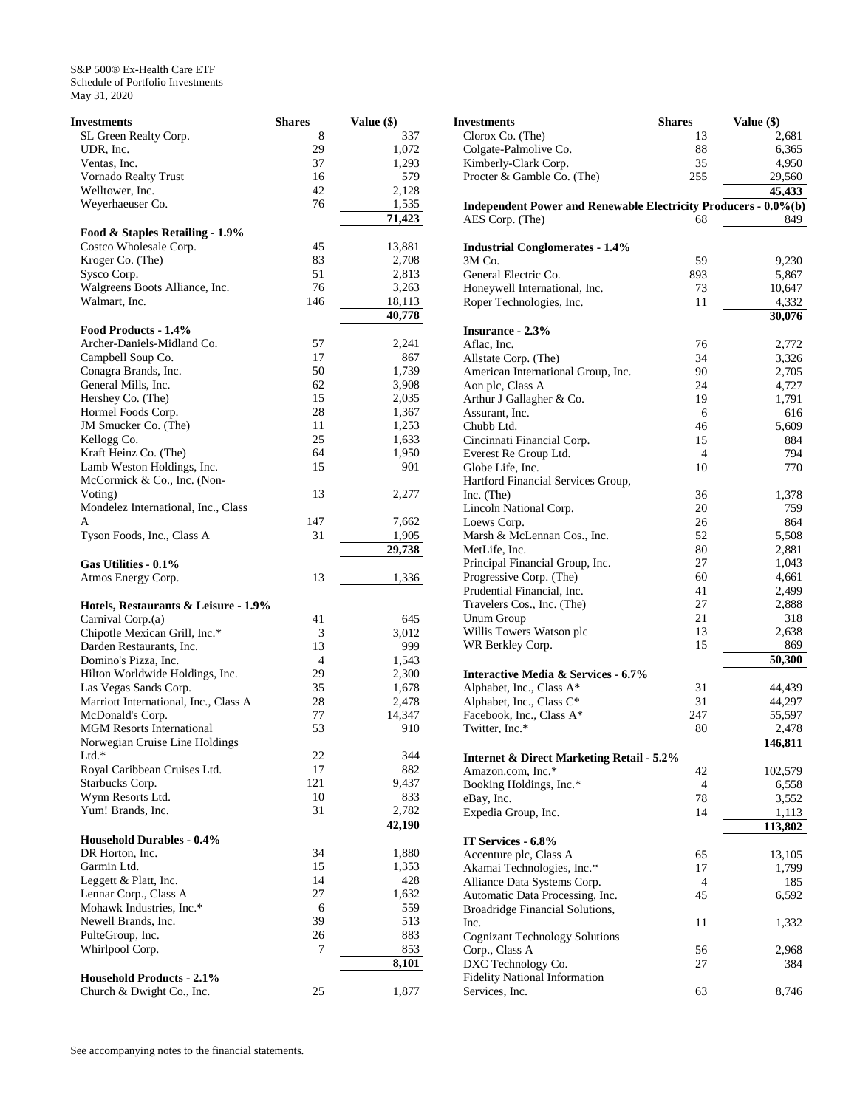| Investments                                | <b>Shares</b> | Value (\$) |
|--------------------------------------------|---------------|------------|
| SL Green Realty Corp.                      | 8             | 337        |
| UDR, Inc.                                  | 29            | 1,072      |
| Ventas, Inc.                               | 37            | 1,293      |
| Vornado Realty Trust                       | 16            | 579        |
| Welltower, Inc.                            | 42            | 2,128      |
| Weyerhaeuser Co.                           | 76            | 1,535      |
|                                            |               | 71,423     |
| Food & Staples Retailing - 1.9%            |               |            |
| Costco Wholesale Corp.                     | 45            | 13,881     |
| Kroger Co. (The)                           | 83            | 2,708      |
| Sysco Corp.                                | 51            | 2,813      |
| Walgreens Boots Alliance, Inc.             | 76            | 3,263      |
| Walmart, Inc.                              | 146           | 18,113     |
| Food Products - 1.4%                       |               | 40,778     |
| Archer-Daniels-Midland Co.                 | 57            | 2,241      |
| Campbell Soup Co.                          | 17            | 867        |
| Conagra Brands, Inc.                       | 50            | 1,739      |
| General Mills, Inc.                        | 62            | 3,908      |
| Hershey Co. (The)                          | 15            | 2,035      |
| Hormel Foods Corp.                         | 28            | 1,367      |
| JM Smucker Co. (The)                       | 11            | 1,253      |
| Kellogg Co.                                | 25            | 1,633      |
| Kraft Heinz Co. (The)                      | 64            | 1,950      |
| Lamb Weston Holdings, Inc.                 | 15            | 901        |
| McCormick & Co., Inc. (Non-                |               |            |
| Voting)                                    | 13            | 2,277      |
| Mondelez International, Inc., Class        |               |            |
| A                                          | 147           | 7,662      |
| Tyson Foods, Inc., Class A                 | 31            | 1,905      |
|                                            |               | 29,738     |
|                                            |               |            |
| Gas Utilities - 0.1%<br>Atmos Energy Corp. | 13            | 1,336      |
|                                            |               |            |
| Hotels, Restaurants & Leisure - 1.9%       |               |            |
| Carnival Corp.(a)                          | 41            | 645        |
| Chipotle Mexican Grill, Inc.*              | 3             | 3,012      |
| Darden Restaurants, Inc.                   | 13            | 999        |
| Domino's Pizza, Inc.                       | 4             | 1,543      |
| Hilton Worldwide Holdings, Inc.            | 29            | 2,300      |
| Las Vegas Sands Corp.                      | 35            | 1,678      |
| Marriott International, Inc., Class A      | 28            | 2,478      |
| McDonald's Corp.                           | 77            | 14,347     |
| <b>MGM Resorts International</b>           | 53            | 910        |
| Norwegian Cruise Line Holdings             |               |            |
| Ltd.*                                      | 22            | 344        |
| Royal Caribbean Cruises Ltd.               | 17            | 882        |
| Starbucks Corp.                            | 121           | 9,437      |
| Wynn Resorts Ltd.                          | 10            | 833        |
| Yum! Brands, Inc.                          | 31            | 2,782      |
| <b>Household Durables - 0.4%</b>           |               | 42,190     |
| DR Horton, Inc.                            | 34            | 1,880      |
| Garmin Ltd.                                | 15            | 1,353      |
| Leggett & Platt, Inc.                      | 14            | 428        |
| Lennar Corp., Class A                      | 27            | 1,632      |
| Mohawk Industries, Inc.*                   | 6             | 559        |
| Newell Brands, Inc.                        | 39            | 513        |
|                                            | 26            | 883        |
| PulteGroup, Inc.<br>Whirlpool Corp.        | 7             | 853        |
|                                            |               | 8,101      |
| <b>Household Products - 2.1%</b>           |               |            |
| Church & Dwight Co., Inc.                  | 25            | 1,877      |

| Investments                                                     | <b>Shares</b> | Value (\$)   |
|-----------------------------------------------------------------|---------------|--------------|
| Clorox Co. (The)                                                | 13            | 2,681        |
| Colgate-Palmolive Co.                                           | 88            | 6,365        |
| Kimberly-Clark Corp.                                            | 35            | 4,950        |
| Procter & Gamble Co. (The)                                      | 255           | 29,560       |
|                                                                 |               | 45,433       |
| Independent Power and Renewable Electricity Producers - 0.0%(b) |               |              |
| AES Corp. (The)                                                 | 68            | 849          |
|                                                                 |               |              |
| <b>Industrial Conglomerates - 1.4%</b>                          |               |              |
| 3M Co.                                                          | 59            | 9,230        |
| General Electric Co.                                            | 893           | 5,867        |
| Honeywell International, Inc.                                   | 73            | 10,647       |
| Roper Technologies, Inc.                                        | 11            | 4,332        |
|                                                                 |               | 30,076       |
|                                                                 |               |              |
| <b>Insurance - 2.3%</b>                                         |               |              |
| Aflac, Inc.                                                     | 76            | 2,772        |
| Allstate Corp. (The)                                            | 34            | 3,326        |
| American International Group, Inc.                              | 90            | 2,705        |
| Aon plc, Class A                                                | 24            | 4,727        |
| Arthur J Gallagher & Co.                                        | 19            | 1,791        |
| Assurant, Inc.                                                  | 6             | 616          |
| Chubb Ltd.                                                      | 46            | 5,609        |
| Cincinnati Financial Corp.                                      | 15            | 884          |
| Everest Re Group Ltd.                                           | 4             | 794          |
| Globe Life, Inc.                                                | 10            | 770          |
| Hartford Financial Services Group,                              |               |              |
| $Inc.$ (The)                                                    | 36            | 1,378        |
| Lincoln National Corp.                                          | 20            | 759          |
| Loews Corp.                                                     | 26            | 864          |
| Marsh & McLennan Cos., Inc.                                     | 52            | 5,508        |
| MetLife, Inc.                                                   | 80            | 2,881        |
| Principal Financial Group, Inc.                                 | 27            | 1,043        |
| Progressive Corp. (The)                                         | 60            | 4,661        |
| Prudential Financial, Inc.                                      | 41            | 2,499        |
| Travelers Cos., Inc. (The)                                      | 27            | 2,888        |
| <b>Unum Group</b>                                               | 21            | 318          |
| Willis Towers Watson plc                                        | 13            | 2,638        |
| WR Berkley Corp.                                                | 15            | 869          |
|                                                                 |               | 50,300       |
| <b>Interactive Media &amp; Services - 6.7%</b>                  |               |              |
| Alphabet, Inc., Class A*                                        | 31            | 44,439       |
| Alphabet, Inc., Class C*                                        | 31            | 44,297       |
| Facebook, Inc., Class A*                                        | 247           | 55,597       |
| Twitter, Inc.*                                                  | 80            | 2,478        |
|                                                                 |               | 146,811      |
| <b>Internet &amp; Direct Marketing Retail - 5.2%</b>            |               |              |
| Amazon.com, Inc.*                                               | 42            | 102,579      |
| Booking Holdings, Inc.*                                         | 4             | 6,558        |
| eBay, Inc.                                                      | 78            | 3,552        |
| Expedia Group, Inc.                                             | 14            | 1,113        |
|                                                                 |               | 113,802      |
| IT Services - 6.8%                                              |               |              |
| Accenture plc, Class A                                          | 65            | 13,105       |
|                                                                 | 17            |              |
| Akamai Technologies, Inc.*<br>Alliance Data Systems Corp.       | 4             | 1,799<br>185 |
|                                                                 |               |              |
| Automatic Data Processing, Inc.                                 | 45            | 6,592        |
| Broadridge Financial Solutions,                                 |               |              |
| Inc.                                                            | 11            | 1,332        |
| <b>Cognizant Technology Solutions</b>                           |               |              |
| Corp., Class A                                                  | 56            | 2,968        |
| DXC Technology Co.                                              | 27            | 384          |
| <b>Fidelity National Information</b>                            |               |              |
| Services, Inc.                                                  | 63            | 8,746        |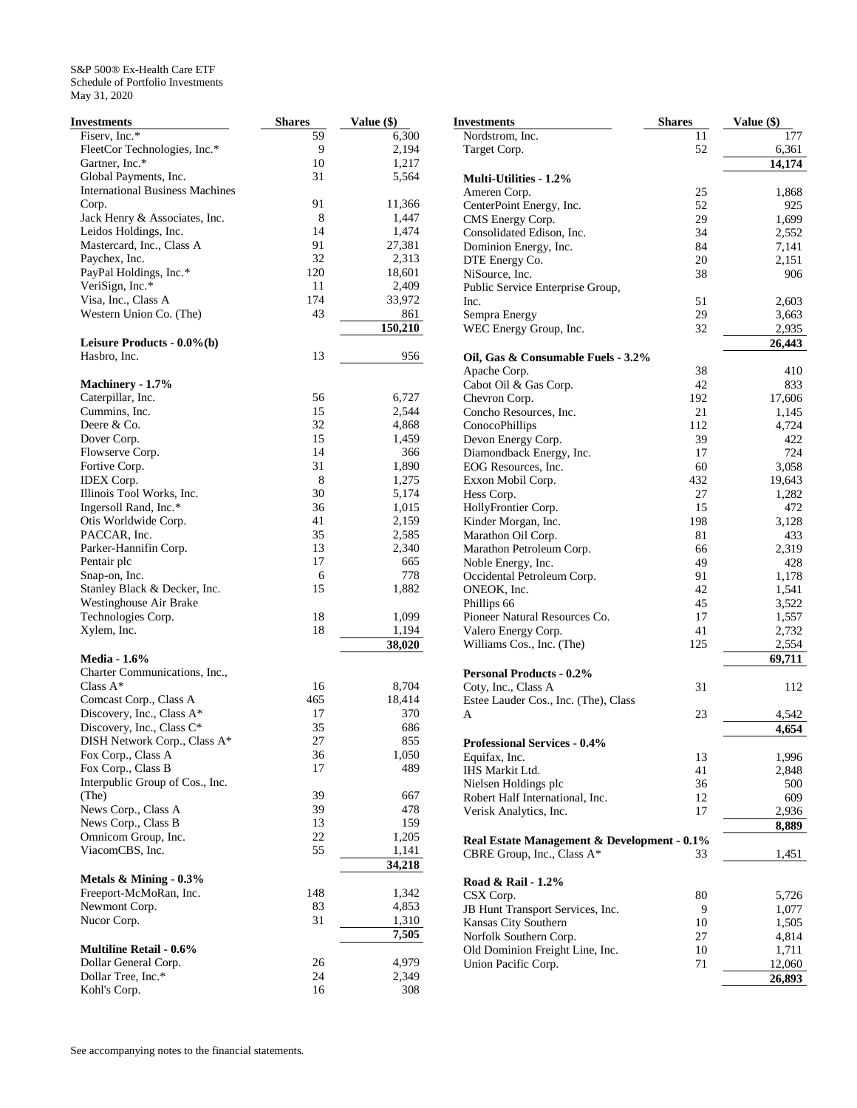| Investments                            | <b>Shares</b> | Value (\$) |
|----------------------------------------|---------------|------------|
| Fiserv, Inc.*                          | 59            | 6,300      |
| FleetCor Technologies, Inc.*           | 9             | 2,194      |
| Gartner, Inc.*                         | 10            | 1,217      |
| Global Payments, Inc.                  | 31            | 5,564      |
| <b>International Business Machines</b> |               |            |
| Corp.                                  | 91            | 11,366     |
| Jack Henry & Associates, Inc.          | 8             | 1,447      |
| Leidos Holdings, Inc.                  | 14            | 1,474      |
| Mastercard, Inc., Class A              | 91            | 27,381     |
| Paychex, Inc.                          | 32            | 2,313      |
| PayPal Holdings, Inc.*                 | 120           | 18,601     |
| VeriSign, Inc.*                        | 11            | 2,409      |
| Visa, Inc., Class A                    | 174           | 33,972     |
| Western Union Co. (The)                | 43            | 861        |
|                                        |               | 150,210    |
| Leisure Products - 0.0%(b)             |               |            |
| Hasbro, Inc.                           | 13            | 956        |
|                                        |               |            |
| Machinery - 1.7%                       |               |            |
| Caterpillar, Inc.                      | 56            | 6,727      |
| Cummins, Inc.                          | 15            | 2,544      |
| Deere & Co.                            | 32            | 4,868      |
| Dover Corp.                            | 15            | 1,459      |
| Flowserve Corp.                        | 14            | 366        |
|                                        | 31            |            |
| Fortive Corp.                          |               | 1,890      |
| <b>IDEX</b> Corp.                      | 8             | 1,275      |
| Illinois Tool Works, Inc.              | 30            | 5,174      |
| Ingersoll Rand, Inc.*                  | 36            | 1,015      |
| Otis Worldwide Corp.                   | 41            | 2,159      |
| PACCAR, Inc.                           | 35            | 2,585      |
| Parker-Hannifin Corp.                  | 13            | 2,340      |
| Pentair plc                            | 17            | 665        |
| Snap-on, Inc.                          | 6             | 778        |
| Stanley Black & Decker, Inc.           | 15            | 1,882      |
| Westinghouse Air Brake                 |               |            |
| Technologies Corp.                     | 18            | 1,099      |
| Xylem, Inc.                            | 18            | 1,194      |
|                                        |               | 38,020     |
| <b>Media - 1.6%</b>                    |               |            |
| Charter Communications, Inc.,          |               |            |
| Class $A^*$                            | 16            | 8,704      |
| Comcast Corp., Class A                 | 465           | 18,414     |
| Discovery, Inc., Class A*              | 17            | 370        |
| Discovery, Inc., Class C*              | 35            | 686        |
| DISH Network Corp., Class A*           | 27            | 855        |
| Fox Corp., Class A                     | 36            | 1,050      |
| Fox Corp., Class B                     | 17            | 489        |
| Interpublic Group of Cos., Inc.        |               |            |
| (The)                                  | 39            | 667        |
| News Corp., Class A                    | 39            | 478        |
| News Corp., Class B                    | 13            | 159        |
| Omnicom Group, Inc.                    | 22            | 1,205      |
| ViacomCBS, Inc.                        | 55            | 1,141      |
|                                        |               | 34,218     |
| Metals $\&$ Mining - 0.3%              |               |            |
| Freeport-McMoRan, Inc.                 | 148           | 1,342      |
| Newmont Corp.                          | 83            | 4,853      |
| Nucor Corp.                            | 31            | 1,310      |
|                                        |               | 7,505      |
| <b>Multiline Retail - 0.6%</b>         |               |            |
| Dollar General Corp.                   | 26            | 4,979      |
| Dollar Tree, Inc.*                     | 24            | 2,349      |
| Kohl's Corp.                           | 16            | 308        |
|                                        |               |            |

| Investments                                 | <b>Shares</b> | Value (\$) |
|---------------------------------------------|---------------|------------|
| Nordstrom, Inc.                             | 11            | 177        |
| Target Corp.                                | 52            | 6,361      |
|                                             |               | 14,174     |
| <b>Multi-Utilities - 1.2%</b>               |               |            |
| Ameren Corp.                                | 25            | 1,868      |
| CenterPoint Energy, Inc.                    | 52            | 925        |
| CMS Energy Corp.                            | 29            | 1,699      |
| Consolidated Edison, Inc.                   | 34            | 2,552      |
| Dominion Energy, Inc.                       | 84            | 7,141      |
| DTE Energy Co.                              | 20            | 2,151      |
| NiSource, Inc.                              | 38            | 906        |
| Public Service Enterprise Group,            |               |            |
| Inc.                                        | 51            | 2,603      |
| Sempra Energy                               | 29            | 3,663      |
| WEC Energy Group, Inc.                      | 32            | 2,935      |
|                                             |               | 26,443     |
| Oil, Gas & Consumable Fuels - 3.2%          |               |            |
| Apache Corp.                                | 38<br>42      | 410<br>833 |
| Cabot Oil & Gas Corp.<br>Chevron Corp.      | 192           | 17,606     |
| Concho Resources, Inc.                      | 21            | 1,145      |
| ConocoPhillips                              | 112           | 4,724      |
| Devon Energy Corp.                          | 39            | 422        |
| Diamondback Energy, Inc.                    | 17            | 724        |
| EOG Resources, Inc.                         | 60            | 3,058      |
| Exxon Mobil Corp.                           | 432           | 19,643     |
| Hess Corp.                                  | 27            | 1,282      |
| HollyFrontier Corp.                         | 15            | 472        |
| Kinder Morgan, Inc.                         | 198           | 3,128      |
| Marathon Oil Corp.                          | 81            | 433        |
| Marathon Petroleum Corp.                    | 66            | 2,319      |
| Noble Energy, Inc.                          | 49            | 428        |
| Occidental Petroleum Corp.                  | 91            | 1,178      |
| ONEOK, Inc.                                 | 42            | 1,541      |
| Phillips 66                                 | 45            | 3,522      |
| Pioneer Natural Resources Co.               | 17            | 1,557      |
| Valero Energy Corp.                         | 41            | 2,732      |
| Williams Cos., Inc. (The)                   | 125           | 2,554      |
|                                             |               | 69,711     |
| <b>Personal Products - 0.2%</b>             |               |            |
| Coty, Inc., Class A                         | 31            | 112        |
| Estee Lauder Cos., Inc. (The), Class        |               |            |
| A                                           | 23            | 4,542      |
|                                             |               | 4,654      |
| <b>Professional Services - 0.4%</b>         |               |            |
| Equifax, Inc.                               | 13            | 1,996      |
| IHS Markit Ltd.                             | 41            | 2,848      |
| Nielsen Holdings plc                        | 36            | 500        |
| Robert Half International, Inc.             | 12            | 609        |
| Verisk Analytics, Inc.                      | 17            | 2,936      |
|                                             |               | 8,889      |
| Real Estate Management & Development - 0.1% |               |            |
| CBRE Group, Inc., Class A*                  | 33            | 1,451      |
| Road & Rail - 1.2%                          |               |            |
| CSX Corp.                                   | 80            | 5,726      |
| JB Hunt Transport Services, Inc.            | 9             | 1,077      |
| Kansas City Southern                        | 10            | 1,505      |
| Norfolk Southern Corp.                      | 27            | 4,814      |
| Old Dominion Freight Line, Inc.             | 10            | 1,711      |
| Union Pacific Corp.                         | 71            | 12,060     |
|                                             |               | 26,893     |
|                                             |               |            |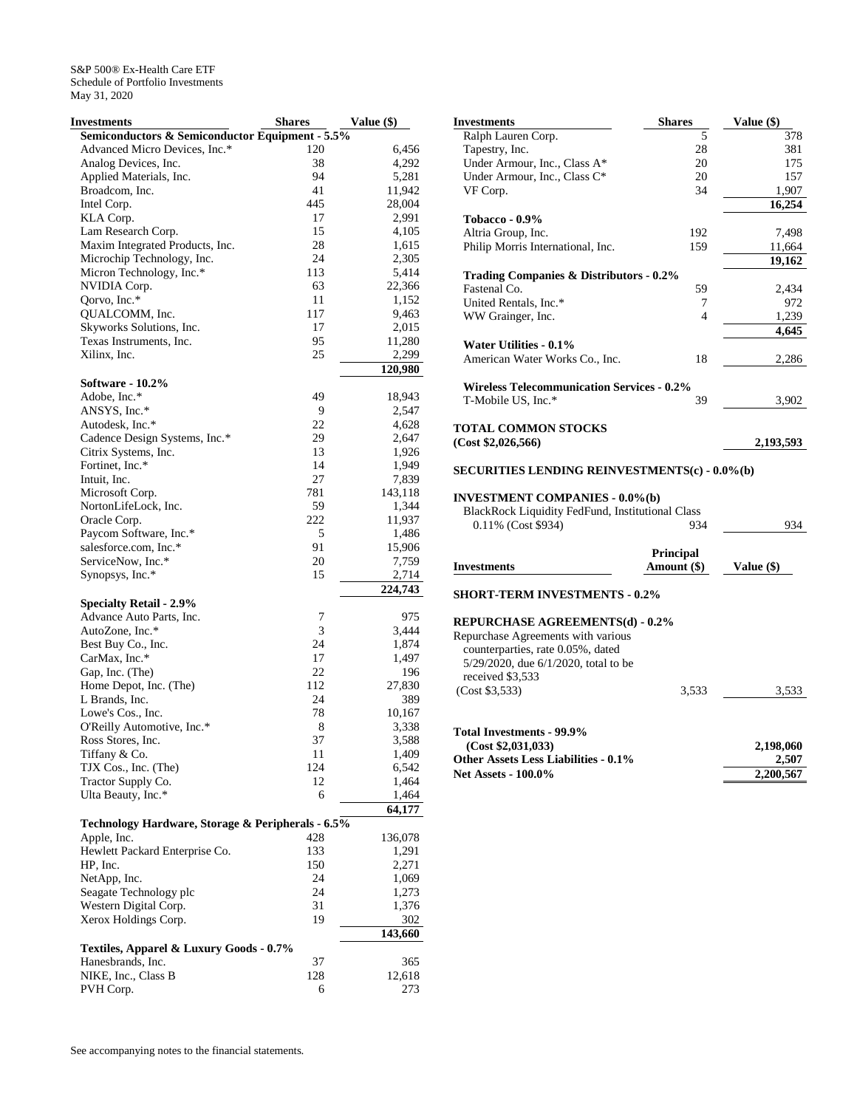| Investments                                                | <b>Shares</b> | Value (\$)     |
|------------------------------------------------------------|---------------|----------------|
| Semiconductors & Semiconductor Equipment - 5.5%            |               |                |
| Advanced Micro Devices, Inc.*                              | 120           | 6,456          |
| Analog Devices, Inc.                                       | 38            | 4,292          |
| Applied Materials, Inc.                                    | 94            | 5,281          |
| Broadcom, Inc.                                             | 41            | 11,942         |
| Intel Corp.                                                | 445           | 28,004         |
| KLA Corp.                                                  | 17            | 2,991          |
| Lam Research Corp.                                         | 15            | 4,105          |
| Maxim Integrated Products, Inc.                            | 28<br>24      | 1,615          |
| Microchip Technology, Inc.<br>Micron Technology, Inc.*     | 113           | 2,305<br>5,414 |
| NVIDIA Corp.                                               | 63            | 22,366         |
| Qorvo, Inc.*                                               | 11            | 1,152          |
| QUALCOMM, Inc.                                             | 117           | 9,463          |
| Skyworks Solutions, Inc.                                   | 17            | 2,015          |
| Texas Instruments, Inc.                                    | 95            | 11,280         |
| Xilinx, Inc.                                               | 25            | 2,299          |
|                                                            |               | 120,980        |
| Software - 10.2%                                           |               |                |
| Adobe, Inc.*                                               | 49            | 18,943         |
| ANSYS, Inc.*                                               | 9             | 2,547          |
| Autodesk, Inc.*                                            | 22            | 4,628          |
| Cadence Design Systems, Inc.*                              | 29            | 2,647          |
| Citrix Systems, Inc.                                       | 13            | 1,926          |
| Fortinet, Inc.*                                            | 14            | 1,949          |
| Intuit, Inc.                                               | 27            | 7,839          |
| Microsoft Corp.                                            | 781           | 143,118        |
| NortonLifeLock, Inc.                                       | 59            | 1,344          |
| Oracle Corp.                                               | 222           | 11,937         |
| Paycom Software, Inc.*                                     | 5             | 1,486          |
| salesforce.com, Inc.*                                      | 91            | 15,906         |
| ServiceNow, Inc.*                                          | 20            | 7,759          |
| Synopsys, Inc.*                                            | 15            | 2,714          |
|                                                            |               | 224,743        |
| <b>Specialty Retail - 2.9%</b><br>Advance Auto Parts, Inc. | 7             |                |
| AutoZone, Inc.*                                            | 3             | 975<br>3,444   |
| Best Buy Co., Inc.                                         | 24            | 1,874          |
| CarMax, Inc.*                                              | 17            | 1,497          |
| Gap, Inc. (The)                                            | 22            | 196            |
| Home Depot, Inc. (The)                                     | 112           | 27,830         |
| L Brands, Inc.                                             | 24            | 389            |
| Lowe's Cos., Inc.                                          | 78            | 10,167         |
| O'Reilly Automotive, Inc.*                                 | 8             | 3,338          |
| Ross Stores, Inc.                                          | 37            | 3,588          |
| Tiffany & Co.                                              | 11            | 1,409          |
| TJX Cos., Inc. (The)                                       | 124           | 6,542          |
| Tractor Supply Co.                                         | 12            | 1,464          |
| Ulta Beauty, Inc.*                                         | 6             | 1,464          |
|                                                            |               | 64,177         |
| Technology Hardware, Storage & Peripherals - 6.5%          |               |                |
| Apple, Inc.                                                | 428           | 136,078        |
| Hewlett Packard Enterprise Co.                             | 133           | 1,291          |
| HP, Inc.                                                   | 150           | 2,271          |
| NetApp, Inc.                                               | 24            | 1,069          |
| Seagate Technology plc                                     | 24            | 1,273          |
| Western Digital Corp.                                      | 31            | 1,376          |
| Xerox Holdings Corp.                                       | 19            | 302            |
|                                                            |               | 143,660        |
| Textiles, Apparel & Luxury Goods - 0.7%                    |               |                |
| Hanesbrands, Inc.                                          | 37            | 365            |
| NIKE, Inc., Class B                                        | 128           | 12,618         |
| PVH Corp.                                                  | 6             | 273            |

| <b>Investments</b>                                   | <b>Shares</b> | Value (\$) |
|------------------------------------------------------|---------------|------------|
| Ralph Lauren Corp.                                   | 5             | 378        |
| Tapestry, Inc.                                       | 28            | 381        |
| Under Armour, Inc., Class A*                         | 20            | 175        |
| Under Armour, Inc., Class C*                         | 20            | 157        |
| VF Corp.                                             | 34            | 1,907      |
|                                                      |               | 16,254     |
| Tobacco - 0.9%                                       |               |            |
| Altria Group, Inc.                                   | 192           | 7,498      |
| Philip Morris International, Inc.                    | 159           | 11,664     |
|                                                      |               | 19,162     |
| Trading Companies & Distributors - 0.2%              |               |            |
| Fastenal Co.                                         | 59            | 2,434      |
| United Rentals, Inc.*                                | 7             | 972        |
| WW Grainger, Inc.                                    | 4             | 1,239      |
|                                                      |               | 4.645      |
| Water Utilities - 0.1%                               |               |            |
| American Water Works Co., Inc.                       | 18            | 2,286      |
| <b>Wireless Telecommunication Services - 0.2%</b>    |               |            |
| T-Mobile US, Inc.*                                   | 39            | 3,902      |
| <b>TOTAL COMMON STOCKS</b>                           |               |            |
| (Cost \$2,026,566)                                   |               | 2,193,593  |
| <b>SECURITIES LENDING REINVESTMENTS(c) - 0.0%(b)</b> |               |            |
| <b>INVESTMENT COMPANIES - 0.0%(b)</b>                |               |            |

| A VESTIVIERTI COINII ARIES - 0.0 /0(D)                  |     |     |
|---------------------------------------------------------|-----|-----|
| <b>BlackRock Liquidity FedFund, Institutional Class</b> |     |     |
| 0.11% (Cost \$934)                                      | 934 | 934 |

| <b>Investments</b>                                                                                                                                                                                    | <b>Principal</b><br>Amount (\$) | Value (\$)                      |
|-------------------------------------------------------------------------------------------------------------------------------------------------------------------------------------------------------|---------------------------------|---------------------------------|
| <b>SHORT-TERM INVESTMENTS - 0.2%</b>                                                                                                                                                                  |                                 |                                 |
| <b>REPURCHASE AGREEMENTS(d) - 0.2%</b><br>Repurchase Agreements with various<br>counterparties, rate 0.05%, dated<br>$5/29/2020$ , due $6/1/2020$ , total to be<br>received \$3,533<br>(Cost \$3,533) | 3,533                           | 3,533                           |
| Total Investments - 99.9%<br>(Cost \$2,031,033)<br><b>Other Assets Less Liabilities - 0.1%</b><br><b>Net Assets - 100.0%</b>                                                                          |                                 | 2,198,060<br>2,507<br>2,200,567 |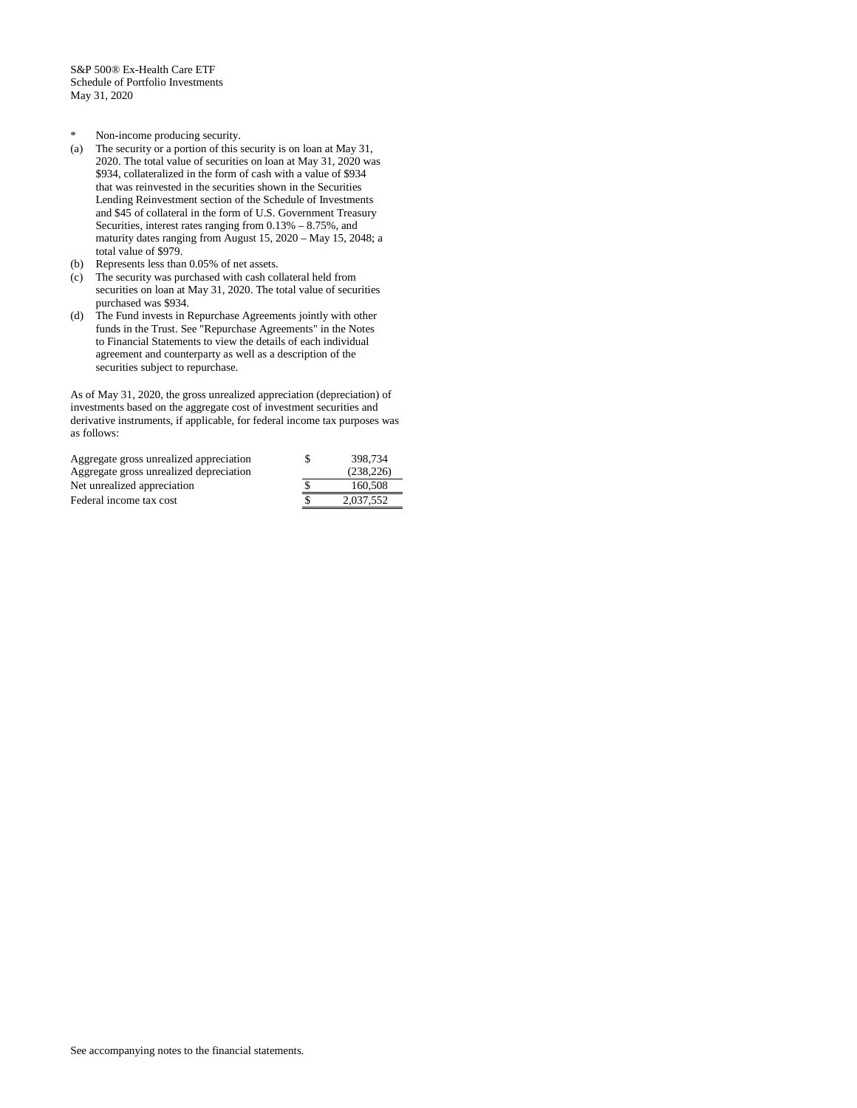- \* Non-income producing security.
- (a) The security or a portion of this security is on loan at May 31, 2020. The total value of securities on loan at May 31, 2020 was \$934, collateralized in the form of cash with a value of \$934 that was reinvested in the securities shown in the Securities Lending Reinvestment section of the Schedule of Investments and \$45 of collateral in the form of U.S. Government Treasury Securities, interest rates ranging from 0.13% – 8.75%, and maturity dates ranging from August 15, 2020 – May 15, 2048; a total value of \$979.
- (b) Represents less than 0.05% of net assets.
- (c) The security was purchased with cash collateral held from securities on loan at May 31, 2020. The total value of securities purchased was \$934.
- (d) The Fund invests in Repurchase Agreements jointly with other funds in the Trust. See "Repurchase Agreements" in the Notes to Financial Statements to view the details of each individual agreement and counterparty as well as a description of the securities subject to repurchase.

As of May 31, 2020, the gross unrealized appreciation (depreciation) of investments based on the aggregate cost of investment securities and derivative instruments, if applicable, for federal income tax purposes was as follows:

| Aggregate gross unrealized appreciation | 398,734   |
|-----------------------------------------|-----------|
| Aggregate gross unrealized depreciation | (238.226) |
| Net unrealized appreciation             | 160,508   |
| Federal income tax cost                 | 2.037.552 |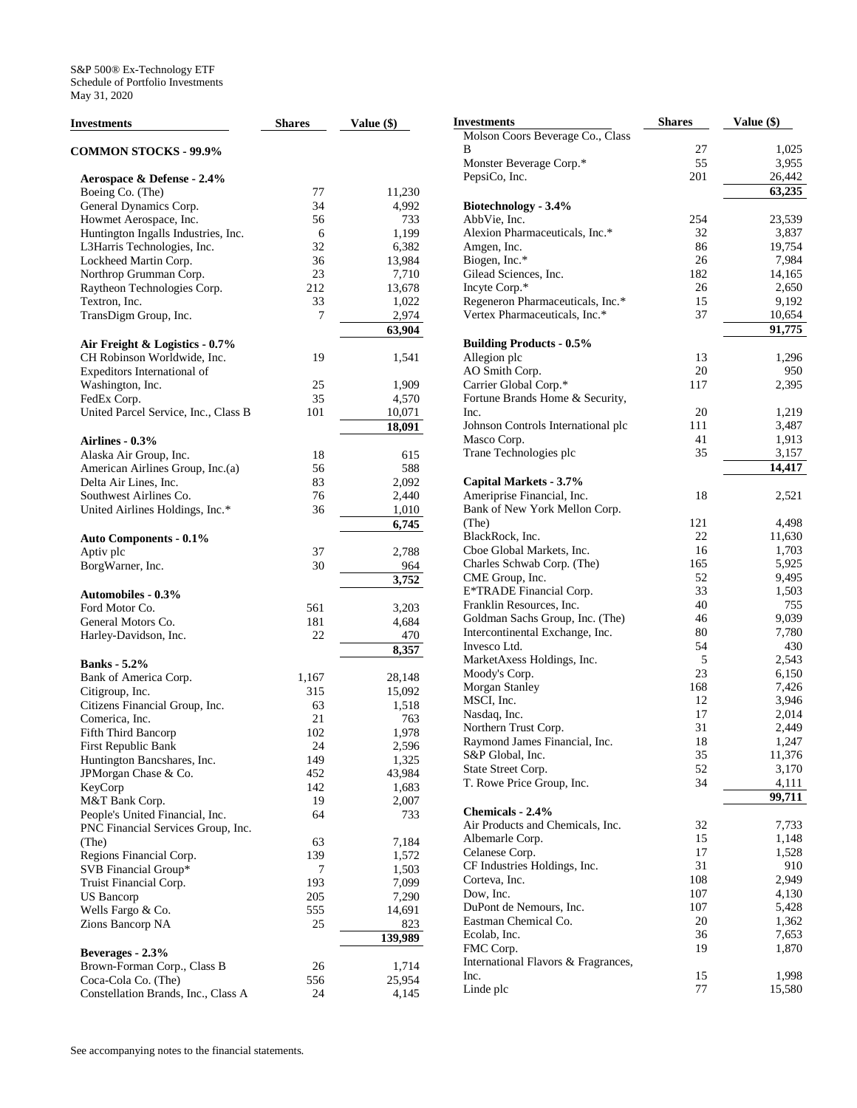| <b>Investments</b>                   | <b>Shares</b> | Value (\$)      |
|--------------------------------------|---------------|-----------------|
| <b>COMMON STOCKS - 99.9%</b>         |               |                 |
| Aerospace & Defense - 2.4%           |               |                 |
| Boeing Co. (The)                     | 77            | 11,230          |
| General Dynamics Corp.               | 34            | 4,992           |
| Howmet Aerospace, Inc.               | 56            | 733             |
| Huntington Ingalls Industries, Inc.  | 6             | 1,199           |
| L3Harris Technologies, Inc.          | 32            | 6,382           |
| Lockheed Martin Corp.                | 36            | 13,984          |
| Northrop Grumman Corp.               | 23            | 7,710           |
| Raytheon Technologies Corp.          | 212           | 13,678          |
| Textron, Inc.                        | 33            | 1,022           |
| TransDigm Group, Inc.                | 7             | 2,974           |
|                                      |               | 63,904          |
| Air Freight & Logistics - 0.7%       |               |                 |
| CH Robinson Worldwide, Inc.          | 19            | 1,541           |
| Expeditors International of          |               |                 |
| Washington, Inc.                     | 25            | 1,909           |
| FedEx Corp.                          | 35            | 4,570           |
| United Parcel Service, Inc., Class B | 101           | 10,071          |
|                                      |               | 18,091          |
| Airlines - 0.3%                      |               |                 |
| Alaska Air Group, Inc.               | 18            | 615             |
| American Airlines Group, Inc.(a)     | 56            | 588             |
| Delta Air Lines, Inc.                | 83            | 2,092           |
| Southwest Airlines Co.               | 76            | 2,440           |
| United Airlines Holdings, Inc.*      | 36            | 1,010           |
|                                      |               | 6,745           |
| <b>Auto Components - 0.1%</b>        |               |                 |
| Aptiv plc                            | 37            | 2,788           |
| BorgWarner, Inc.                     | 30            | 964             |
|                                      |               | 3,752           |
| <b>Automobiles - 0.3%</b>            |               |                 |
| Ford Motor Co.                       | 561           | 3,203           |
| General Motors Co.                   | 181           | 4,684           |
| Harley-Davidson, Inc.                | 22            | 470             |
|                                      |               | 8,357           |
| <b>Banks</b> - 5.2%                  |               |                 |
| Bank of America Corp.                | 1,167         | 28,148          |
| Citigroup, Inc.                      | 315           | 15,092          |
| Citizens Financial Group, Inc.       | 63            | 1,518           |
| Comerica, Inc.                       | 21            | 763             |
| Fifth Third Bancorp                  | 102           | 1,978           |
| First Republic Bank                  | 24            | 2,596           |
| Huntington Bancshares, Inc.          | 149           | 1,325           |
| JPMorgan Chase & Co.                 | 452           | 43,984          |
| KeyCorp                              | 142           | 1,683           |
| M&T Bank Corp.                       | 19            | 2,007           |
| People's United Financial, Inc.      | 64            | 733             |
| PNC Financial Services Group, Inc.   |               |                 |
| (The)                                | 63            | 7,184           |
| Regions Financial Corp.              | 139           | 1,572           |
| SVB Financial Group*                 | 7             | 1,503           |
| Truist Financial Corp.               | 193           | 7,099           |
|                                      | 205           |                 |
| US Bancorp<br>Wells Fargo & Co.      | 555           | 7,290<br>14,691 |
|                                      | 25            | 823             |
| Zions Bancorp NA                     |               | 139,989         |
|                                      |               |                 |
| Beverages - 2.3%                     |               |                 |
| Brown-Forman Corp., Class B          | 26            | 1,714           |
| Coca-Cola Co. (The)                  | 556           | 25,954          |
| Constellation Brands, Inc., Class A  | 24            | 4,145           |

| Investments                            | <b>Shares</b> | Value (\$)      |
|----------------------------------------|---------------|-----------------|
| Molson Coors Beverage Co., Class       |               |                 |
| В                                      | 27            | 1,025           |
| Monster Beverage Corp.*                | 55            | 3,955           |
| PepsiCo, Inc.                          | 201           | 26,442          |
|                                        |               | 63,235          |
| Biotechnology - 3.4%                   |               |                 |
| AbbVie, Inc.                           | 254           | 23,539          |
| Alexion Pharmaceuticals, Inc.*         | 32            | 3,837           |
| Amgen, Inc.                            | 86            | 19,754          |
| Biogen, Inc.*<br>Gilead Sciences, Inc. | 26<br>182     | 7,984<br>14,165 |
| Incyte Corp.*                          | 26            | 2,650           |
| Regeneron Pharmaceuticals, Inc.*       | 15            | 9,192           |
| Vertex Pharmaceuticals, Inc.*          | 37            | 10,654          |
|                                        |               | 91,775          |
| <b>Building Products - 0.5%</b>        |               |                 |
| Allegion plc                           | 13            | 1,296           |
| AO Smith Corp.                         | 20            | 950             |
| Carrier Global Corp.*                  | 117           | 2,395           |
| Fortune Brands Home & Security,        |               |                 |
| Inc.                                   | 20            | 1,219           |
| Johnson Controls International plc     | 111           | 3,487           |
| Masco Corp.                            | 41            | 1,913           |
| Trane Technologies plc                 | 35            | 3,157           |
|                                        |               | 14,417          |
| Capital Markets - 3.7%                 |               |                 |
| Ameriprise Financial, Inc.             | 18            | 2,521           |
| Bank of New York Mellon Corp.          | 121           |                 |
| (The)<br>BlackRock, Inc.               | 22            | 4,498<br>11,630 |
| Cboe Global Markets, Inc.              | 16            | 1,703           |
| Charles Schwab Corp. (The)             | 165           | 5,925           |
| CME Group, Inc.                        | 52            | 9,495           |
| E*TRADE Financial Corp.                | 33            | 1,503           |
| Franklin Resources, Inc.               | 40            | 755             |
| Goldman Sachs Group, Inc. (The)        | 46            | 9,039           |
| Intercontinental Exchange, Inc.        | 80            | 7,780           |
| Invesco Ltd.                           | 54            | 430             |
| MarketAxess Holdings, Inc.             | 5             | 2,543           |
| Moody's Corp.                          | 23            | 6,150           |
| Morgan Stanley                         | 168           | 7,426           |
| MSCI, Inc.                             | 12            | 3,946           |
| Nasdaq, Inc.                           | 17            | 2,014           |
| Northern Trust Corp.                   | 31            | 2,449           |
| Raymond James Financial, Inc.          | 18            | 1,247           |
| S&P Global, Inc.                       | 35            | 11,376          |
| State Street Corp.                     | 52            | 3,170           |
| T. Rowe Price Group, Inc.              | 34            | 4,111           |
| Chemicals - 2.4%                       |               | 99,711          |
| Air Products and Chemicals, Inc.       | 32            | 7,733           |
| Albemarle Corp.                        | 15            | 1,148           |
| Celanese Corp.                         | 17            | 1,528           |
| CF Industries Holdings, Inc.           | 31            | 910             |
| Corteva, Inc.                          | 108           | 2,949           |
| Dow, Inc.                              | 107           | 4,130           |
| DuPont de Nemours, Inc.                | 107           | 5,428           |
| Eastman Chemical Co.                   | 20            | 1,362           |
| Ecolab, Inc.                           | 36            | 7,653           |
| FMC Corp.                              | 19            | 1,870           |
| International Flavors & Fragrances,    |               |                 |
| Inc.                                   | 15            | 1,998           |
| Linde plc                              | 77            | 15,580          |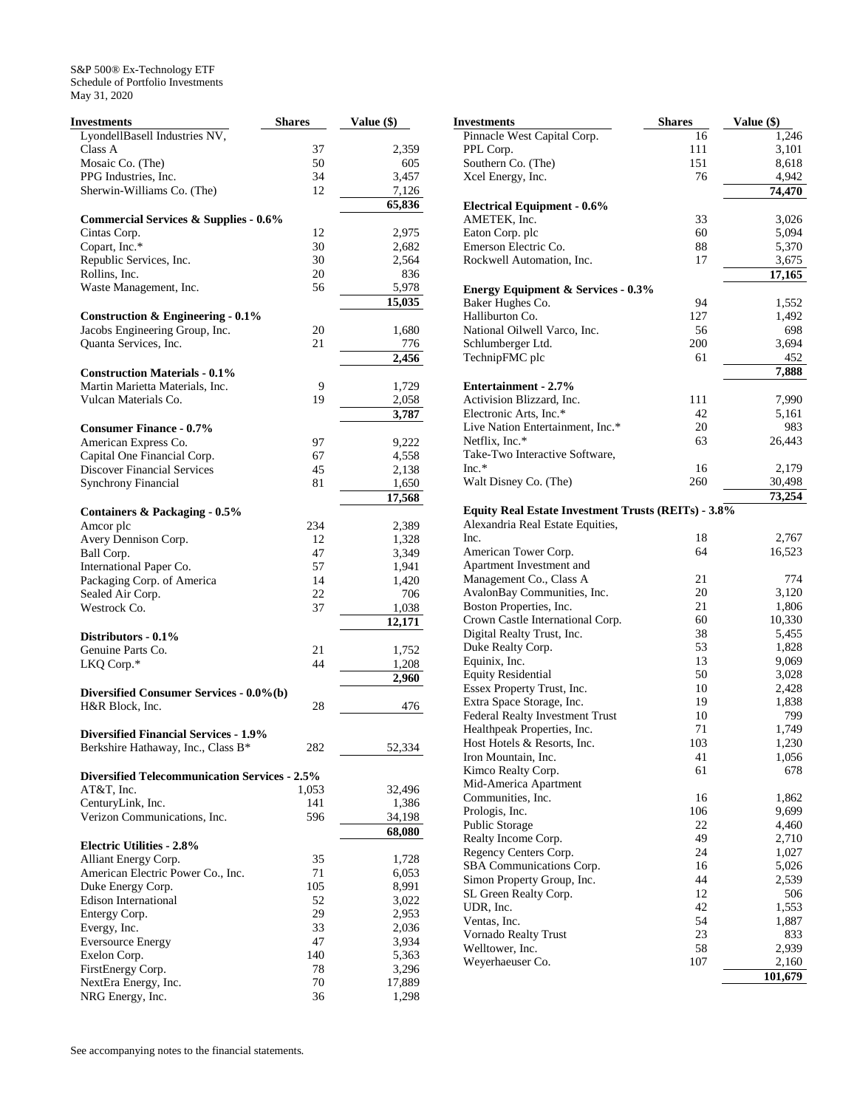| Investments                                          | <b>Shares</b> | Value (\$) |
|------------------------------------------------------|---------------|------------|
| LyondellBasell Industries NV,                        |               |            |
| Class A                                              | 37            | 2,359      |
| Mosaic Co. (The)                                     | 50            | 605        |
| PPG Industries, Inc.                                 | 34            | 3,457      |
| Sherwin-Williams Co. (The)                           | 12            | 7,126      |
|                                                      |               | 65,836     |
| <b>Commercial Services &amp; Supplies - 0.6%</b>     |               |            |
| Cintas Corp.                                         | 12            | 2,975      |
| Copart, Inc.*                                        | 30            | 2,682      |
| Republic Services, Inc.                              | 30            | 2,564      |
| Rollins, Inc.                                        | 20            | 836        |
| Waste Management, Inc.                               | 56            | 5,978      |
|                                                      |               | 15,035     |
| Construction & Engineering $-0.1\%$                  |               |            |
| Jacobs Engineering Group, Inc.                       | 20            | 1,680      |
| Quanta Services, Inc.                                | 21            | 776        |
|                                                      |               | 2,456      |
| <b>Construction Materials - 0.1%</b>                 |               |            |
| Martin Marietta Materials, Inc.                      | 9             |            |
| Vulcan Materials Co.                                 |               | 1,729      |
|                                                      | 19            | 2,058      |
|                                                      |               | 3,787      |
| <b>Consumer Finance - 0.7%</b>                       |               |            |
| American Express Co.                                 | 97            | 9,222      |
| Capital One Financial Corp.                          | 67            | 4,558      |
| <b>Discover Financial Services</b>                   | 45            | 2,138      |
| <b>Synchrony Financial</b>                           | 81            | 1,650      |
|                                                      |               | 17,568     |
| Containers & Packaging - 0.5%                        |               |            |
| Amcor plc                                            | 234           | 2,389      |
| Avery Dennison Corp.                                 | 12            | 1,328      |
| Ball Corp.                                           | 47            | 3,349      |
| International Paper Co.                              | 57            | 1,941      |
| Packaging Corp. of America                           | 14            | 1,420      |
| Sealed Air Corp.                                     | 22            | 706        |
| Westrock Co.                                         | 37            | 1,038      |
|                                                      |               | 12,171     |
| Distributors - 0.1%                                  |               |            |
| Genuine Parts Co.                                    | 21            | 1,752      |
| LKQ Corp.*                                           | 44            | 1,208      |
|                                                      |               | 2,960      |
| Diversified Consumer Services - 0.0%(b)              |               |            |
| H&R Block, Inc.                                      | 28            | 476        |
|                                                      |               |            |
| <b>Diversified Financial Services - 1.9%</b>         |               |            |
| Berkshire Hathaway, Inc., Class B*                   | 282           | 52,334     |
|                                                      |               |            |
| <b>Diversified Telecommunication Services - 2.5%</b> |               |            |
| AT&T, Inc.                                           | 1,053         | 32,496     |
| CenturyLink, Inc.                                    | 141           | 1,386      |
| Verizon Communications, Inc.                         | 596           | 34,198     |
|                                                      |               | 68,080     |
| <b>Electric Utilities - 2.8%</b>                     |               |            |
| Alliant Energy Corp.                                 | 35            | 1,728      |
| American Electric Power Co., Inc.                    | 71            | 6,053      |
| Duke Energy Corp.                                    | 105           | 8,991      |
| <b>Edison International</b>                          | 52            | 3,022      |
| Entergy Corp.                                        | 29            | 2,953      |
| Evergy, Inc.                                         | 33            | 2,036      |
| <b>Eversource Energy</b>                             | 47            | 3,934      |
|                                                      | 140           | 5,363      |
| Exelon Corp.<br>FirstEnergy Corp.                    | 78            |            |
|                                                      | 70            | 3,296      |
| NextEra Energy, Inc.                                 |               | 17,889     |
| NRG Energy, Inc.                                     | 36            | 1,298      |

| Investments                                         | <b>Shares</b> | Value (\$) |
|-----------------------------------------------------|---------------|------------|
| Pinnacle West Capital Corp.                         | 16            | 1,246      |
| PPL Corp.                                           | 111           | 3,101      |
| Southern Co. (The)                                  | 151           | 8,618      |
| Xcel Energy, Inc.                                   | 76            | 4,942      |
|                                                     |               | 74,470     |
| <b>Electrical Equipment - 0.6%</b>                  |               |            |
| AMETEK, Inc.                                        | 33            | 3,026      |
| Eaton Corp. plc                                     | 60            | 5,094      |
| Emerson Electric Co.                                | 88            | 5,370      |
| Rockwell Automation, Inc.                           | 17            | 3,675      |
|                                                     |               | 17,165     |
| <b>Energy Equipment &amp; Services - 0.3%</b>       |               |            |
| Baker Hughes Co.                                    | 94            | 1,552      |
| Halliburton Co.                                     | 127           | 1,492      |
| National Oilwell Varco, Inc.                        | 56            | 698        |
| Schlumberger Ltd.                                   | 200           | 3,694      |
| TechnipFMC plc                                      | 61            | 452        |
|                                                     |               | 7,888      |
| Entertainment - 2.7%                                |               |            |
| Activision Blizzard, Inc.                           | 111           | 7,990      |
| Electronic Arts, Inc.*                              | 42            | 5,161      |
| Live Nation Entertainment, Inc.*                    | 20            | 983        |
| Netflix, Inc.*                                      | 63            | 26,443     |
| Take-Two Interactive Software,                      |               |            |
| $Inc.*$                                             | 16            | 2,179      |
| Walt Disney Co. (The)                               | 260           | 30,498     |
|                                                     |               | 73,254     |
| Equity Real Estate Investment Trusts (REITs) - 3.8% |               |            |
| Alexandria Real Estate Equities,                    |               |            |
| Inc.                                                | 18            | 2,767      |
| American Tower Corp.                                | 64            | 16,523     |
| Apartment Investment and                            |               |            |
| Management Co., Class A                             | 21            | 774        |
| AvalonBay Communities, Inc.                         | 20            | 3,120      |
| Boston Properties, Inc.                             | 21            | 1,806      |
| Crown Castle International Corp.                    | 60            | 10,330     |
| Digital Realty Trust, Inc.                          | 38            | 5,455      |
| Duke Realty Corp.                                   | 53            | 1,828      |
| Equinix, Inc.                                       | 13            | 9,069      |
| <b>Equity Residential</b>                           | 50            | 3,028      |
| Essex Property Trust, Inc.                          | 10            | 2,428      |
| Extra Space Storage, Inc.                           | 19            | 1,838      |
| Federal Realty Investment Trust                     | 10            | 799        |
| Healthpeak Properties, Inc.                         | 71            | 1,749      |
| Host Hotels & Resorts, Inc.                         | 103           | 1,230      |
| Iron Mountain, Inc.                                 | 41            | 1,056      |
| Kimco Realty Corp.                                  | 61            | 678        |
| Mid-America Apartment                               |               |            |
| Communities, Inc.                                   | 16            | 1,862      |
| Prologis, Inc.                                      | 106           | 9,699      |
| Public Storage                                      | 22            | 4,460      |
| Realty Income Corp.                                 | 49            | 2,710      |
| Regency Centers Corp.                               | 24            | 1,027      |
| SBA Communications Corp.                            | 16            | 5,026      |
| Simon Property Group, Inc.                          | 44            | 2,539      |
| SL Green Realty Corp.                               | 12            | 506        |
| UDR, Inc.                                           | 42            | 1,553      |
| Ventas, Inc.                                        | 54            | 1,887      |
| Vornado Realty Trust                                | 23            | 833        |
| Welltower, Inc.                                     | 58            | 2,939      |
| Weyerhaeuser Co.                                    | 107           | 2,160      |
|                                                     |               | 101,679    |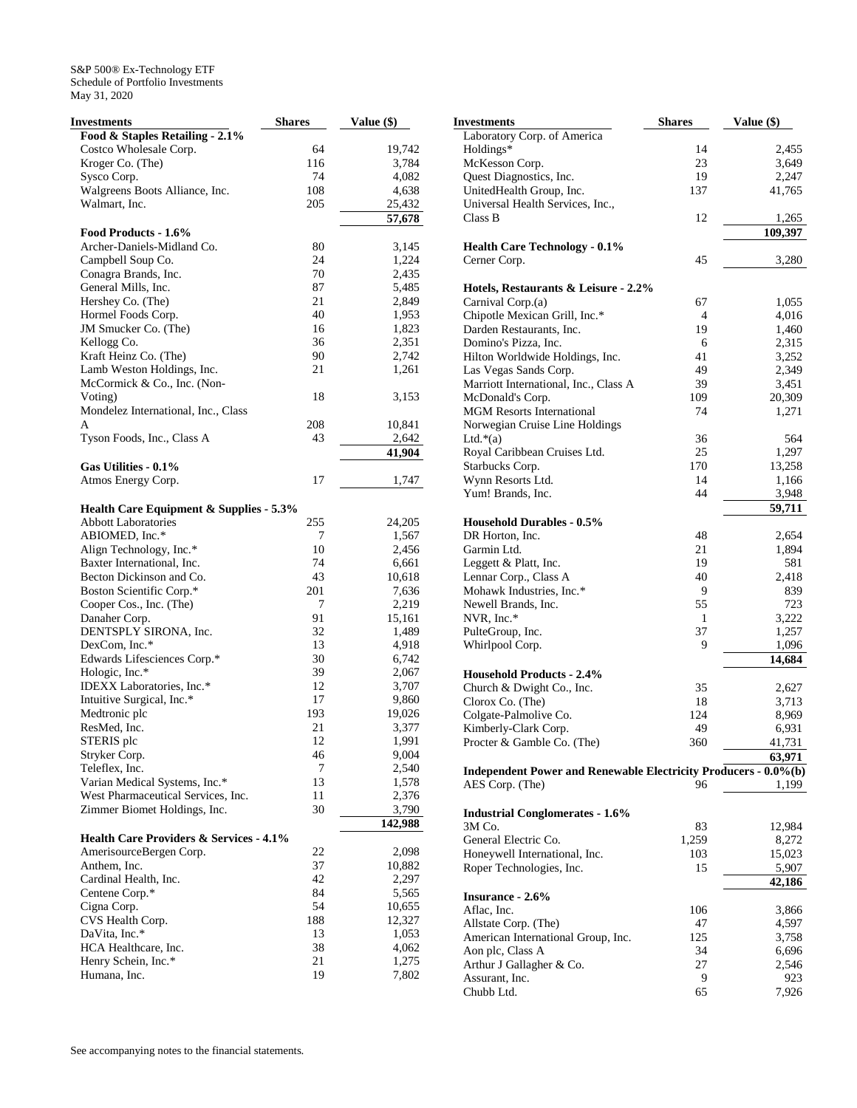| Investments                                        | <b>Shares</b> | Value (\$)      |
|----------------------------------------------------|---------------|-----------------|
| Food & Staples Retailing - 2.1%                    |               |                 |
| Costco Wholesale Corp.                             | 64            | 19,742          |
| Kroger Co. (The)                                   | 116           | 3,784           |
| Sysco Corp.                                        | 74            | 4,082           |
| Walgreens Boots Alliance, Inc.                     | 108           | 4,638           |
| Walmart, Inc.                                      | 205           | 25,432          |
|                                                    |               | 57,678          |
| Food Products - 1.6%                               |               |                 |
| Archer-Daniels-Midland Co.                         | 80            | 3,145           |
| Campbell Soup Co.                                  | 24            | 1,224           |
| Conagra Brands, Inc.                               | 70            | 2,435           |
| General Mills, Inc.                                | 87            | 5,485           |
| Hershey Co. (The)                                  | 21            | 2,849           |
| Hormel Foods Corp.                                 | 40            | 1,953           |
| JM Smucker Co. (The)                               | 16            | 1,823           |
| Kellogg Co.                                        | 36            | 2,351           |
| Kraft Heinz Co. (The)                              | 90            | 2,742           |
| Lamb Weston Holdings, Inc.                         | 21            | 1,261           |
| McCormick & Co., Inc. (Non-                        |               |                 |
| Voting)                                            | 18            | 3,153           |
| Mondelez International, Inc., Class                |               |                 |
| A                                                  | 208           | 10,841          |
|                                                    | 43            |                 |
| Tyson Foods, Inc., Class A                         |               | 2,642<br>41.904 |
|                                                    |               |                 |
| Gas Utilities - 0.1%                               |               |                 |
| Atmos Energy Corp.                                 | 17            | 1,747           |
|                                                    |               |                 |
| <b>Health Care Equipment &amp; Supplies - 5.3%</b> |               |                 |
| <b>Abbott Laboratories</b>                         | 255           | 24,205          |
| ABIOMED, Inc.*                                     | 7             | 1,567           |
| Align Technology, Inc.*                            | 10            | 2,456           |
| Baxter International, Inc.                         | 74            | 6,661           |
| Becton Dickinson and Co.                           | 43            | 10,618          |
| Boston Scientific Corp.*                           | 201           | 7,636           |
| Cooper Cos., Inc. (The)                            | 7             | 2,219           |
| Danaher Corp.                                      | 91            | 15,161          |
| DENTSPLY SIRONA, Inc.                              | 32            | 1,489           |
| DexCom, Inc.*                                      | 13            | 4,918           |
| Edwards Lifesciences Corp.*                        | 30            | 6,742           |
| Hologic, Inc.*                                     | 39            | 2,067           |
| IDEXX Laboratories, Inc.*                          | 12            | 3,707           |
| Intuitive Surgical, Inc.*                          | 17            | 9,860           |
| Medtronic plc                                      | 193           | 19,026          |
| ResMed, Inc.                                       | 21            | 3,377           |
| STERIS plc                                         | 12            | 1,991           |
| Stryker Corp.                                      | 46            | 9,004           |
| Teleflex, Inc.                                     | 7             | 2,540           |
| Varian Medical Systems, Inc.*                      | 13            | 1,578           |
| West Pharmaceutical Services, Inc.                 | 11            | 2,376           |
| Zimmer Biomet Holdings, Inc.                       | 30            | 3,790           |
|                                                    |               | 142,988         |
| <b>Health Care Providers &amp; Services - 4.1%</b> |               |                 |
| AmerisourceBergen Corp.                            | 22            | 2,098           |
| Anthem, Inc.                                       | 37            | 10,882          |
| Cardinal Health, Inc.                              | 42            | 2,297           |
| Centene Corp.*                                     | 84            | 5,565           |
| Cigna Corp.                                        | 54            | 10,655          |
| CVS Health Corp.                                   | 188           | 12,327          |
| DaVita, Inc.*                                      | 13            | 1,053           |
| HCA Healthcare, Inc.                               | 38            | 4,062           |
| Henry Schein, Inc.*                                | 21            | 1,275           |
| Humana, Inc.                                       | 19            | 7,802           |

| Investments                                                     | <b>Shares</b> | Value (\$) |
|-----------------------------------------------------------------|---------------|------------|
| Laboratory Corp. of America                                     |               |            |
| Holdings*                                                       | 14            | 2,455      |
| McKesson Corp.                                                  | 23            | 3,649      |
| Quest Diagnostics, Inc.                                         | 19            | 2,247      |
| UnitedHealth Group, Inc.                                        | 137           | 41,765     |
| Universal Health Services, Inc.,                                |               |            |
| Class B                                                         | 12            | 1,265      |
|                                                                 |               | 109,397    |
| <b>Health Care Technology - 0.1%</b>                            | 45            |            |
| Cerner Corp.                                                    |               | 3,280      |
| Hotels, Restaurants & Leisure - 2.2%                            |               |            |
| Carnival Corp.(a)                                               | 67            | 1,055      |
| Chipotle Mexican Grill, Inc.*                                   | 4             | 4,016      |
| Darden Restaurants, Inc.                                        | 19            | 1,460      |
| Domino's Pizza, Inc.                                            | 6             | 2,315      |
| Hilton Worldwide Holdings, Inc.                                 | 41            | 3,252      |
| Las Vegas Sands Corp.                                           | 49            | 2,349      |
| Marriott International, Inc., Class A                           | 39            | 3,451      |
| McDonald's Corp.                                                | 109           | 20,309     |
| <b>MGM Resorts International</b>                                | 74            | 1,271      |
| Norwegian Cruise Line Holdings                                  |               |            |
| Ltd. $*(a)$                                                     | 36            | 564        |
| Royal Caribbean Cruises Ltd.                                    | 25            | 1,297      |
| Starbucks Corp.                                                 | 170           | 13,258     |
| Wynn Resorts Ltd.<br>Yum! Brands, Inc.                          | 14<br>44      | 1,166      |
|                                                                 |               | 3,948      |
| <b>Household Durables - 0.5%</b>                                |               | 59,711     |
| DR Horton, Inc.                                                 | 48            | 2,654      |
| Garmin Ltd.                                                     | 21            | 1,894      |
| Leggett & Platt, Inc.                                           | 19            | 581        |
| Lennar Corp., Class A                                           | 40            | 2,418      |
| Mohawk Industries, Inc.*                                        | 9             | 839        |
| Newell Brands, Inc.                                             | 55            | 723        |
| NVR, Inc.*                                                      | 1             | 3,222      |
| PulteGroup, Inc.                                                | 37            | 1,257      |
| Whirlpool Corp.                                                 | 9             | 1,096      |
|                                                                 |               | 14,684     |
| <b>Household Products - 2.4%</b><br>Church & Dwight Co., Inc.   | 35            | 2,627      |
| Clorox Co. (The)                                                | 18            | 3,713      |
| Colgate-Palmolive Co.                                           | 124           | 8,969      |
| Kimberly-Clark Corp.                                            | 49            | 6,931      |
| Procter & Gamble Co. (The)                                      | 360           | 41,731     |
|                                                                 |               | 63,971     |
| Independent Power and Renewable Electricity Producers - 0.0%(b) |               |            |
| AES Corp. (The)                                                 | 96            | 1,199      |
|                                                                 |               |            |
| <b>Industrial Conglomerates - 1.6%</b>                          |               |            |
| 3M Co.                                                          | 83            | 12,984     |
| General Electric Co.                                            | 1,259         | 8,272      |
| Honeywell International, Inc.                                   | 103           | 15,023     |
| Roper Technologies, Inc.                                        | 15            | 5,907      |
| Insurance - 2.6%                                                |               | 42,186     |
| Aflac, Inc.                                                     | 106           | 3,866      |
| Allstate Corp. (The)                                            | 47            | 4,597      |
| American International Group, Inc.                              | 125           | 3,758      |
| Aon plc, Class A                                                | 34            | 6,696      |
| Arthur J Gallagher & Co.                                        | 27            | 2,546      |
| Assurant, Inc.                                                  | 9             | 923        |
| Chubb Ltd.                                                      | 65            | 7,926      |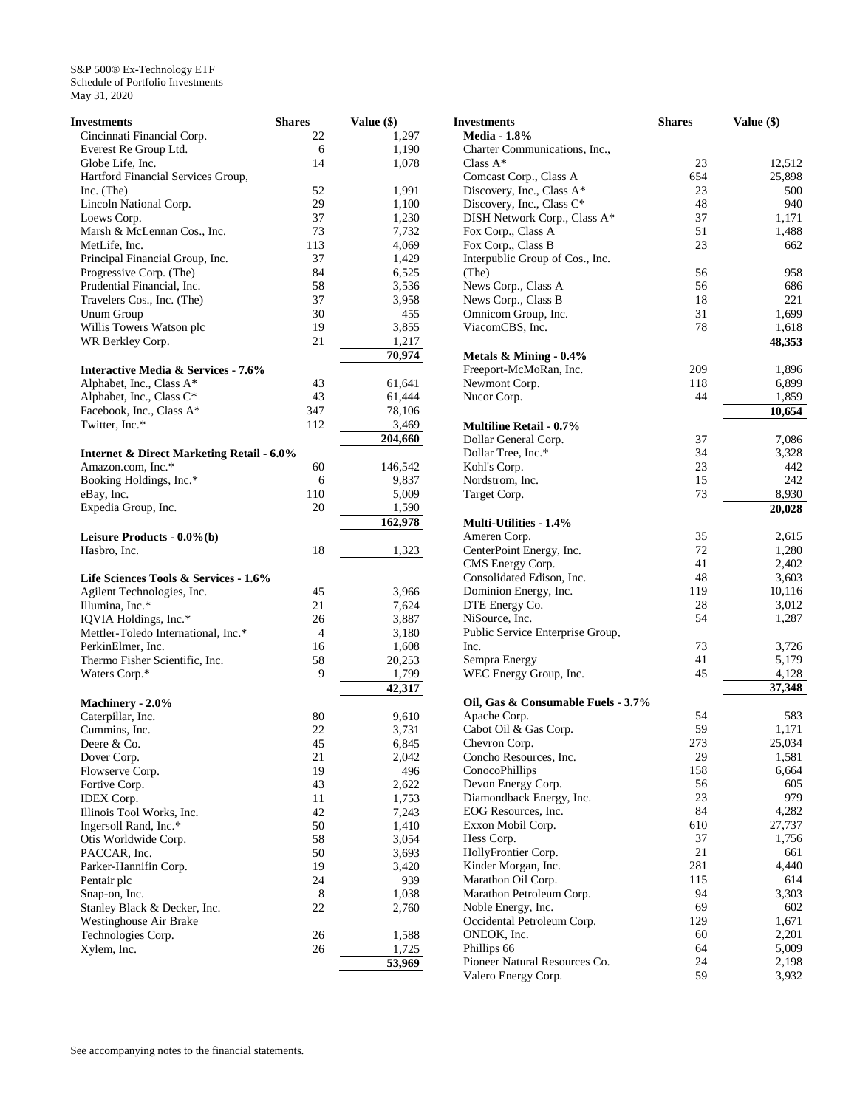| <b>Investments</b>                                   | <b>Shares</b> | Value (\$)   |
|------------------------------------------------------|---------------|--------------|
| Cincinnati Financial Corp.                           | 22            | 1,297        |
| Everest Re Group Ltd.                                | 6             | 1,190        |
| Globe Life, Inc.                                     | 14            | 1,078        |
| Hartford Financial Services Group,                   |               |              |
| Inc. (The)                                           | 52            | 1,991        |
| Lincoln National Corp.                               | 29            | 1,100        |
| Loews Corp.                                          | 37            | 1,230        |
| Marsh & McLennan Cos., Inc.                          | 73            | 7,732        |
| MetLife, Inc.                                        | 113           | 4,069        |
| Principal Financial Group, Inc.                      | 37            | 1,429        |
| Progressive Corp. (The)                              | 84            | 6,525        |
| Prudential Financial, Inc.                           | 58            | 3,536        |
| Travelers Cos., Inc. (The)                           | 37            | 3,958        |
| Unum Group                                           | 30            | 455          |
| Willis Towers Watson plc                             | 19            | 3,855        |
| WR Berkley Corp.                                     | 21            | 1,217        |
|                                                      |               | 70,974       |
| <b>Interactive Media &amp; Services - 7.6%</b>       |               |              |
|                                                      | 43            |              |
| Alphabet, Inc., Class A*                             |               | 61,641       |
| Alphabet, Inc., Class C*                             | 43            | 61,444       |
| Facebook, Inc., Class A*                             | 347           | 78,106       |
| Twitter, Inc.*                                       | 112           | 3,469        |
|                                                      |               | 204,660      |
| <b>Internet &amp; Direct Marketing Retail - 6.0%</b> |               |              |
| Amazon.com, Inc.*                                    | 60            | 146,542      |
| Booking Holdings, Inc.*                              | 6             | 9,837        |
| eBay, Inc.                                           | 110           | 5,009        |
| Expedia Group, Inc.                                  | 20            | 1,590        |
|                                                      |               | 162,978      |
| Leisure Products - 0.0%(b)                           |               |              |
| Hasbro, Inc.                                         | 18            | 1,323        |
|                                                      |               |              |
| Life Sciences Tools & Services - 1.6%                |               |              |
| Agilent Technologies, Inc.                           | 45            | 3,966        |
| Illumina, Inc.*                                      | 21            | 7,624        |
| IQVIA Holdings, Inc.*                                | 26            | 3,887        |
| Mettler-Toledo International, Inc.*                  | 4             | 3,180        |
| PerkinElmer, Inc.                                    | 16            | 1,608        |
| Thermo Fisher Scientific, Inc.                       | 58            | 20,253       |
| Waters Corp.*                                        | 9             | 1,799        |
|                                                      |               | 42,317       |
| Machinery - 2.0%                                     |               |              |
| Caterpillar, Inc.                                    | 80            | 9,610        |
| Cummins, Inc.                                        | 22            | 3,731        |
| Deere & Co.                                          | 45            | 6,845        |
| Dover Corp.                                          | 21            | 2,042        |
| Flowserve Corp.                                      | 19            | 496          |
| Fortive Corp.                                        | 43            | 2,622        |
| <b>IDEX</b> Corp.                                    | 11            | 1,753        |
| Illinois Tool Works, Inc.                            | 42            | 7,243        |
| Ingersoll Rand, Inc.*                                | 50            | 1,410        |
| Otis Worldwide Corp.                                 | 58            | 3,054        |
| PACCAR, Inc.                                         | 50            | 3,693        |
| Parker-Hannifin Corp.                                |               |              |
|                                                      | 19<br>24      | 3,420<br>939 |
| Pentair plc                                          |               |              |
| Snap-on, Inc.                                        | 8             | 1,038        |
| Stanley Black & Decker, Inc.                         | 22            | 2,760        |
| Westinghouse Air Brake                               |               |              |
| Technologies Corp.                                   | 26            | 1,588        |
| Xylem, Inc.                                          | 26            | 1,725        |
|                                                      |               | 53,969       |

| <b>Investments</b>                 | <b>Shares</b> | Value $(\$)$ |
|------------------------------------|---------------|--------------|
| <b>Media - 1.8%</b>                |               |              |
| Charter Communications, Inc.,      |               |              |
| Class $A^*$                        | 23            | 12,512       |
| Comcast Corp., Class A             | 654           | 25,898       |
| Discovery, Inc., Class A*          | 23            | 500          |
| Discovery, Inc., Class C*          | 48            | 940          |
| DISH Network Corp., Class A*       | 37            | 1,171        |
| Fox Corp., Class A                 | 51            | 1,488        |
| Fox Corp., Class B                 | 23            | 662          |
| Interpublic Group of Cos., Inc.    |               |              |
| (The)                              | 56            | 958          |
| News Corp., Class A                | 56            | 686          |
| News Corp., Class B                | 18            | 221          |
| Omnicom Group, Inc.                | 31            | 1,699        |
| ViacomCBS, Inc.                    | 78            | 1,618        |
|                                    |               | 48,353       |
| Metals $\&$ Mining - 0.4%          |               |              |
| Freeport-McMoRan, Inc.             | 209           | 1,896        |
| Newmont Corp.                      | 118           | 6,899        |
| Nucor Corp.                        | 44            | 1,859        |
|                                    |               | 10,654       |
| <b>Multiline Retail - 0.7%</b>     |               |              |
| Dollar General Corp.               | 37            | 7,086        |
| Dollar Tree, Inc.*                 | 34            | 3,328        |
| Kohl's Corp.                       | 23            | 442          |
| Nordstrom, Inc.                    | 15            | 242          |
| Target Corp.                       | 73            | 8,930        |
|                                    |               | 20,028       |
| <b>Multi-Utilities - 1.4%</b>      |               |              |
| Ameren Corp.                       | 35            | 2,615        |
| CenterPoint Energy, Inc.           | 72            | 1,280        |
| CMS Energy Corp.                   | 41            | 2,402        |
| Consolidated Edison, Inc.          | 48            | 3,603        |
| Dominion Energy, Inc.              | 119           | 10,116       |
| DTE Energy Co.                     | 28            | 3,012        |
| NiSource, Inc.                     | 54            | 1,287        |
| Public Service Enterprise Group,   |               |              |
| Inc.                               | 73            | 3,726        |
| Sempra Energy                      | 41            | 5,179        |
| WEC Energy Group, Inc.             | 45            | 4,128        |
|                                    |               | 37,348       |
| Oil, Gas & Consumable Fuels - 3.7% |               |              |
| Apache Corp.                       | 54            | 583          |
| Cabot Oil & Gas Corp.              | 59            | 1,171        |
| Chevron Corp.                      | 273           | 25,034       |
| Concho Resources, Inc.             | 29            | 1,581        |
| ConocoPhillips                     | 158           | 6,664        |
| Devon Energy Corp.                 | 56            | 605          |
| Diamondback Energy, Inc.           | 23            | 979          |
| EOG Resources, Inc.                | 84            | 4,282        |
| Exxon Mobil Corp.                  | 610           | 27,737       |
| Hess Corp.                         | 37            | 1,756        |
| HollyFrontier Corp.                | 21            | 661          |
| Kinder Morgan, Inc.                | 281           | 4,440        |
| Marathon Oil Corp.                 | 115           | 614          |
| Marathon Petroleum Corp.           | 94            | 3,303        |
| Noble Energy, Inc.                 | 69            | 602          |
| Occidental Petroleum Corp.         | 129           | 1,671        |
| ONEOK, Inc.                        | 60            | 2,201        |
| Phillips 66                        | 64            | 5,009        |
| Pioneer Natural Resources Co.      | 24            | 2,198        |
| Valero Energy Corp.                | 59            | 3,932        |
|                                    |               |              |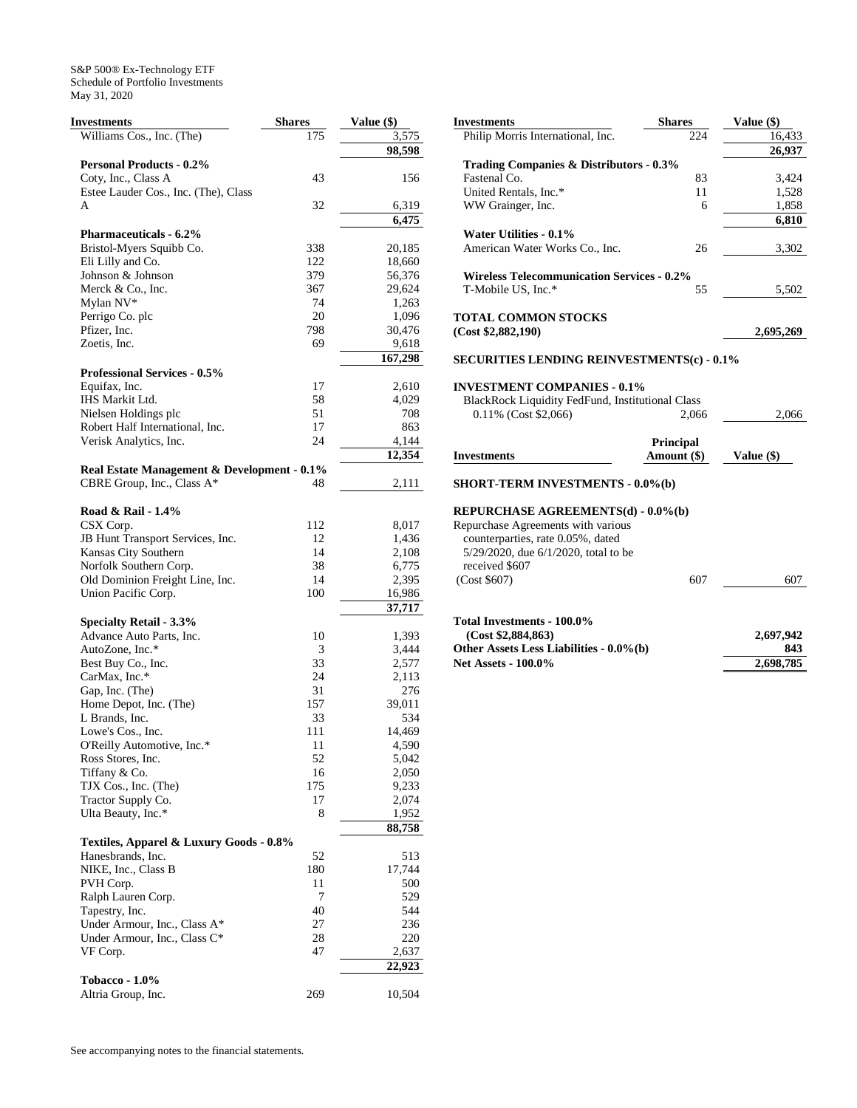| Investments                                 | <b>Shares</b> | Value (\$) |
|---------------------------------------------|---------------|------------|
| Williams Cos., Inc. (The)                   | 175           | 3,575      |
|                                             |               | 98,598     |
| <b>Personal Products - 0.2%</b>             |               |            |
| Coty, Inc., Class A                         | 43            | 156        |
| Estee Lauder Cos., Inc. (The), Class        |               |            |
| A                                           | 32            | 6,319      |
|                                             |               | 6,475      |
| <b>Pharmaceuticals - 6.2%</b>               |               |            |
| Bristol-Myers Squibb Co.                    | 338           | 20,185     |
| Eli Lilly and Co.                           | 122           | 18,660     |
| Johnson & Johnson                           | 379           | 56,376     |
| Merck & Co., Inc.                           | 367           | 29,624     |
| Mylan NV*                                   | 74            | 1,263      |
| Perrigo Co. plc                             | 20            | 1,096      |
| Pfizer, Inc.                                | 798           | 30,476     |
| Zoetis, Inc.                                | 69            | 9,618      |
|                                             |               | 167,298    |
| <b>Professional Services - 0.5%</b>         |               |            |
| Equifax, Inc.                               | 17            | 2,610      |
| IHS Markit Ltd.                             | 58            | 4,029      |
| Nielsen Holdings plc                        | 51            | 708        |
| Robert Half International, Inc.             | 17            | 863        |
| Verisk Analytics, Inc.                      | 24            | 4,144      |
|                                             |               | 12,354     |
| Real Estate Management & Development - 0.1% |               |            |
| CBRE Group, Inc., Class A*                  | 48            | 2,111      |
|                                             |               |            |
| Road & Rail - 1.4%                          |               |            |
| CSX Corp.                                   | 112           | 8,017      |
| JB Hunt Transport Services, Inc.            | 12            | 1,436      |
| Kansas City Southern                        | 14            | 2,108      |
| Norfolk Southern Corp.                      | 38            | 6,775      |
| Old Dominion Freight Line, Inc.             | 14            | 2,395      |
| Union Pacific Corp.                         | 100           | 16,986     |
|                                             |               | 37,717     |
| Specialty Retail - 3.3%                     |               |            |
| Advance Auto Parts, Inc.                    | 10            | 1,393      |
| AutoZone, Inc.*                             | 3             | 3,444      |
| Best Buy Co., Inc.                          | 33            | 2,577      |
| CarMax, Inc.*                               | 24            | 2,113      |
| Gap, Inc. (The)                             | 31            | 276        |
| Home Depot, Inc. (The)                      | 157           | 39,011     |
| L Brands, Inc.                              | 33            | 534        |
| Lowe's Cos., Inc.                           | 111           | 14,469     |
| O'Reilly Automotive, Inc.*                  | $1\,1$        | 4,590      |
| Ross Stores, Inc.                           | 52            | 5,042      |
| Tiffany & Co.                               | 16            | 2,050      |
| TJX Cos., Inc. (The)                        | 175           | 9,233      |
| Tractor Supply Co.                          | 17            | 2,074      |
| Ulta Beauty, Inc.*                          | 8             | 1,952      |
|                                             |               | 88,758     |
| Textiles, Apparel & Luxury Goods - 0.8%     |               |            |
| Hanesbrands, Inc.                           | 52            | 513        |
| NIKE, Inc., Class B                         | 180           | 17,744     |
| PVH Corp.                                   | 11            | 500        |
| Ralph Lauren Corp.                          | 7             | 529        |
| Tapestry, Inc.                              | 40            | 544        |
| Under Armour, Inc., Class A*                | 27            | 236        |
| Under Armour, Inc., Class C*                | 28            | 220        |
| VF Corp.                                    | 47            | 2,637      |
|                                             |               |            |
|                                             |               | 22,923     |
| <b>Tobacco - 1.0%</b>                       |               |            |
| Altria Group, Inc.                          | 269           | 10,504     |

| <b>Investments</b>                                      | Shares           | Value (\$) |
|---------------------------------------------------------|------------------|------------|
| Philip Morris International, Inc.                       | 224              | 16,433     |
|                                                         |                  | 26,937     |
| <b>Trading Companies &amp; Distributors - 0.3%</b>      |                  |            |
| Fastenal Co.                                            | 83               | 3,424      |
| United Rentals, Inc.*                                   | 11               | 1,528      |
| WW Grainger, Inc.                                       | 6                | 1,858      |
|                                                         |                  | 6,810      |
| Water Utilities - 0.1%                                  |                  |            |
| American Water Works Co., Inc.                          | 26               | 3,302      |
|                                                         |                  |            |
| <b>Wireless Telecommunication Services - 0.2%</b>       |                  |            |
| T-Mobile US, Inc.*                                      | 55               | 5,502      |
|                                                         |                  |            |
| <b>TOTAL COMMON STOCKS</b>                              |                  |            |
| (Cost \$2,882,190)                                      |                  | 2,695,269  |
|                                                         |                  |            |
| <b>SECURITIES LENDING REINVESTMENTS(c) - 0.1%</b>       |                  |            |
|                                                         |                  |            |
| <b>INVESTMENT COMPANIES - 0.1%</b>                      |                  |            |
| <b>BlackRock Liquidity FedFund, Institutional Class</b> |                  |            |
| 0.11% (Cost \$2,066)                                    | 2,066            | 2,066      |
|                                                         |                  |            |
|                                                         | <b>Principal</b> |            |
| <b>Investments</b>                                      | Amount (\$)      | Value (\$) |
|                                                         |                  |            |
| <b>SHORT-TERM INVESTMENTS - 0.0%(b)</b>                 |                  |            |
|                                                         |                  |            |
| REPURCHASE AGREEMENTS(d) - 0.0%(b)                      |                  |            |
| Repurchase Agreements with various                      |                  |            |
| counterparties, rate 0.05%, dated                       |                  |            |
| 5/29/2020, due 6/1/2020, total to be                    |                  |            |
| received \$607                                          |                  |            |
| (Cost \$607)                                            | 607              | 607        |
|                                                         |                  |            |
|                                                         |                  |            |
| Total Investments - 100.0%                              |                  |            |
| (Cost \$2,884,863)                                      |                  | 2,697,942  |
| Other Assets Less Liabilities - 0.0%(b)                 |                  | 843        |
| <b>Net Assets - 100.0%</b>                              |                  | 2,698,785  |
|                                                         |                  |            |
|                                                         |                  |            |
|                                                         |                  |            |
|                                                         |                  |            |
|                                                         |                  |            |
|                                                         |                  |            |
|                                                         |                  |            |
|                                                         |                  |            |
|                                                         |                  |            |
|                                                         |                  |            |
|                                                         |                  |            |
|                                                         |                  |            |
|                                                         |                  |            |
|                                                         |                  |            |